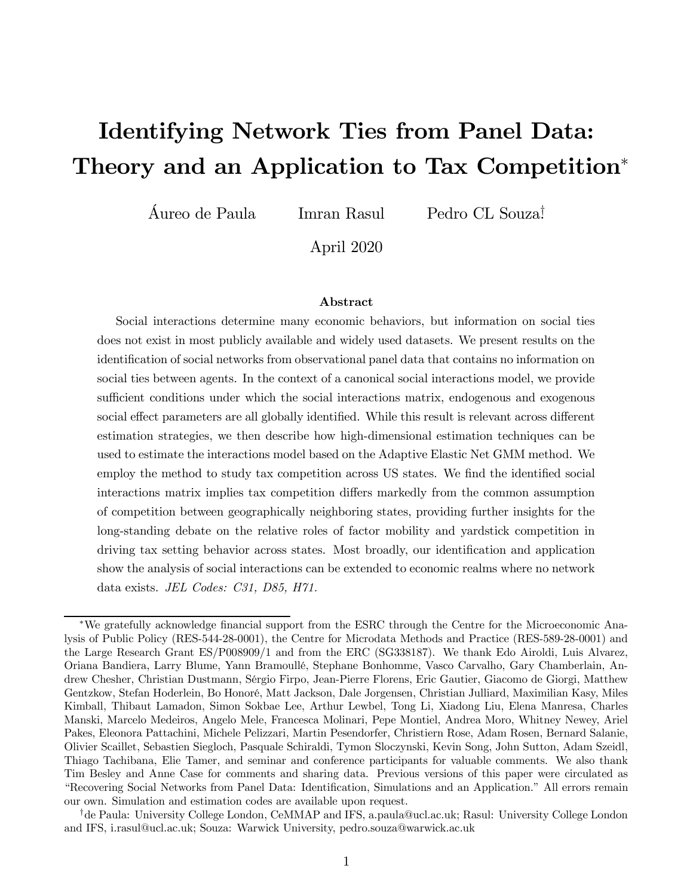# Identifying Network Ties from Panel Data: Theory and an Application to Tax Competition<sup>\*</sup>

Áureo de Paula — Imran Rasul — Pedro CL Souza!

April 2020

#### Abstract

Social interactions determine many economic behaviors, but information on social ties does not exist in most publicly available and widely used datasets. We present results on the identification of social networks from observational panel data that contains no information on social ties between agents. In the context of a canonical social interactions model, we provide sufficient conditions under which the social interactions matrix, endogenous and exogenous social effect parameters are all globally identified. While this result is relevant across different estimation strategies, we then describe how high-dimensional estimation techniques can be used to estimate the interactions model based on the Adaptive Elastic Net GMM method. We employ the method to study tax competition across US states. We find the identified social interactions matrix implies tax competition differs markedly from the common assumption of competition between geographically neighboring states, providing further insights for the long-standing debate on the relative roles of factor mobility and yardstick competition in driving tax setting behavior across states. Most broadly, our identification and application show the analysis of social interactions can be extended to economic realms where no network data exists. *JEL Codes: C31, D85, H71.*

<sup>\*</sup>We gratefully acknowledge financial support from the ESRC through the Centre for the Microeconomic Analysis of Public Policy (RES-544-28-0001), the Centre for Microdata Methods and Practice (RES-589-28-0001) and the Large Research Grant ES/P008909/1 and from the ERC (SG338187). We thank Edo Airoldi, Luis Alvarez, Oriana Bandiera, Larry Blume, Yann Bramoullé, Stephane Bonhomme, Vasco Carvalho, Gary Chamberlain, Andrew Chesher, Christian Dustmann, Sérgio Firpo, Jean-Pierre Florens, Eric Gautier, Giacomo de Giorgi, Matthew Gentzkow, Stefan Hoderlein, Bo Honoré, Matt Jackson, Dale Jorgensen, Christian Julliard, Maximilian Kasy, Miles Kimball, Thibaut Lamadon, Simon Sokbae Lee, Arthur Lewbel, Tong Li, Xiadong Liu, Elena Manresa, Charles Manski, Marcelo Medeiros, Angelo Mele, Francesca Molinari, Pepe Montiel, Andrea Moro, Whitney Newey, Ariel Pakes, Eleonora Pattachini, Michele Pelizzari, Martin Pesendorfer, Christiern Rose, Adam Rosen, Bernard Salanie, Olivier Scaillet, Sebastien Siegloch, Pasquale Schiraldi, Tymon Sloczynski, Kevin Song, John Sutton, Adam Szeidl, Thiago Tachibana, Elie Tamer, and seminar and conference participants for valuable comments. We also thank Tim Besley and Anne Case for comments and sharing data. Previous versions of this paper were circulated as "Recovering Social Networks from Panel Data: Identification, Simulations and an Application." All errors remain our own. Simulation and estimation codes are available upon request.

<sup>&</sup>lt;sup>†</sup>de Paula: University College London, CeMMAP and IFS, a.paula@ucl.ac.uk; Rasul: University College London and IFS, i.rasul@ucl.ac.uk; Souza: Warwick University, pedro.souza@warwick.ac.uk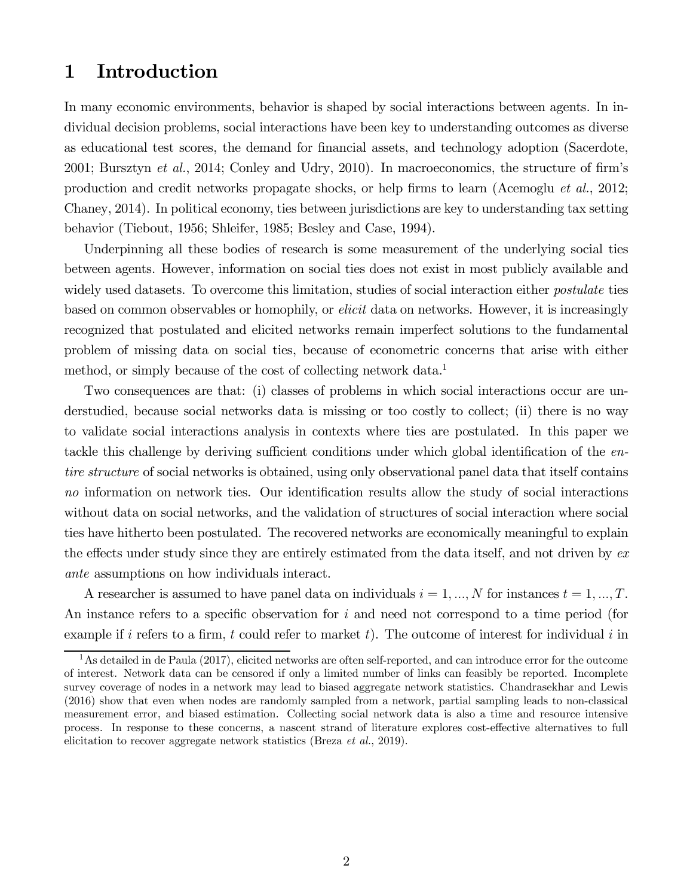### 1 Introduction

In many economic environments, behavior is shaped by social interactions between agents. In individual decision problems, social interactions have been key to understanding outcomes as diverse as educational test scores, the demand for financial assets, and technology adoption (Sacerdote, 2001; Bursztyn *et al.*, 2014; Conley and Udry, 2010). In macroeconomics, the structure of firm's production and credit networks propagate shocks, or help firms to learn (Acemoglu *et al.*, 2012; Chaney, 2014). In political economy, ties between jurisdictions are key to understanding tax setting behavior (Tiebout, 1956; Shleifer, 1985; Besley and Case, 1994).

Underpinning all these bodies of research is some measurement of the underlying social ties between agents. However, information on social ties does not exist in most publicly available and widely used datasets. To overcome this limitation, studies of social interaction either *postulate* ties based on common observables or homophily, or *elicit* data on networks. However, it is increasingly recognized that postulated and elicited networks remain imperfect solutions to the fundamental problem of missing data on social ties, because of econometric concerns that arise with either method, or simply because of the cost of collecting network data.<sup>1</sup>

Two consequences are that: (i) classes of problems in which social interactions occur are understudied, because social networks data is missing or too costly to collect; (ii) there is no way to validate social interactions analysis in contexts where ties are postulated. In this paper we tackle this challenge by deriving sufficient conditions under which global identification of the *entire structure* of social networks is obtained, using only observational panel data that itself contains *no* information on network ties. Our identification results allow the study of social interactions without data on social networks, and the validation of structures of social interaction where social ties have hitherto been postulated. The recovered networks are economically meaningful to explain the effects under study since they are entirely estimated from the data itself, and not driven by *ex ante* assumptions on how individuals interact.

A researcher is assumed to have panel data on individuals  $i = 1, ..., N$  for instances  $t = 1, ..., T$ . An instance refers to a specific observation for  $i$  and need not correspond to a time period (for example if i refers to a firm,  $t$  could refer to market  $t$ ). The outcome of interest for individual  $i$  in

<sup>&</sup>lt;sup>1</sup>As detailed in de Paula (2017), elicited networks are often self-reported, and can introduce error for the outcome of interest. Network data can be censored if only a limited number of links can feasibly be reported. Incomplete survey coverage of nodes in a network may lead to biased aggregate network statistics. Chandrasekhar and Lewis (2016) show that even when nodes are randomly sampled from a network, partial sampling leads to non-classical measurement error, and biased estimation. Collecting social network data is also a time and resource intensive process. In response to these concerns, a nascent strand of literature explores cost-effective alternatives to full elicitation to recover aggregate network statistics (Breza *et al.*, 2019).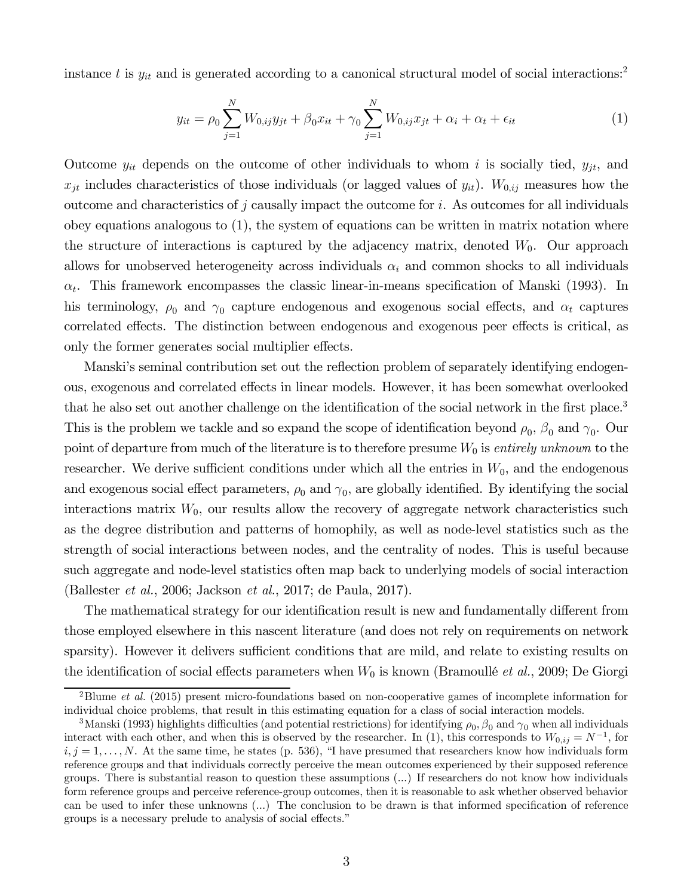instance t is  $y_{it}$  and is generated according to a canonical structural model of social interactions:<sup>2</sup>

$$
y_{it} = \rho_0 \sum_{j=1}^{N} W_{0,ij} y_{jt} + \beta_0 x_{it} + \gamma_0 \sum_{j=1}^{N} W_{0,ij} x_{jt} + \alpha_i + \alpha_t + \epsilon_{it}
$$
 (1)

Outcome  $y_{it}$  depends on the outcome of other individuals to whom i is socially tied,  $y_{jt}$ , and  $x_{jt}$  includes characteristics of those individuals (or lagged values of  $y_{it}$ ).  $W_{0,ij}$  measures how the outcome and characteristics of  $j$  causally impact the outcome for  $i$ . As outcomes for all individuals obey equations analogous to (1), the system of equations can be written in matrix notation where the structure of interactions is captured by the adjacency matrix, denoted  $W_0$ . Our approach allows for unobserved heterogeneity across individuals  $\alpha_i$  and common shocks to all individuals  $\alpha_t$ . This framework encompasses the classic linear-in-means specification of Manski (1993). In his terminology,  $\rho_0$  and  $\gamma_0$  capture endogenous and exogenous social effects, and  $\alpha_t$  captures correlated effects. The distinction between endogenous and exogenous peer effects is critical, as only the former generates social multiplier effects.

Manski's seminal contribution set out the reflection problem of separately identifying endogenous, exogenous and correlated effects in linear models. However, it has been somewhat overlooked that he also set out another challenge on the identification of the social network in the first place.<sup>3</sup> This is the problem we tackle and so expand the scope of identification beyond  $\rho_0$ ,  $\beta_0$  and  $\gamma_0$ . Our point of departure from much of the literature is to therefore presume  $W_0$  is *entirely unknown* to the researcher. We derive sufficient conditions under which all the entries in  $W_0$ , and the endogenous and exogenous social effect parameters,  $\rho_0$  and  $\gamma_0$ , are globally identified. By identifying the social interactions matrix  $W_0$ , our results allow the recovery of aggregate network characteristics such as the degree distribution and patterns of homophily, as well as node-level statistics such as the strength of social interactions between nodes, and the centrality of nodes. This is useful because such aggregate and node-level statistics often map back to underlying models of social interaction (Ballester *et al.*, 2006; Jackson *et al.*, 2017; de Paula, 2017).

The mathematical strategy for our identification result is new and fundamentally different from those employed elsewhere in this nascent literature (and does not rely on requirements on network sparsity). However it delivers sufficient conditions that are mild, and relate to existing results on the identification of social effects parameters when  $W_0$  is known (Bramoullé *et al.*, 2009; De Giorgi

<sup>2</sup>Blume *et al.* (2015) present micro-foundations based on non-cooperative games of incomplete information for individual choice problems, that result in this estimating equation for a class of social interaction models.

<sup>&</sup>lt;sup>3</sup>Manski (1993) highlights difficulties (and potential restrictions) for identifying  $\rho_0$ ,  $\beta_0$  and  $\gamma_0$  when all individuals interact with each other, and when this is observed by the researcher. In (1), this corresponds to  $W_{0,ij} = N^{-1}$ , for  $i, j = 1, \ldots, N$ . At the same time, he states (p. 536), "I have presumed that researchers know how individuals form reference groups and that individuals correctly perceive the mean outcomes experienced by their supposed reference groups. There is substantial reason to question these assumptions (...) If researchers do not know how individuals form reference groups and perceive reference-group outcomes, then it is reasonable to ask whether observed behavior can be used to infer these unknowns  $(...)$  The conclusion to be drawn is that informed specification of reference groups is a necessary prelude to analysis of social effects."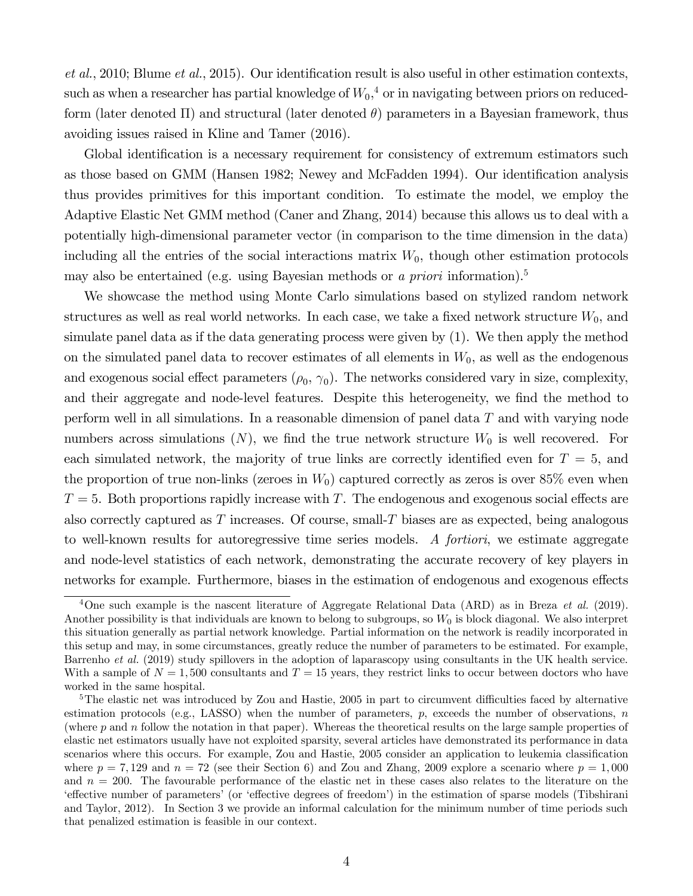*et al.*, 2010; Blume *et al.*, 2015). Our identification result is also useful in other estimation contexts, such as when a researcher has partial knowledge of  $W_0$ <sup>4</sup>, or in navigating between priors on reducedform (later denoted  $\Pi$ ) and structural (later denoted  $\theta$ ) parameters in a Bayesian framework, thus avoiding issues raised in Kline and Tamer (2016).

Global identification is a necessary requirement for consistency of extremum estimators such as those based on GMM (Hansen 1982; Newey and McFadden 1994). Our identification analysis thus provides primitives for this important condition. To estimate the model, we employ the Adaptive Elastic Net GMM method (Caner and Zhang, 2014) because this allows us to deal with a potentially high-dimensional parameter vector (in comparison to the time dimension in the data) including all the entries of the social interactions matrix  $W_0$ , though other estimation protocols may also be entertained (e.g. using Bayesian methods or *a priori* information).<sup>5</sup>

We showcase the method using Monte Carlo simulations based on stylized random network structures as well as real world networks. In each case, we take a fixed network structure  $W_0$ , and simulate panel data as if the data generating process were given by (1). We then apply the method on the simulated panel data to recover estimates of all elements in  $W_0$ , as well as the endogenous and exogenous social effect parameters  $(\rho_0, \gamma_0)$ . The networks considered vary in size, complexity, and their aggregate and node-level features. Despite this heterogeneity, we find the method to perform well in all simulations. In a reasonable dimension of panel data  $T$  and with varying node numbers across simulations  $(N)$ , we find the true network structure  $W_0$  is well recovered. For each simulated network, the majority of true links are correctly identified even for  $T = 5$ , and the proportion of true non-links (zeroes in  $W_0$ ) captured correctly as zeros is over 85% even when  $T=5$ . Both proportions rapidly increase with T. The endogenous and exogenous social effects are also correctly captured as  $T$  increases. Of course, small- $T$  biases are as expected, being analogous to well-known results for autoregressive time series models. *A fortiori*, we estimate aggregate and node-level statistics of each network, demonstrating the accurate recovery of key players in networks for example. Furthermore, biases in the estimation of endogenous and exogenous effects

<sup>4</sup>One such example is the nascent literature of Aggregate Relational Data (ARD) as in Breza *et al.* (2019). Another possibility is that individuals are known to belong to subgroups, so  $W_0$  is block diagonal. We also interpret this situation generally as partial network knowledge. Partial information on the network is readily incorporated in this setup and may, in some circumstances, greatly reduce the number of parameters to be estimated. For example, Barrenho *et al.* (2019) study spillovers in the adoption of laparascopy using consultants in the UK health service. With a sample of  $N = 1,500$  consultants and  $T = 15$  years, they restrict links to occur between doctors who have worked in the same hospital.

 $5$ The elastic net was introduced by Zou and Hastie, 2005 in part to circumvent difficulties faced by alternative estimation protocols (e.g., LASSO) when the number of parameters,  $p$ , exceeds the number of observations,  $n$ (where  $p$  and  $n$  follow the notation in that paper). Whereas the theoretical results on the large sample properties of elastic net estimators usually have not exploited sparsity, several articles have demonstrated its performance in data scenarios where this occurs. For example, Zou and Hastie, 2005 consider an application to leukemia classification where  $p = 7,129$  and  $n = 72$  (see their Section 6) and Zou and Zhang, 2009 explore a scenario where  $p = 1,000$ and  $n = 200$ . The favourable performance of the elastic net in these cases also relates to the literature on the 'effective number of parameters' (or 'effective degrees of freedom') in the estimation of sparse models (Tibshirani and Taylor, 2012). In Section 3 we provide an informal calculation for the minimum number of time periods such that penalized estimation is feasible in our context.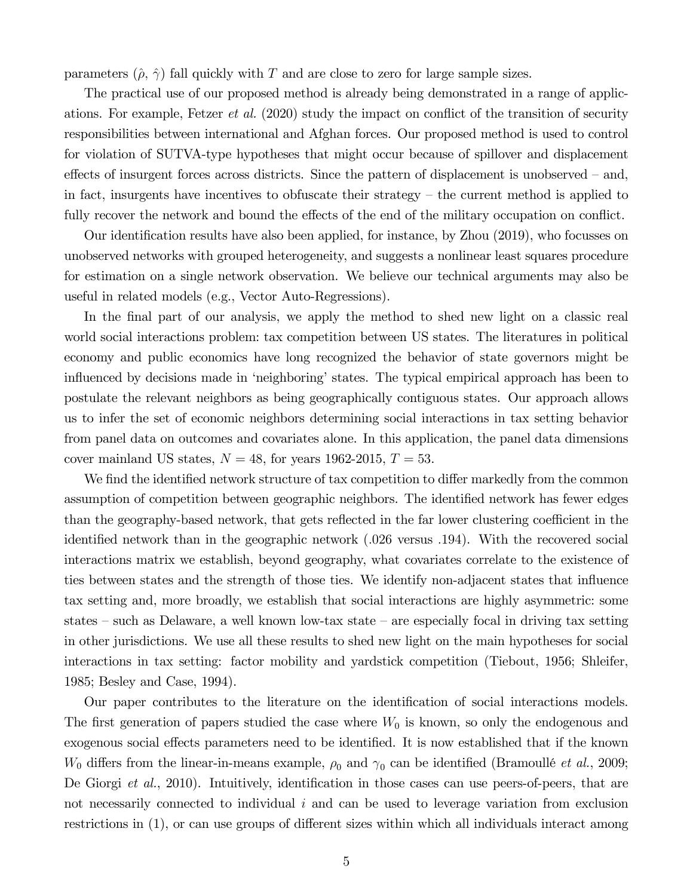parameters  $(\hat{\rho}, \hat{\gamma})$  fall quickly with T and are close to zero for large sample sizes.

The practical use of our proposed method is already being demonstrated in a range of applications. For example, Fetzer *et al.* (2020) study the impact on conflict of the transition of security responsibilities between international and Afghan forces. Our proposed method is used to control for violation of SUTVA-type hypotheses that might occur because of spillover and displacement effects of insurgent forces across districts. Since the pattern of displacement is unobserved – and, in fact, insurgents have incentives to obfuscate their strategy – the current method is applied to fully recover the network and bound the effects of the end of the military occupation on conflict.

Our identification results have also been applied, for instance, by Zhou (2019), who focusses on unobserved networks with grouped heterogeneity, and suggests a nonlinear least squares procedure for estimation on a single network observation. We believe our technical arguments may also be useful in related models (e.g., Vector Auto-Regressions).

In the final part of our analysis, we apply the method to shed new light on a classic real world social interactions problem: tax competition between US states. The literatures in political economy and public economics have long recognized the behavior of state governors might be influenced by decisions made in 'neighboring' states. The typical empirical approach has been to postulate the relevant neighbors as being geographically contiguous states. Our approach allows us to infer the set of economic neighbors determining social interactions in tax setting behavior from panel data on outcomes and covariates alone. In this application, the panel data dimensions cover mainland US states,  $N = 48$ , for years 1962-2015,  $T = 53$ .

We find the identified network structure of tax competition to differ markedly from the common assumption of competition between geographic neighbors. The identified network has fewer edges than the geography-based network, that gets reflected in the far lower clustering coefficient in the identified network than in the geographic network  $(0.026 \text{ versus } 0.194)$ . With the recovered social interactions matrix we establish, beyond geography, what covariates correlate to the existence of ties between states and the strength of those ties. We identify non-adjacent states that influence tax setting and, more broadly, we establish that social interactions are highly asymmetric: some states – such as Delaware, a well known low-tax state – are especially focal in driving tax setting in other jurisdictions. We use all these results to shed new light on the main hypotheses for social interactions in tax setting: factor mobility and yardstick competition (Tiebout, 1956; Shleifer, 1985; Besley and Case, 1994).

Our paper contributes to the literature on the identification of social interactions models. The first generation of papers studied the case where  $W_0$  is known, so only the endogenous and exogenous social effects parameters need to be identified. It is now established that if the known  $W_0$  differs from the linear-in-means example,  $\rho_0$  and  $\gamma_0$  can be identified (Bramoullé *et al.*, 2009; De Giorgi *et al.*, 2010). Intuitively, identification in those cases can use peers-of-peers, that are not necessarily connected to individual  $i$  and can be used to leverage variation from exclusion restrictions in (1), or can use groups of different sizes within which all individuals interact among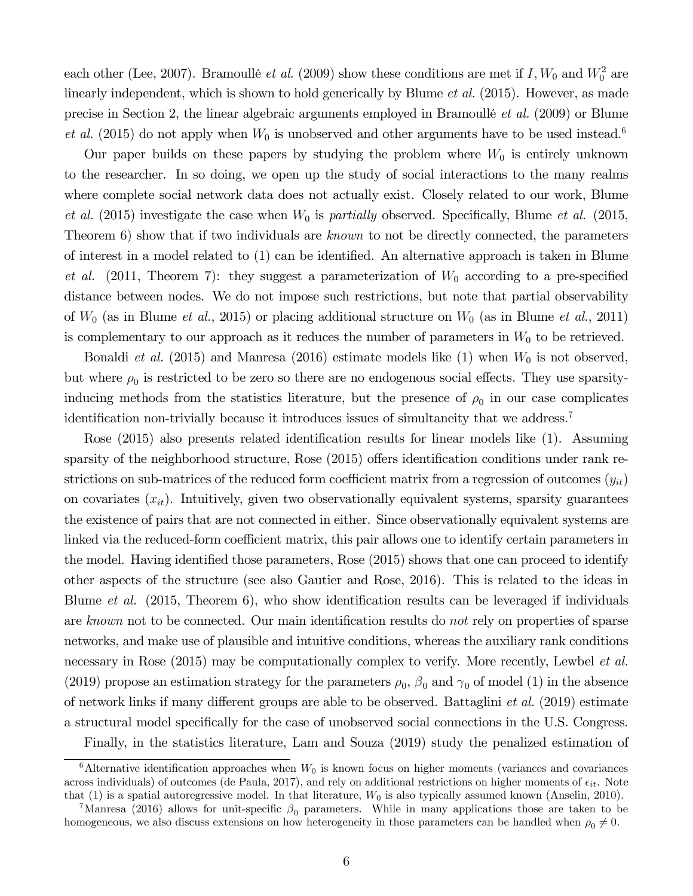each other (Lee, 2007). Bramoullé *et al.* (2009) show these conditions are met if  $I$ ,  $W_0$  and  $W_0^2$  are linearly independent, which is shown to hold generically by Blume *et al.* (2015). However, as made precise in Section 2, the linear algebraic arguments employed in Bramoullé *et al.* (2009) or Blume *et al.* (2015) do not apply when  $W_0$  is unobserved and other arguments have to be used instead.<sup>6</sup>

Our paper builds on these papers by studying the problem where  $W_0$  is entirely unknown to the researcher. In so doing, we open up the study of social interactions to the many realms where complete social network data does not actually exist. Closely related to our work, Blume *et al.* (2015) investigate the case when  $W_0$  is *partially* observed. Specifically, Blume *et al.* (2015, Theorem 6) show that if two individuals are *known* to not be directly connected, the parameters of interest in a model related to  $(1)$  can be identified. An alternative approach is taken in Blume *et al.* (2011, Theorem 7): they suggest a parameterization of  $W_0$  according to a pre-specified distance between nodes. We do not impose such restrictions, but note that partial observability of  $W_0$  (as in Blume *et al.*, 2015) or placing additional structure on  $W_0$  (as in Blume *et al.*, 2011) is complementary to our approach as it reduces the number of parameters in  $W_0$  to be retrieved.

Bonaldi *et al.* (2015) and Manresa (2016) estimate models like  $(1)$  when  $W_0$  is not observed, but where  $\rho_0$  is restricted to be zero so there are no endogenous social effects. They use sparsityinducing methods from the statistics literature, but the presence of  $\rho_0$  in our case complicates identification non-trivially because it introduces issues of simultaneity that we address.<sup>7</sup>

Rose  $(2015)$  also presents related identification results for linear models like  $(1)$ . Assuming sparsity of the neighborhood structure, Rose  $(2015)$  offers identification conditions under rank restrictions on sub-matrices of the reduced form coefficient matrix from a regression of outcomes  $(y_{it})$ on covariates  $(x_{it})$ . Intuitively, given two observationally equivalent systems, sparsity guarantees the existence of pairs that are not connected in either. Since observationally equivalent systems are linked via the reduced-form coefficient matrix, this pair allows one to identify certain parameters in the model. Having identified those parameters, Rose (2015) shows that one can proceed to identify other aspects of the structure (see also Gautier and Rose, 2016). This is related to the ideas in Blume *et al.* (2015, Theorem 6), who show identification results can be leveraged if individuals are *known* not to be connected. Our main identification results do *not* rely on properties of sparse networks, and make use of plausible and intuitive conditions, whereas the auxiliary rank conditions necessary in Rose (2015) may be computationally complex to verify. More recently, Lewbel *et al.* (2019) propose an estimation strategy for the parameters  $\rho_0$ ,  $\beta_0$  and  $\gamma_0$  of model (1) in the absence of network links if many different groups are able to be observed. Battaglini *et al.* (2019) estimate a structural model specifically for the case of unobserved social connections in the U.S. Congress.

Finally, in the statistics literature, Lam and Souza (2019) study the penalized estimation of

 $6$ Alternative identification approaches when  $W_0$  is known focus on higher moments (variances and covariances across individuals) of outcomes (de Paula, 2017), and rely on additional restrictions on higher moments of  $\epsilon_{it}$ . Note that  $(1)$  is a spatial autoregressive model. In that literature,  $W_0$  is also typically assumed known (Anselin, 2010).

<sup>&</sup>lt;sup>7</sup>Manresa (2016) allows for unit-specific  $\beta_0$  parameters. While in many applications those are taken to be homogeneous, we also discuss extensions on how heterogeneity in those parameters can be handled when  $\rho_0 \neq 0$ .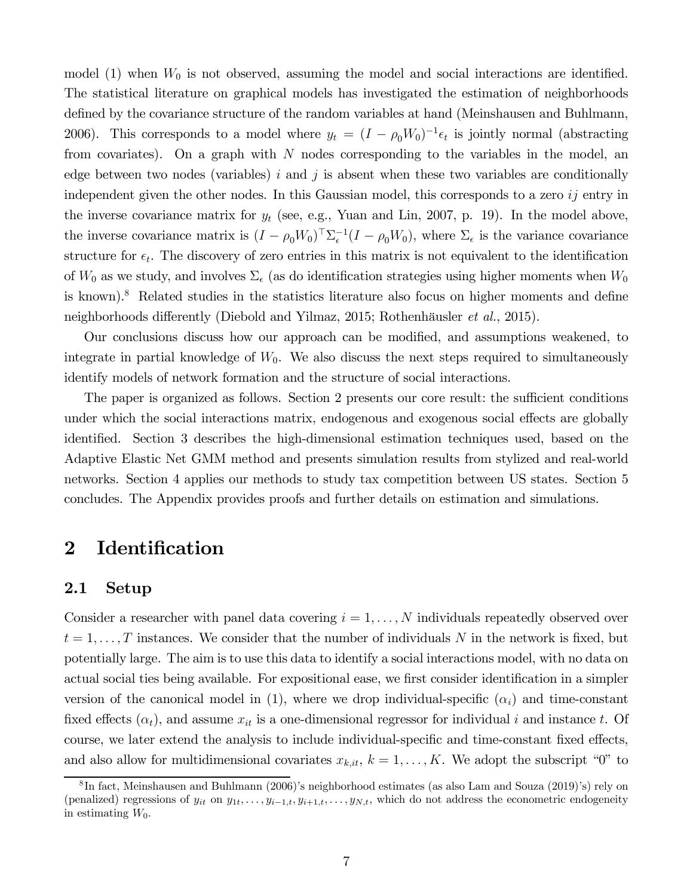model (1) when  $W_0$  is not observed, assuming the model and social interactions are identified. The statistical literature on graphical models has investigated the estimation of neighborhoods defined by the covariance structure of the random variables at hand (Meinshausen and Buhlmann, 2006). This corresponds to a model where  $y_t = (I - \rho_0 W_0)^{-1} \epsilon_t$  is jointly normal (abstracting from covariates). On a graph with  $N$  nodes corresponding to the variables in the model, an edge between two nodes (variables)  $i$  and  $j$  is absent when these two variables are conditionally independent given the other nodes. In this Gaussian model, this corresponds to a zero  $i\dot{j}$  entry in the inverse covariance matrix for  $y_t$  (see, e.g., Yuan and Lin, 2007, p. 19). In the model above, the inverse covariance matrix is  $(I - \rho_0 W_0)^\top \Sigma_{\epsilon}^{-1} (I - \rho_0 W_0)$ , where  $\Sigma_{\epsilon}$  is the variance covariance structure for  $\epsilon_t$ . The discovery of zero entries in this matrix is not equivalent to the identification of  $W_0$  as we study, and involves  $\Sigma_{\epsilon}$  (as do identification strategies using higher moments when  $W_0$ is known).<sup>8</sup> Related studies in the statistics literature also focus on higher moments and define neighborhoods differently (Diebold and Yilmaz, 2015; Rothenhäusler *et al.*, 2015).

Our conclusions discuss how our approach can be modified, and assumptions weakened, to integrate in partial knowledge of  $W_0$ . We also discuss the next steps required to simultaneously identify models of network formation and the structure of social interactions.

The paper is organized as follows. Section 2 presents our core result: the sufficient conditions under which the social interactions matrix, endogenous and exogenous social effects are globally identified. Section 3 describes the high-dimensional estimation techniques used, based on the Adaptive Elastic Net GMM method and presents simulation results from stylized and real-world networks. Section 4 applies our methods to study tax competition between US states. Section 5 concludes. The Appendix provides proofs and further details on estimation and simulations.

### 2 Identification

### 2.1 Setup

Consider a researcher with panel data covering  $i = 1, \ldots, N$  individuals repeatedly observed over  $t = 1, \ldots, T$  instances. We consider that the number of individuals N in the network is fixed, but potentially large. The aim is to use this data to identify a social interactions model, with no data on actual social ties being available. For expositional ease, we first consider identification in a simpler version of the canonical model in (1), where we drop individual-specific  $(\alpha_i)$  and time-constant fixed effects  $(\alpha_t)$ , and assume  $x_{it}$  is a one-dimensional regressor for individual i and instance t. Of course, we later extend the analysis to include individual-specific and time-constant fixed effects, and also allow for multidimensional covariates  $x_{k, it}$ ,  $k = 1, \ldots, K$ . We adopt the subscript "0" to

<sup>8</sup> In fact, Meinshausen and Buhlmann (2006)'s neighborhood estimates (as also Lam and Souza (2019)'s) rely on (penalized) regressions of  $y_{it}$  on  $y_{1t}, \ldots, y_{i-1,t}, y_{i+1,t}, \ldots, y_{N,t}$ , which do not address the econometric endogeneity in estimating  $W_0$ .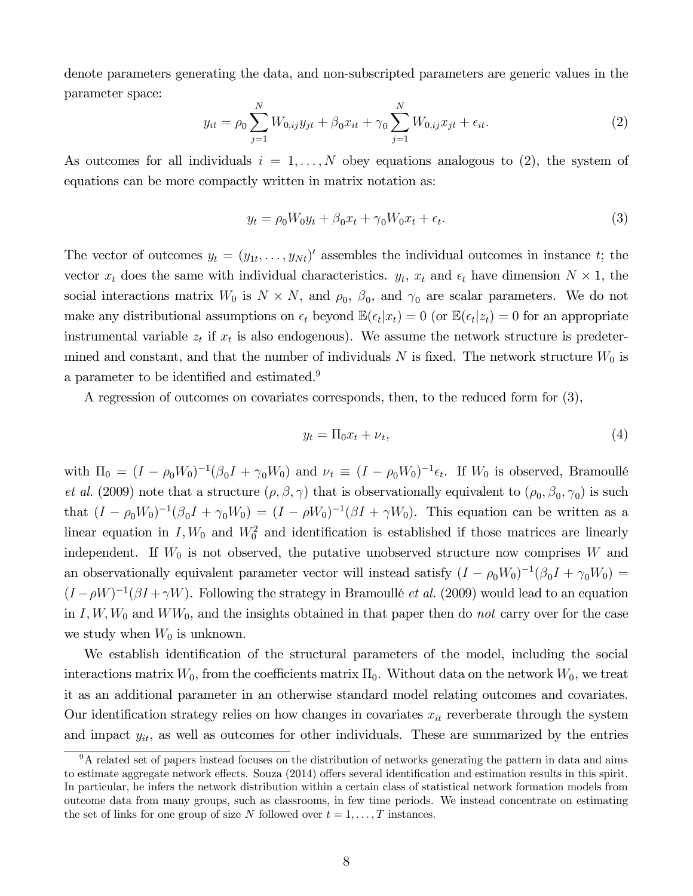denote parameters generating the data, and non-subscripted parameters are generic values in the parameter space:

$$
y_{it} = \rho_0 \sum_{j=1}^{N} W_{0,ij} y_{jt} + \beta_0 x_{it} + \gamma_0 \sum_{j=1}^{N} W_{0,ij} x_{jt} + \epsilon_{it}.
$$
 (2)

As outcomes for all individuals  $i = 1, \ldots, N$  obey equations analogous to (2), the system of equations can be more compactly written in matrix notation as:

$$
y_t = \rho_0 W_0 y_t + \beta_0 x_t + \gamma_0 W_0 x_t + \epsilon_t.
$$
\n
$$
\tag{3}
$$

The vector of outcomes  $y_t = (y_{1t}, \ldots, y_{Nt})'$  assembles the individual outcomes in instance t; the vector  $x_t$  does the same with individual characteristics.  $y_t$ ,  $x_t$  and  $\epsilon_t$  have dimension  $N \times 1$ , the social interactions matrix  $W_0$  is  $N \times N$ , and  $\rho_0$ ,  $\beta_0$ , and  $\gamma_0$  are scalar parameters. We do not make any distributional assumptions on  $\epsilon_t$  beyond  $\mathbb{E}(\epsilon_t|x_t) = 0$  (or  $\mathbb{E}(\epsilon_t|z_t) = 0$  for an appropriate instrumental variable  $z_t$  if  $x_t$  is also endogenous). We assume the network structure is predetermined and constant, and that the number of individuals N is fixed. The network structure  $W_0$  is a parameter to be identified and estimated.<sup>9</sup>

A regression of outcomes on covariates corresponds, then, to the reduced form for (3),

$$
y_t = \Pi_0 x_t + \nu_t,\tag{4}
$$

with  $\Pi_0 = (I - \rho_0 W_0)^{-1} (\beta_0 I + \gamma_0 W_0)$  and  $\nu_t \equiv (I - \rho_0 W_0)^{-1} \epsilon_t$ . If  $W_0$  is observed, Bramoullé *et al.* (2009) note that a structure  $(\rho, \beta, \gamma)$  that is observationally equivalent to  $(\rho_0, \beta_0, \gamma_0)$  is such that  $(I - \rho_0 W_0)^{-1} (\beta_0 I + \gamma_0 W_0) = (I - \rho W_0)^{-1} (\beta I + \gamma W_0)$ . This equation can be written as a linear equation in  $I, W_0$  and  $W_0^2$  and identification is established if those matrices are linearly independent. If  $W_0$  is not observed, the putative unobserved structure now comprises  $W$  and an observationally equivalent parameter vector will instead satisfy  $(I - \rho_0 W_0)^{-1} (\beta_0 I + \gamma_0 W_0) =$  $(I - \rho W)^{-1}(\beta I + \gamma W)$ . Following the strategy in Bramoullé *et al.* (2009) would lead to an equation in  $I, W, W_0$  and  $WW_0$ , and the insights obtained in that paper then do *not* carry over for the case we study when  $W_0$  is unknown.

We establish identification of the structural parameters of the model, including the social interactions matrix  $W_0$ , from the coefficients matrix  $\Pi_0$ . Without data on the network  $W_0$ , we treat it as an additional parameter in an otherwise standard model relating outcomes and covariates. Our identification strategy relies on how changes in covariates  $x_{it}$  reverberate through the system and impact  $y_{it}$ , as well as outcomes for other individuals. These are summarized by the entries

 $9^9$ A related set of papers instead focuses on the distribution of networks generating the pattern in data and aims to estimate aggregate network effects. Souza (2014) offers several identification and estimation results in this spirit. In particular, he infers the network distribution within a certain class of statistical network formation models from outcome data from many groups, such as classrooms, in few time periods. We instead concentrate on estimating the set of links for one group of size N followed over  $t = 1, \ldots, T$  instances.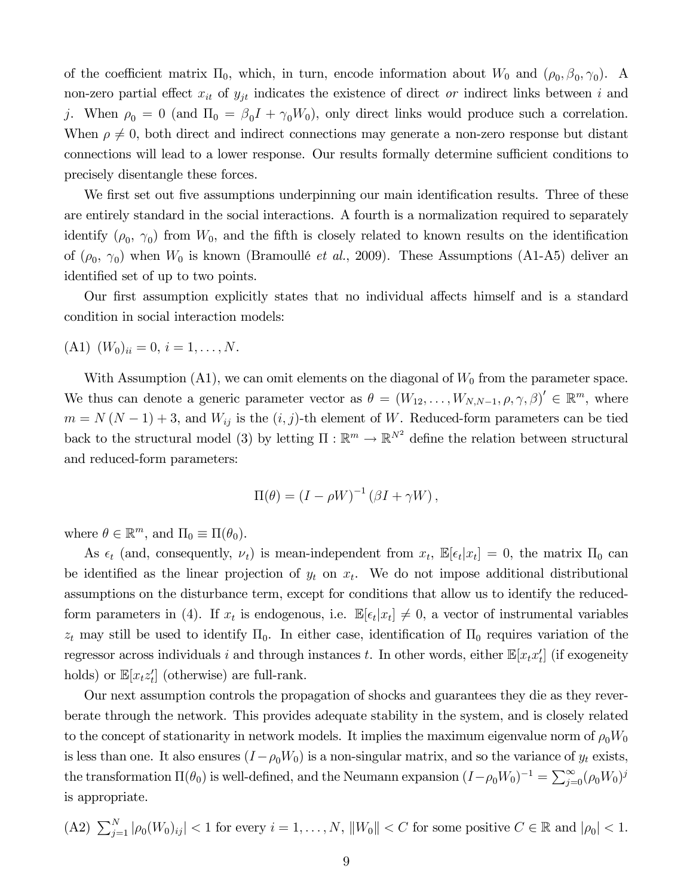of the coefficient matrix  $\Pi_0$ , which, in turn, encode information about  $W_0$  and  $(\rho_0, \beta_0, \gamma_0)$ . A non-zero partial effect  $x_{it}$  of  $y_{jt}$  indicates the existence of direct *or* indirect links between *i* and j. When  $\rho_0 = 0$  (and  $\Pi_0 = \beta_0 I + \gamma_0 W_0$ ), only direct links would produce such a correlation. When  $\rho \neq 0$ , both direct and indirect connections may generate a non-zero response but distant connections will lead to a lower response. Our results formally determine sufficient conditions to precisely disentangle these forces.

We first set out five assumptions underpinning our main identification results. Three of these are entirely standard in the social interactions. A fourth is a normalization required to separately identify  $(\rho_0, \gamma_0)$  from  $W_0$ , and the fifth is closely related to known results on the identification of  $(\rho_0, \gamma_0)$  when  $W_0$  is known (Bramoullé *et al.*, 2009). These Assumptions (A1-A5) deliver an identified set of up to two points.

Our first assumption explicitly states that no individual affects himself and is a standard condition in social interaction models:

 $(A1)$   $(W_0)_{ii} = 0, i = 1, \ldots, N$ .

With Assumption  $(A1)$ , we can omit elements on the diagonal of  $W_0$  from the parameter space. We thus can denote a generic parameter vector as  $\theta = (W_{12}, \ldots, W_{N,N-1}, \rho, \gamma, \beta)' \in \mathbb{R}^m$ , where  $m = N (N - 1) + 3$ , and  $W_{ij}$  is the  $(i, j)$ -th element of W. Reduced-form parameters can be tied back to the structural model (3) by letting  $\Pi : \mathbb{R}^m \to \mathbb{R}^{N^2}$  define the relation between structural and reduced-form parameters:

$$
\Pi(\theta) = (I - \rho W)^{-1} (\beta I + \gamma W),
$$

where  $\theta \in \mathbb{R}^m$ , and  $\Pi_0 \equiv \Pi(\theta_0)$ .

As  $\epsilon_t$  (and, consequently,  $\nu_t$ ) is mean-independent from  $x_t$ ,  $\mathbb{E}[\epsilon_t | x_t] = 0$ , the matrix  $\Pi_0$  can be identified as the linear projection of  $y_t$  on  $x_t$ . We do not impose additional distributional assumptions on the disturbance term, except for conditions that allow us to identify the reducedform parameters in (4). If  $x_t$  is endogenous, i.e.  $\mathbb{E}[\epsilon_t | x_t] \neq 0$ , a vector of instrumental variables  $z_t$  may still be used to identify  $\Pi_0$ . In either case, identification of  $\Pi_0$  requires variation of the regressor across individuals *i* and through instances *t*. In other words, either  $\mathbb{E}[x_t x_t']$  (if exogeneity holds) or  $\mathbb{E}[x_t z_t']$  (otherwise) are full-rank.

Our next assumption controls the propagation of shocks and guarantees they die as they reverberate through the network. This provides adequate stability in the system, and is closely related to the concept of stationarity in network models. It implies the maximum eigenvalue norm of  $\rho_0W_0$ is less than one. It also ensures  $(I - \rho_0 W_0)$  is a non-singular matrix, and so the variance of  $y_t$  exists, the transformation  $\Pi(\theta_0)$  is well-defined, and the Neumann expansion  $(I-\rho_0W_0)^{-1} = \sum_{j=0}^{\infty} (\rho_0W_0)^j$ is appropriate.

(A2) 
$$
\sum_{j=1}^{N} |\rho_0(W_0)_{ij}| < 1
$$
 for every  $i = 1, \ldots, N$ ,  $||W_0|| < C$  for some positive  $C \in \mathbb{R}$  and  $|\rho_0| < 1$ .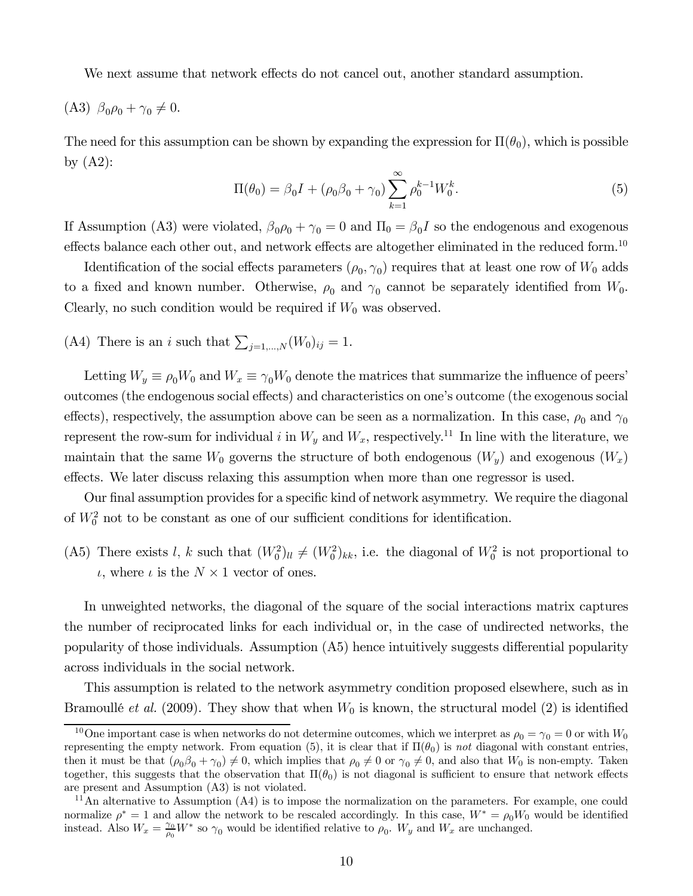We next assume that network effects do not cancel out, another standard assumption.

$$
(A3) \ \beta_0 \rho_0 + \gamma_0 \neq 0.
$$

The need for this assumption can be shown by expanding the expression for  $\Pi(\theta_0)$ , which is possible by  $(A2)$ :

$$
\Pi(\theta_0) = \beta_0 I + (\rho_0 \beta_0 + \gamma_0) \sum_{k=1}^{\infty} \rho_0^{k-1} W_0^k.
$$
 (5)

If Assumption (A3) were violated,  $\beta_0 \rho_0 + \gamma_0 = 0$  and  $\Pi_0 = \beta_0 I$  so the endogenous and exogenous effects balance each other out, and network effects are altogether eliminated in the reduced form.<sup>10</sup>

Identification of the social effects parameters  $(\rho_0, \gamma_0)$  requires that at least one row of  $W_0$  adds to a fixed and known number. Otherwise,  $\rho_0$  and  $\gamma_0$  cannot be separately identified from  $W_0$ . Clearly, no such condition would be required if  $W_0$  was observed.

(A4) There is an *i* such that  $\sum_{j=1,\dots,N} (W_0)_{ij} = 1$ .

Letting  $W_y \equiv \rho_0 W_0$  and  $W_x \equiv \gamma_0 W_0$  denote the matrices that summarize the influence of peers' outcomes (the endogenous social effects) and characteristics on one's outcome (the exogenous social effects), respectively, the assumption above can be seen as a normalization. In this case,  $\rho_0$  and  $\gamma_0$ represent the row-sum for individual i in  $W_y$  and  $W_x$ , respectively.<sup>11</sup> In line with the literature, we maintain that the same  $W_0$  governs the structure of both endogenous  $(W_y)$  and exogenous  $(W_x)$ effects. We later discuss relaxing this assumption when more than one regressor is used.

Our final assumption provides for a specific kind of network asymmetry. We require the diagonal of  $W_0^2$  not to be constant as one of our sufficient conditions for identification.

(A5) There exists *l*, *k* such that  $(W_0^2)_{ll} \neq (W_0^2)_{kk}$ , i.e. the diagonal of  $W_0^2$  is not proportional to  $\iota$ , where  $\iota$  is the  $N \times 1$  vector of ones.

In unweighted networks, the diagonal of the square of the social interactions matrix captures the number of reciprocated links for each individual or, in the case of undirected networks, the popularity of those individuals. Assumption  $(A5)$  hence intuitively suggests differential popularity across individuals in the social network.

This assumption is related to the network asymmetry condition proposed elsewhere, such as in Bramoullé *et al.* (2009). They show that when  $W_0$  is known, the structural model (2) is identified

<sup>&</sup>lt;sup>10</sup>One important case is when networks do not determine outcomes, which we interpret as  $\rho_0 = \gamma_0 = 0$  or with  $W_0$ representing the empty network. From equation (5), it is clear that if  $\Pi(\theta_0)$  is *not* diagonal with constant entries, then it must be that  $(\rho_0 \beta_0 + \gamma_0) \neq 0$ , which implies that  $\rho_0 \neq 0$  or  $\gamma_0 \neq 0$ , and also that  $W_0$  is non-empty. Taken together, this suggests that the observation that  $\Pi(\theta_0)$  is not diagonal is sufficient to ensure that network effects are present and Assumption (A3) is not violated.

 $11$ An alternative to Assumption  $(A4)$  is to impose the normalization on the parameters. For example, one could normalize  $\rho^* = 1$  and allow the network to be rescaled accordingly. In this case,  $W^* = \rho_0 W_0$  would be identified instead. Also  $W_x = \frac{\gamma_0}{\rho_0}$  $\frac{\gamma_0}{\rho_0} W^*$  so  $\gamma_0$  would be identified relative to  $\rho_0$ .  $W_y$  and  $W_x$  are unchanged.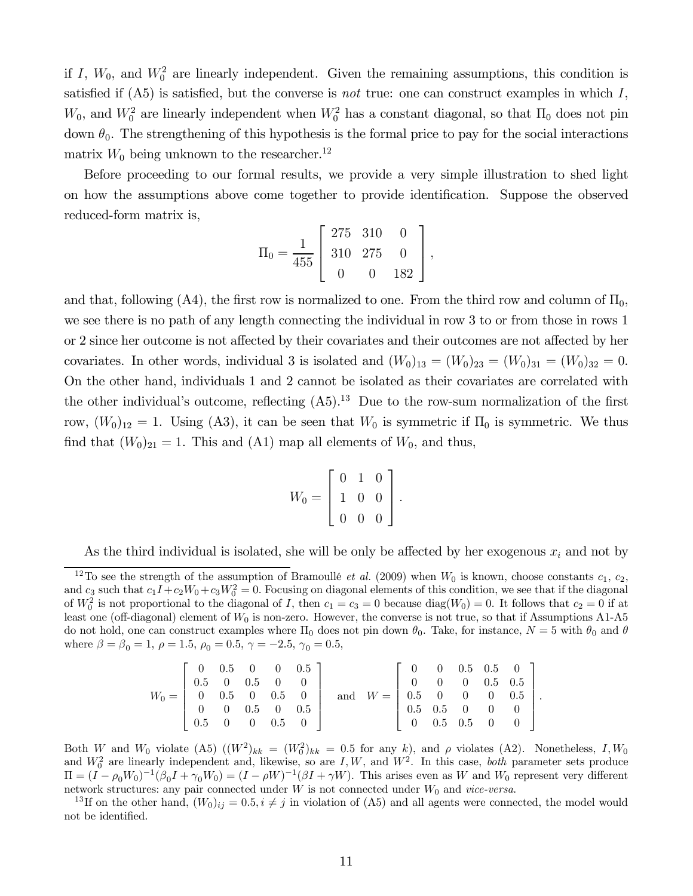if I,  $W_0$ , and  $W_0^2$  are linearly independent. Given the remaining assumptions, this condition is satisfied if  $(A5)$  is satisfied, but the converse is *not* true: one can construct examples in which  $I$ ,  $W_0$ , and  $W_0^2$  are linearly independent when  $W_0^2$  has a constant diagonal, so that  $\Pi_0$  does not pin down  $\theta_0$ . The strengthening of this hypothesis is the formal price to pay for the social interactions matrix  $W_0$  being unknown to the researcher.<sup>12</sup>

Before proceeding to our formal results, we provide a very simple illustration to shed light on how the assumptions above come together to provide identification. Suppose the observed reduced-form matrix is,

$$
\Pi_0 = \frac{1}{455} \left[ \begin{array}{ccc} 275 & 310 & 0 \\ 310 & 275 & 0 \\ 0 & 0 & 182 \end{array} \right],
$$

and that, following (A4), the first row is normalized to one. From the third row and column of  $\Pi_0$ , we see there is no path of any length connecting the individual in row 3 to or from those in rows 1 or 2 since her outcome is not affected by their covariates and their outcomes are not affected by her covariates. In other words, individual 3 is isolated and  $(W_0)_{13} = (W_0)_{23} = (W_0)_{31} = (W_0)_{32} = 0.$ On the other hand, individuals 1 and 2 cannot be isolated as their covariates are correlated with the other individual's outcome, reflecting  $(A5)^{13}$  Due to the row-sum normalization of the first row,  $(W_0)_{12} = 1$ . Using (A3), it can be seen that  $W_0$  is symmetric if  $\Pi_0$  is symmetric. We thus find that  $(W_0)_{21} = 1$ . This and (A1) map all elements of  $W_0$ , and thus,

$$
W_0 = \left[ \begin{array}{rrr} 0 & 1 & 0 \\ 1 & 0 & 0 \\ 0 & 0 & 0 \end{array} \right].
$$

As the third individual is isolated, she will be only be affected by her exogenous  $x_i$  and not by

<sup>&</sup>lt;sup>12</sup>To see the strength of the assumption of Bramoullé *et al.* (2009) when  $W_0$  is known, choose constants  $c_1, c_2$ , and  $c_3$  such that  $c_1I + c_2W_0 + c_3W_0^2 = 0$ . Focusing on diagonal elements of this condition, we see that if the diagonal of  $W_0^2$  is not proportional to the diagonal of I, then  $c_1 = c_3 = 0$  because  $\text{diag}(W_0) = 0$ . It follows that  $c_2 = 0$  if at least one (off-diagonal) element of  $W_0$  is non-zero. However, the converse is not true, so that if Assumptions A1-A5 do not hold, one can construct examples where  $\Pi_0$  does not pin down  $\theta_0$ . Take, for instance,  $N=5$  with  $\theta_0$  and  $\theta$ where  $\beta = \beta_0 = 1$ ,  $\rho = 1.5$ ,  $\rho_0 = 0.5$ ,  $\gamma = -2.5$ ,  $\gamma_0 = 0.5$ ,

| $W_0 = \begin{bmatrix} 0 & 0.5 & 0 & 0.5 & 0 \end{bmatrix}$ | $\begin{bmatrix} 0 & 0.5 & 0 & 0 & 0.5 \end{bmatrix}$<br>$\begin{array}{cccc} 0.5 & 0 & 0.5 & 0 & 0 \end{array}$ |  | $0 \t 0 \t 0.5 \t 0 \t 0.5$ | and $W = \begin{bmatrix} 0.5 & 0 & 0 & 0 & 0.5 \end{bmatrix}$ . | $\left[\begin{array}{cccc} 0 & 0 & 0.5 & 0.5 & 0 \\ 0 & 0 & 0 & 0.5 & 0.5 \end{array}\right]$<br>$\begin{array}{cccc} \n\end{array}$ 0.5 0.5 0 0 0<br>$\left[\begin{array}{cccccc} 0.5 & 0.5 & 0 & 0 & 0 \ 0 & 0.5 & 0.5 & 0 & 0 \end{array}\right]$ |  |  |  |
|-------------------------------------------------------------|------------------------------------------------------------------------------------------------------------------|--|-----------------------------|-----------------------------------------------------------------|------------------------------------------------------------------------------------------------------------------------------------------------------------------------------------------------------------------------------------------------------|--|--|--|
|                                                             | $\begin{array}{cccccc} 0.5 & 0 & 0 & 0.5 & 0 \end{array}$                                                        |  |                             |                                                                 |                                                                                                                                                                                                                                                      |  |  |  |

Both W and  $W_0$  violate (A5)  $((W^2)_{kk} = (W_0^2)_{kk} = 0.5$  for any k, and  $\rho$  violates (A2). Nonetheless, I,  $W_0$ and  $W_0^2$  are linearly independent and, likewise, so are  $I, W$ , and  $W^2$ . In this case, *both* parameter sets produce  $\Pi = (I - \rho_0 W_0)^{-1} (\beta_0 I + \gamma_0 W_0) = (I - \rho W)^{-1} (\beta I + \gamma W)$ . This arises even as W and W<sub>0</sub> represent very different network structures: any pair connected under  $W$  is not connected under  $W_0$  and *vice-versa*.

<sup>13</sup>If on the other hand,  $(W_0)_{ij} = 0.5, i \neq j$  in violation of (A5) and all agents were connected, the model would not be identified.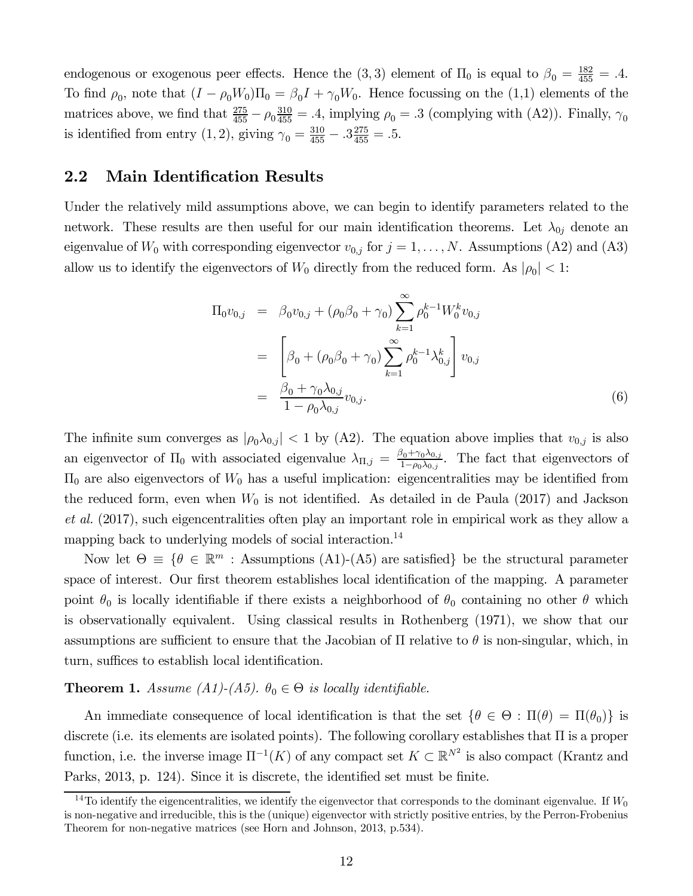endogenous or exogenous peer effects. Hence the  $(3,3)$  element of  $\Pi_0$  is equal to  $\beta_0 = \frac{182}{455} = .4$ . To find  $\rho_0$ , note that  $(I - \rho_0 W_0) \Pi_0 = \beta_0 I + \gamma_0 W_0$ . Hence focussing on the (1,1) elements of the matrices above, we find that  $\frac{275}{455} - \rho_0 \frac{310}{455} = .4$ , implying  $\rho_0 = .3$  (complying with (A2)). Finally,  $\gamma_0$ is identified from entry  $(1, 2)$ , giving  $\gamma_0 = \frac{310}{455} - 0.3\frac{275}{455} = 0.5$ .

### 2.2 Main Identification Results

Under the relatively mild assumptions above, we can begin to identify parameters related to the network. These results are then useful for our main identification theorems. Let  $\lambda_{0j}$  denote an eigenvalue of  $W_0$  with corresponding eigenvector  $v_{0,j}$  for  $j = 1, \ldots, N$ . Assumptions (A2) and (A3) allow us to identify the eigenvectors of  $W_0$  directly from the reduced form. As  $|\rho_0| < 1$ :

$$
\Pi_0 v_{0,j} = \beta_0 v_{0,j} + (\rho_0 \beta_0 + \gamma_0) \sum_{k=1}^{\infty} \rho_0^{k-1} W_0^k v_{0,j}
$$
  
\n
$$
= \left[ \beta_0 + (\rho_0 \beta_0 + \gamma_0) \sum_{k=1}^{\infty} \rho_0^{k-1} \lambda_{0,j}^k \right] v_{0,j}
$$
  
\n
$$
= \frac{\beta_0 + \gamma_0 \lambda_{0,j}}{1 - \rho_0 \lambda_{0,j}} v_{0,j}.
$$
 (6)

The infinite sum converges as  $|\rho_0 \lambda_{0,j}| < 1$  by (A2). The equation above implies that  $v_{0,j}$  is also an eigenvector of  $\Pi_0$  with associated eigenvalue  $\lambda_{\Pi,j} = \frac{\beta_0 + \gamma_0 \lambda_{0,j}}{1 - \rho_0 \lambda_{0,j}}$  $\frac{\partial_0 + \gamma_0 \lambda_{0,j}}{1 - \rho_0 \lambda_{0,j}}$ . The fact that eigenvectors of  $\Pi_0$  are also eigenvectors of  $W_0$  has a useful implication: eigencentralities may be identified from the reduced form, even when  $W_0$  is not identified. As detailed in de Paula (2017) and Jackson *et al.* (2017), such eigencentralities often play an important role in empirical work as they allow a mapping back to underlying models of social interaction.<sup>14</sup>

Now let  $\Theta = \{ \theta \in \mathbb{R}^m : \text{Assumptions (A1)-(A5) are satisfied} \}$  be the structural parameter space of interest. Our first theorem establishes local identification of the mapping. A parameter point  $\theta_0$  is locally identifiable if there exists a neighborhood of  $\theta_0$  containing no other  $\theta$  which is observationally equivalent. Using classical results in Rothenberg (1971), we show that our assumptions are sufficient to ensure that the Jacobian of  $\Pi$  relative to  $\theta$  is non-singular, which, in turn, suffices to establish local identification.

#### **Theorem 1.** Assume (A1)-(A5).  $\theta_0 \in \Theta$  is locally identifiable.

An immediate consequence of local identification is that the set  $\{\theta \in \Theta : \Pi(\theta) = \Pi(\theta_0)\}\$ is discrete (i.e. its elements are isolated points). The following corollary establishes that  $\Pi$  is a proper function, i.e. the inverse image  $\Pi^{-1}(K)$  of any compact set  $K \subset \mathbb{R}^{N^2}$  is also compact (Krantz and Parks, 2013, p. 124). Since it is discrete, the identified set must be finite.

<sup>&</sup>lt;sup>14</sup>To identify the eigencentralities, we identify the eigenvector that corresponds to the dominant eigenvalue. If  $W_0$ is non-negative and irreducible, this is the (unique) eigenvector with strictly positive entries, by the Perron-Frobenius Theorem for non-negative matrices (see Horn and Johnson, 2013, p.534).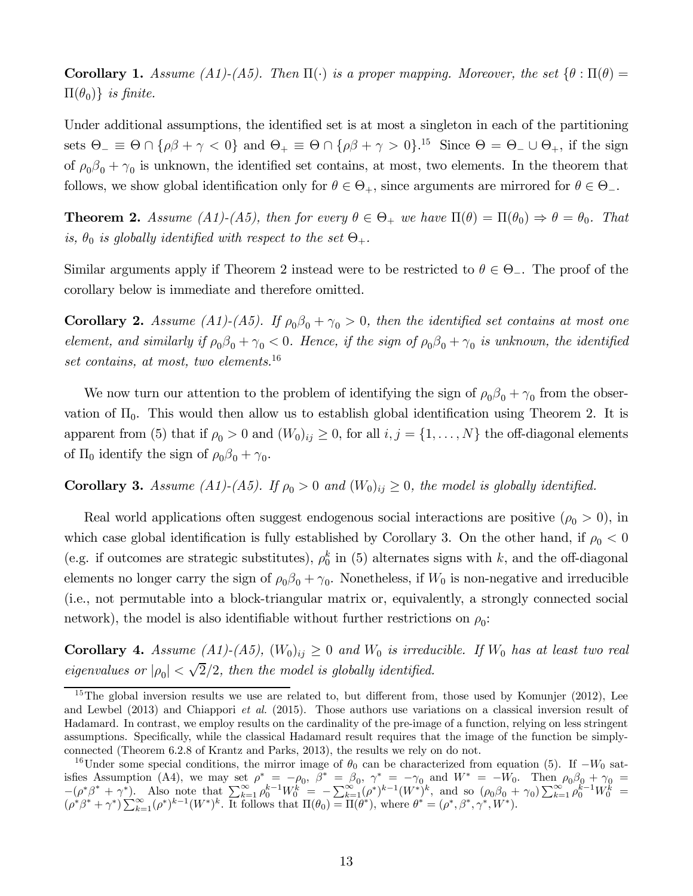**Corollary 1.** Assume (A1)-(A5). Then  $\Pi(\cdot)$  is a proper mapping. Moreover, the set  $\{\theta : \Pi(\theta) =$  $\Pi(\theta_0)$ *} is finite.* 

Under additional assumptions, the identified set is at most a singleton in each of the partitioning sets  $\Theta_{-} \equiv \Theta \cap {\rho\beta + \gamma < 0}$  and  $\Theta_{+} \equiv \Theta \cap {\rho\beta + \gamma > 0}$ .<sup>15</sup> Since  $\Theta = \Theta_{-} \cup \Theta_{+}$ , if the sign of  $\rho_0 \beta_0 + \gamma_0$  is unknown, the identified set contains, at most, two elements. In the theorem that follows, we show global identification only for  $\theta \in \Theta_+$ , since arguments are mirrored for  $\theta \in \Theta_-$ .

**Theorem 2.** Assume (A1)-(A5), then for every  $\theta \in \Theta_+$  we have  $\Pi(\theta) = \Pi(\theta_0) \Rightarrow \theta = \theta_0$ . That *is,*  $\theta_0$  *is globally identified with respect to the set*  $\Theta_+$ *.* 

Similar arguments apply if Theorem 2 instead were to be restricted to  $\theta \in \Theta_{-}$ . The proof of the corollary below is immediate and therefore omitted.

**Corollary 2.** *Assume (A1)-(A5). If*  $\rho_0\beta_0 + \gamma_0 > 0$ , then the identified set contains at most one *element, and similarly if*  $\rho_0 \beta_0 + \gamma_0 < 0$ . Hence, if the sign of  $\rho_0 \beta_0 + \gamma_0$  is unknown, the identified *set contains, at most, two elements.*<sup>16</sup>

We now turn our attention to the problem of identifying the sign of  $\rho_0 \beta_0 + \gamma_0$  from the observation of  $\Pi_0$ . This would then allow us to establish global identification using Theorem 2. It is apparent from (5) that if  $\rho_0 > 0$  and  $(W_0)_{ij} \geq 0$ , for all  $i, j = \{1, ..., N\}$  the off-diagonal elements of  $\Pi_0$  identify the sign of  $\rho_0 \beta_0 + \gamma_0$ .

**Corollary 3.** Assume (A1)-(A5). If  $\rho_0 > 0$  and  $(W_0)_{ij} \geq 0$ , the model is globally identified.

Real world applications often suggest endogenous social interactions are positive  $(\rho_0 > 0)$ , in which case global identification is fully established by Corollary 3. On the other hand, if  $\rho_0 < 0$ (e.g. if outcomes are strategic substitutes),  $\rho_0^k$  in (5) alternates signs with k, and the off-diagonal elements no longer carry the sign of  $\rho_0\beta_0 + \gamma_0$ . Nonetheless, if  $W_0$  is non-negative and irreducible (i.e., not permutable into a block-triangular matrix or, equivalently, a strongly connected social network), the model is also identifiable without further restrictions on  $\rho_0$ :

**Corollary 4.** Assume (A1)-(A5),  $(W_0)_{ij} \geq 0$  and  $W_0$  is irreducible. If  $W_0$  has at least two real *eigenvalues or*  $|\rho_0| < \sqrt{2}/2$ , then the model is globally identified.

 $15$ The global inversion results we use are related to, but different from, those used by Komunjer (2012), Lee and Lewbel (2013) and Chiappori *et al.* (2015). Those authors use variations on a classical inversion result of Hadamard. In contrast, we employ results on the cardinality of the pre-image of a function, relying on less stringent assumptions. Specifically, while the classical Hadamard result requires that the image of the function be simplyconnected (Theorem 6.2.8 of Krantz and Parks, 2013), the results we rely on do not.

<sup>&</sup>lt;sup>16</sup>Under some special conditions, the mirror image of  $\theta_0$  can be characterized from equation (5). If  $-W_0$  satisfies Assumption (A4), we may set  $\rho^* = -\rho_0$ ,  $\beta^* = \beta_0$ ,  $\gamma^* = -\gamma_0$  and  $W^* = -W_0$ . Then  $\rho_0\beta_0 + \gamma_0 =$  $-(\rho^*\beta^* + \gamma^*)$ . Also note that  $\sum_{k=1}^{\infty} \rho_0^{k-1} W_0^k = -\sum_{k=1}^{\infty} (\rho^*)^{k-1} (W^*)^k$ , and so  $(\rho_0\beta_0 + \gamma_0) \sum_{k=1}^{\infty} \rho_0^{k-1} W_0^k =$  $(\rho^*\beta^* + \gamma^*)\sum_{k=1}^{\infty} (\rho^*)^{k-1}(W^*)^k$ . It follows that  $\Pi(\theta_0) = \Pi(\theta^*)$ , where  $\theta^* = (\rho^*, \beta^*, \gamma^*, W^*)$ .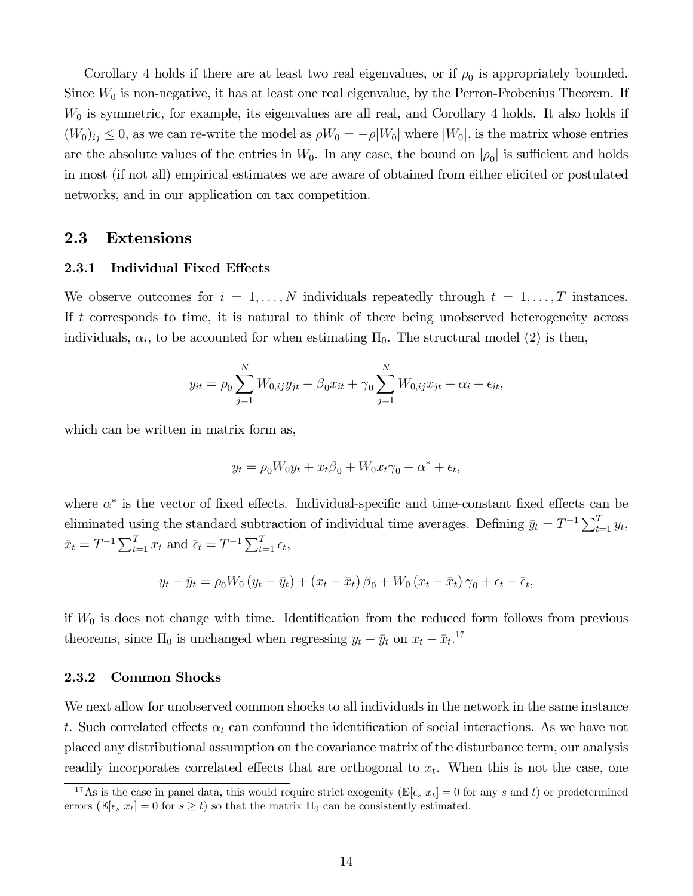Corollary 4 holds if there are at least two real eigenvalues, or if  $\rho_0$  is appropriately bounded. Since  $W_0$  is non-negative, it has at least one real eigenvalue, by the Perron-Frobenius Theorem. If  $W_0$  is symmetric, for example, its eigenvalues are all real, and Corollary 4 holds. It also holds if  $(W_0)_{ij} \leq 0$ , as we can re-write the model as  $\rho W_0 = -\rho |W_0|$  where  $|W_0|$ , is the matrix whose entries are the absolute values of the entries in  $W_0$ . In any case, the bound on  $|\rho_0|$  is sufficient and holds in most (if not all) empirical estimates we are aware of obtained from either elicited or postulated networks, and in our application on tax competition.

### 2.3 Extensions

#### 2.3.1 Individual Fixed Effects

We observe outcomes for  $i = 1, ..., N$  individuals repeatedly through  $t = 1, ..., T$  instances. If  $t$  corresponds to time, it is natural to think of there being unobserved heterogeneity across individuals,  $\alpha_i$ , to be accounted for when estimating  $\Pi_0$ . The structural model (2) is then,

$$
y_{it} = \rho_0 \sum_{j=1}^{N} W_{0,ij} y_{jt} + \beta_0 x_{it} + \gamma_0 \sum_{j=1}^{N} W_{0,ij} x_{jt} + \alpha_i + \epsilon_{it},
$$

which can be written in matrix form as,

$$
y_t = \rho_0 W_0 y_t + x_t \beta_0 + W_0 x_t \gamma_0 + \alpha^* + \epsilon_t,
$$

where  $\alpha^*$  is the vector of fixed effects. Individual-specific and time-constant fixed effects can be eliminated using the standard subtraction of individual time averages. Defining  $\bar{y}_t = T^{-1} \sum_{t=1}^T y_t$ ,  $\bar{x}_t = T^{-1} \sum_{t=1}^T x_t \text{ and } \bar{\epsilon}_t = T^{-1} \sum_{t=1}^T \epsilon_t,$ 

$$
y_t - \bar{y}_t = \rho_0 W_0 \left( y_t - \bar{y}_t \right) + \left( x_t - \bar{x}_t \right) \beta_0 + W_0 \left( x_t - \bar{x}_t \right) \gamma_0 + \epsilon_t - \bar{\epsilon}_t,
$$

if  $W_0$  is does not change with time. Identification from the reduced form follows from previous theorems, since  $\Pi_0$  is unchanged when regressing  $y_t - \bar{y}_t$  on  $x_t - \bar{x}_t$ <sup>17</sup>

#### 2.3.2 Common Shocks

We next allow for unobserved common shocks to all individuals in the network in the same instance t. Such correlated effects  $\alpha_t$  can confound the identification of social interactions. As we have not placed any distributional assumption on the covariance matrix of the disturbance term, our analysis readily incorporates correlated effects that are orthogonal to  $x_t$ . When this is not the case, one

<sup>&</sup>lt;sup>17</sup>As is the case in panel data, this would require strict exogenity ( $\mathbb{E}[\epsilon_s | x_t] = 0$  for any s and t) or predetermined errors ( $\mathbb{E}[\epsilon_s | x_t] = 0$  for  $s \ge t$ ) so that the matrix  $\Pi_0$  can be consistently estimated.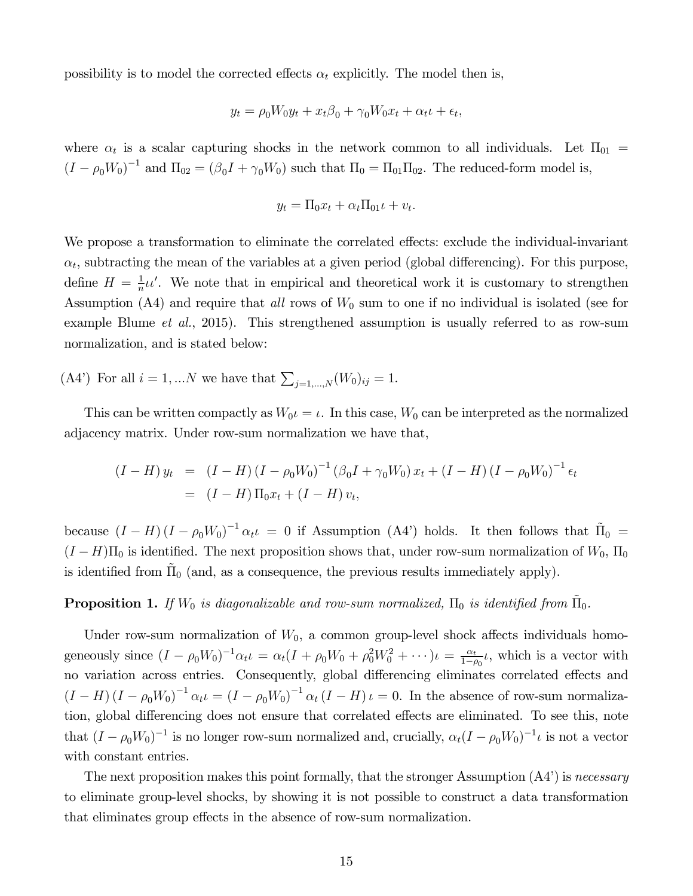possibility is to model the corrected effects  $\alpha_t$  explicitly. The model then is,

$$
y_t = \rho_0 W_0 y_t + x_t \beta_0 + \gamma_0 W_0 x_t + \alpha_t \mu + \epsilon_t,
$$

where  $\alpha_t$  is a scalar capturing shocks in the network common to all individuals. Let  $\Pi_{01}$  =  $(I - \rho_0 W_0)^{-1}$  and  $\Pi_{02} = (\beta_0 I + \gamma_0 W_0)$  such that  $\Pi_0 = \Pi_{01} \Pi_{02}$ . The reduced-form model is,

$$
y_t = \Pi_0 x_t + \alpha_t \Pi_{01} t + v_t.
$$

We propose a transformation to eliminate the correlated effects: exclude the individual-invariant  $\alpha_t$ , subtracting the mean of the variables at a given period (global differencing). For this purpose, define  $H=\frac{1}{n}$  $\frac{1}{n}u'$ . We note that in empirical and theoretical work it is customary to strengthen Assumption  $(A4)$  and require that *all* rows of  $W_0$  sum to one if no individual is isolated (see for example Blume *et al.*, 2015). This strengthened assumption is usually referred to as row-sum normalization, and is stated below:

(A4') For all  $i = 1, ...N$  we have that  $\sum_{j=1,...,N} (W_0)_{ij} = 1$ .

This can be written compactly as  $W_0 \iota = \iota$ . In this case,  $W_0$  can be interpreted as the normalized adjacency matrix. Under row-sum normalization we have that,

$$
(I - H) y_t = (I - H) (I - \rho_0 W_0)^{-1} (\beta_0 I + \gamma_0 W_0) x_t + (I - H) (I - \rho_0 W_0)^{-1} \epsilon_t
$$
  
= 
$$
(I - H) \Pi_0 x_t + (I - H) v_t,
$$

because  $(I - H)(I - \rho_0 W_0)^{-1} \alpha_t t = 0$  if Assumption (A4') holds. It then follows that  $\tilde{\Pi}_0$  =  $(I - H)\Pi_0$  is identified. The next proposition shows that, under row-sum normalization of  $W_0$ ,  $\Pi_0$ is identified from  $\tilde{\Pi}_0$  (and, as a consequence, the previous results immediately apply).

### **Proposition 1.** If  $W_0$  is diagonalizable and row-sum normalized,  $\Pi_0$  is identified from  $\tilde{\Pi}_0$ .

Under row-sum normalization of  $W_0$ , a common group-level shock affects individuals homogeneously since  $(I - \rho_0 W_0)^{-1} \alpha_t \iota = \alpha_t (I + \rho_0 W_0 + \rho_0^2 W_0^2 + \cdots) \iota = \frac{\alpha_t}{1 - \rho_0^2}$  $\frac{\alpha_t}{1-\rho_0}\iota$ , which is a vector with no variation across entries. Consequently, global differencing eliminates correlated effects and  $(I - H)(I - \rho_0 W_0)^{-1} \alpha_t t = (I - \rho_0 W_0)^{-1} \alpha_t (I - H) t = 0$ . In the absence of row-sum normalization, global differencing does not ensure that correlated effects are eliminated. To see this, note that  $(I - \rho_0 W_0)^{-1}$  is no longer row-sum normalized and, crucially,  $\alpha_t (I - \rho_0 W_0)^{-1} \iota$  is not a vector with constant entries.

The next proposition makes this point formally, that the stronger Assumption (A4') is *necessary* to eliminate group-level shocks, by showing it is not possible to construct a data transformation that eliminates group effects in the absence of row-sum normalization.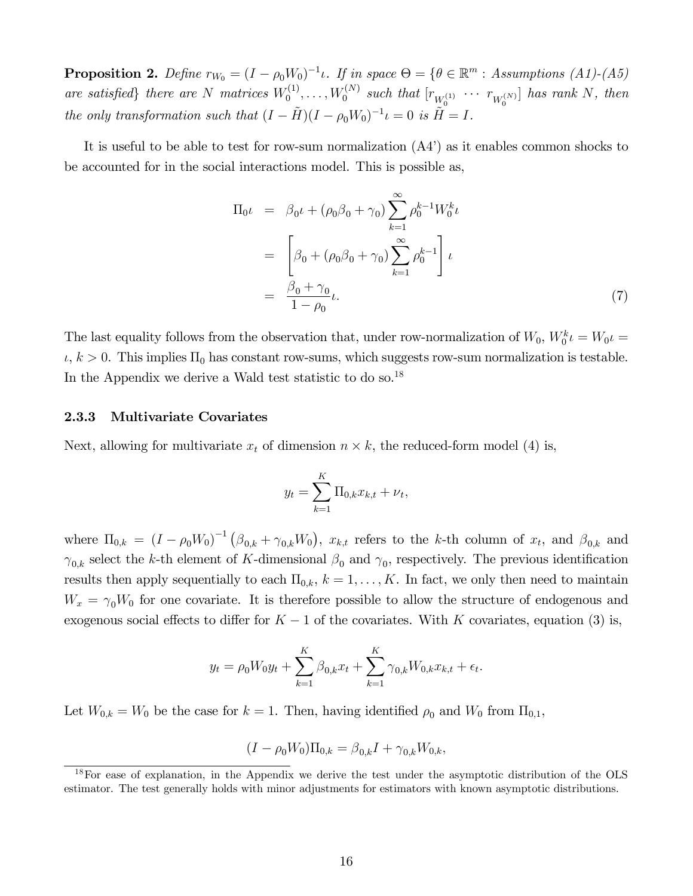**Proposition 2.** Define  $r_{W_0} = (I - \rho_0 W_0)^{-1} \iota$ . If in space  $\Theta = \{ \theta \in \mathbb{R}^m : \text{Assumptions (A1)-(A5)} \}$ are satisfied<sub>f</sub> there are  $N$  matrices  $W_0^{(1)}$  $U_0^{(1)},\ldots, W_0^{(N)}$  $\int_0^{(N)} \; such \; that \; [r_{W_0^{(1)}} \; \cdots \; r_{W_0^{(N)}}] \; \; has \; rank \; N, \; then$ *the only transformation such that*  $(I - \tilde{H})(I - \rho_0 W_0)^{-1} \iota = 0$  *is*  $\tilde{H} = I$ .

It is useful to be able to test for row-sum normalization (A4') as it enables common shocks to be accounted for in the social interactions model. This is possible as,

$$
\Pi_{0}\iota = \beta_{0}\iota + (\rho_{0}\beta_{0} + \gamma_{0})\sum_{k=1}^{\infty} \rho_{0}^{k-1}W_{0}^{k}\iota
$$
\n
$$
= \left[\beta_{0} + (\rho_{0}\beta_{0} + \gamma_{0})\sum_{k=1}^{\infty} \rho_{0}^{k-1}\right]\iota
$$
\n
$$
= \frac{\beta_{0} + \gamma_{0}}{1 - \rho_{0}}\iota.
$$
\n(7)

The last equality follows from the observation that, under row-normalization of  $W_0$ ,  $W_0^k \iota = W_0 \iota =$  $\iota, k > 0$ . This implies  $\Pi_0$  has constant row-sums, which suggests row-sum normalization is testable. In the Appendix we derive a Wald test statistic to do so.<sup>18</sup>

#### 2.3.3 Multivariate Covariates

Next, allowing for multivariate  $x_t$  of dimension  $n \times k$ , the reduced-form model (4) is,

$$
y_t = \sum_{k=1}^{K} \Pi_{0,k} x_{k,t} + \nu_t,
$$

where  $\Pi_{0,k} = (I - \rho_0 W_0)^{-1} (\beta_{0,k} + \gamma_{0,k} W_0)$ ,  $x_{k,t}$  refers to the k-th column of  $x_t$ , and  $\beta_{0,k}$  and  $\gamma_{0,k}$  select the k-th element of K-dimensional  $\beta_0$  and  $\gamma_0$ , respectively. The previous identification results then apply sequentially to each  $\Pi_{0,k}$ ,  $k = 1, \ldots, K$ . In fact, we only then need to maintain  $W_x = \gamma_0 W_0$  for one covariate. It is therefore possible to allow the structure of endogenous and exogenous social effects to differ for  $K-1$  of the covariates. With K covariates, equation (3) is,

$$
y_t = \rho_0 W_0 y_t + \sum_{k=1}^K \beta_{0,k} x_t + \sum_{k=1}^K \gamma_{0,k} W_{0,k} x_{k,t} + \epsilon_t.
$$

Let  $W_{0,k} = W_0$  be the case for  $k = 1$ . Then, having identified  $\rho_0$  and  $W_0$  from  $\Pi_{0,1}$ ,

$$
(I - \rho_0 W_0) \Pi_{0,k} = \beta_{0,k} I + \gamma_{0,k} W_{0,k},
$$

<sup>&</sup>lt;sup>18</sup>For ease of explanation, in the Appendix we derive the test under the asymptotic distribution of the OLS estimator. The test generally holds with minor adjustments for estimators with known asymptotic distributions.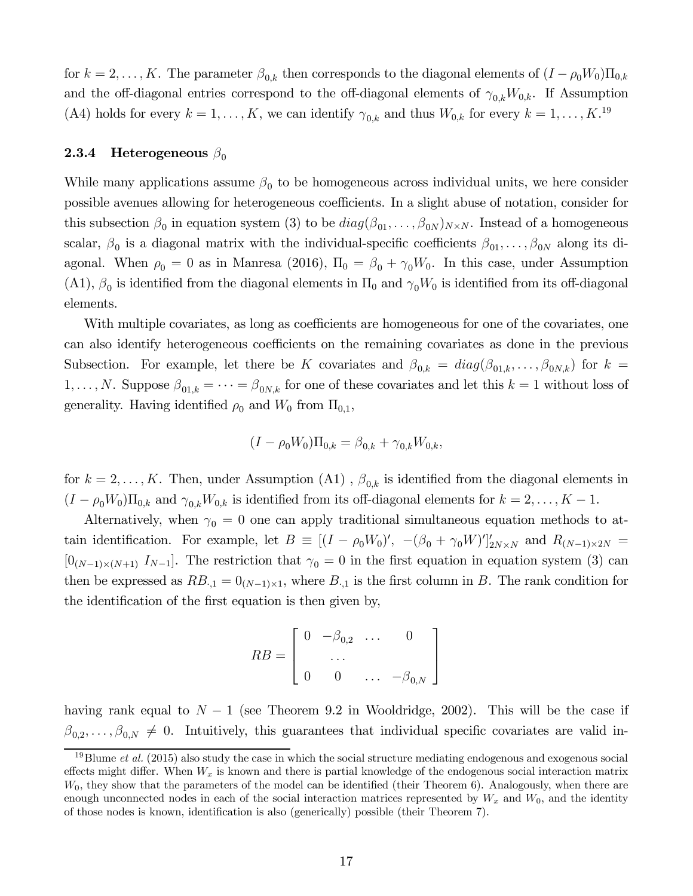for  $k = 2, \ldots, K$ . The parameter  $\beta_{0,k}$  then corresponds to the diagonal elements of  $(I - \rho_0 W_0) \Pi_{0,k}$ and the off-diagonal entries correspond to the off-diagonal elements of  $\gamma_{0,k}W_{0,k}$ . If Assumption (A4) holds for every  $k = 1, ..., K$ , we can identify  $\gamma_{0,k}$  and thus  $W_{0,k}$  for every  $k = 1, ..., K$ .<sup>19</sup>

#### **2.3.4** Heterogeneous  $\beta_0$

While many applications assume  $\beta_0$  to be homogeneous across individual units, we here consider possible avenues allowing for heterogeneous coefficients. In a slight abuse of notation, consider for this subsection  $\beta_0$  in equation system (3) to be  $diag(\beta_{01}, \ldots, \beta_{0N})_{N \times N}$ . Instead of a homogeneous scalar,  $\beta_0$  is a diagonal matrix with the individual-specific coefficients  $\beta_{01}, \ldots, \beta_{0N}$  along its diagonal. When  $\rho_0 = 0$  as in Manresa (2016),  $\Pi_0 = \beta_0 + \gamma_0 W_0$ . In this case, under Assumption (A1),  $\beta_0$  is identified from the diagonal elements in  $\Pi_0$  and  $\gamma_0 W_0$  is identified from its off-diagonal elements.

With multiple covariates, as long as coefficients are homogeneous for one of the covariates, one can also identify heterogeneous coefficients on the remaining covariates as done in the previous Subsection. For example, let there be K covariates and  $\beta_{0,k} = diag(\beta_{01,k}, \ldots, \beta_{0N,k})$  for  $k =$  $1, \ldots, N$ . Suppose  $\beta_{01,k} = \cdots = \beta_{0N,k}$  for one of these covariates and let this  $k = 1$  without loss of generality. Having identified  $\rho_0$  and  $W_0$  from  $\Pi_{0,1}$ ,

$$
(I - \rho_0 W_0) \Pi_{0,k} = \beta_{0,k} + \gamma_{0,k} W_{0,k},
$$

for  $k = 2, \ldots, K$ . Then, under Assumption (A1),  $\beta_{0,k}$  is identified from the diagonal elements in  $(I - \rho_0 W_0) \Pi_{0,k}$  and  $\gamma_{0,k} W_{0,k}$  is identified from its off-diagonal elements for  $k = 2, \ldots, K - 1$ .

Alternatively, when  $\gamma_0 = 0$  one can apply traditional simultaneous equation methods to attain identification. For example, let  $B \equiv [(I - \rho_0 W_0)'$ ,  $-(\beta_0 + \gamma_0 W)']'_{2N \times N}$  and  $R_{(N-1) \times 2N}$  $[0_{(N-1)\times(N+1)}$   $I_{N-1}].$  The restriction that  $\gamma_0 = 0$  in the first equation in equation system (3) can then be expressed as  $RB_{1,1} = 0_{(N-1)\times 1}$ , where  $B_{1,1}$  is the first column in B. The rank condition for the identification of the first equation is then given by,

$$
RB = \left[ \begin{array}{cccc} 0 & -\beta_{0,2} & \dots & 0 \\ & \dots & \\ 0 & 0 & \dots & -\beta_{0,N} \end{array} \right]
$$

having rank equal to  $N-1$  (see Theorem 9.2 in Wooldridge, 2002). This will be the case if  $\beta_{0,2}, \ldots, \beta_{0,N} \neq 0$ . Intuitively, this guarantees that individual specific covariates are valid in-

<sup>19</sup>Blume *et al.* (2015) also study the case in which the social structure mediating endogenous and exogenous social effects might differ. When  $W_x$  is known and there is partial knowledge of the endogenous social interaction matrix  $W_0$ , they show that the parameters of the model can be identified (their Theorem 6). Analogously, when there are enough unconnected nodes in each of the social interaction matrices represented by  $W_x$  and  $W_0$ , and the identity of those nodes is known, identification is also (generically) possible (their Theorem 7).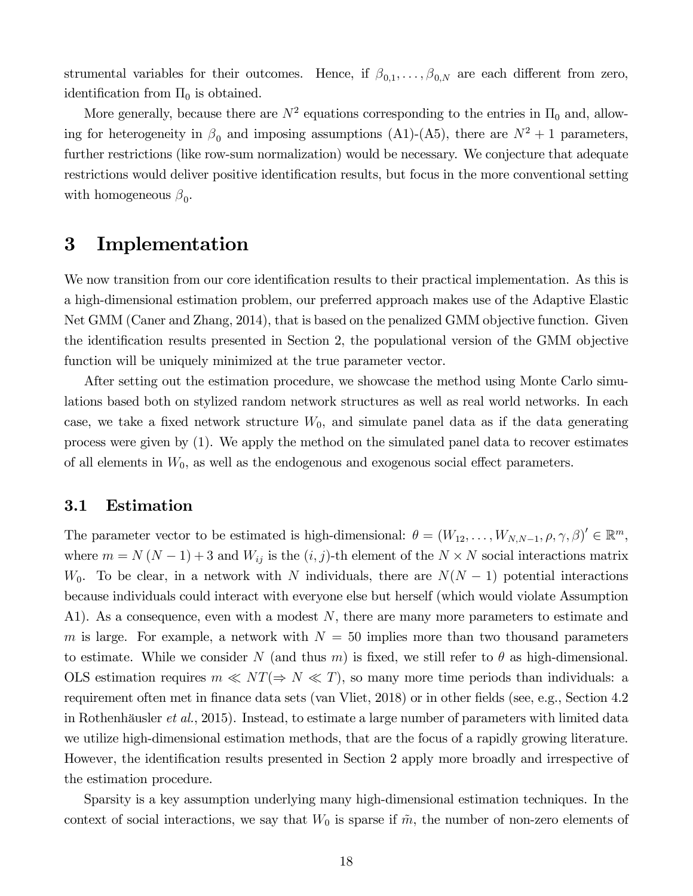strumental variables for their outcomes. Hence, if  $\beta_{0,1}, \ldots, \beta_{0,N}$  are each different from zero, identification from  $\Pi_0$  is obtained.

More generally, because there are  $N^2$  equations corresponding to the entries in  $\Pi_0$  and, allowing for heterogeneity in  $\beta_0$  and imposing assumptions (A1)-(A5), there are  $N^2 + 1$  parameters, further restrictions (like row-sum normalization) would be necessary. We conjecture that adequate restrictions would deliver positive identification results, but focus in the more conventional setting with homogeneous  $\beta_0$ .

### 3 Implementation

We now transition from our core identification results to their practical implementation. As this is a high-dimensional estimation problem, our preferred approach makes use of the Adaptive Elastic Net GMM (Caner and Zhang, 2014), that is based on the penalized GMM objective function. Given the identification results presented in Section 2, the populational version of the GMM objective function will be uniquely minimized at the true parameter vector.

After setting out the estimation procedure, we showcase the method using Monte Carlo simulations based both on stylized random network structures as well as real world networks. In each case, we take a fixed network structure  $W_0$ , and simulate panel data as if the data generating process were given by (1). We apply the method on the simulated panel data to recover estimates of all elements in  $W_0$ , as well as the endogenous and exogenous social effect parameters.

### 3.1 Estimation

The parameter vector to be estimated is high-dimensional:  $\theta = (W_{12}, \ldots, W_{N,N-1}, \rho, \gamma, \beta)' \in \mathbb{R}^m$ , where  $m = N(N-1) + 3$  and  $W_{ij}$  is the  $(i, j)$ -th element of the  $N \times N$  social interactions matrix  $W_0$ . To be clear, in a network with N individuals, there are  $N(N-1)$  potential interactions because individuals could interact with everyone else but herself (which would violate Assumption A1). As a consequence, even with a modest  $N$ , there are many more parameters to estimate and m is large. For example, a network with  $N = 50$  implies more than two thousand parameters to estimate. While we consider N (and thus m) is fixed, we still refer to  $\theta$  as high-dimensional. OLS estimation requires  $m \ll NT (\Rightarrow N \ll T)$ , so many more time periods than individuals: a requirement often met in finance data sets (van Vliet, 2018) or in other fields (see, e.g., Section 4.2 in Rothenhäusler *et al.*, 2015). Instead, to estimate a large number of parameters with limited data we utilize high-dimensional estimation methods, that are the focus of a rapidly growing literature. However, the identification results presented in Section 2 apply more broadly and irrespective of the estimation procedure.

Sparsity is a key assumption underlying many high-dimensional estimation techniques. In the context of social interactions, we say that  $W_0$  is sparse if  $\tilde{m}$ , the number of non-zero elements of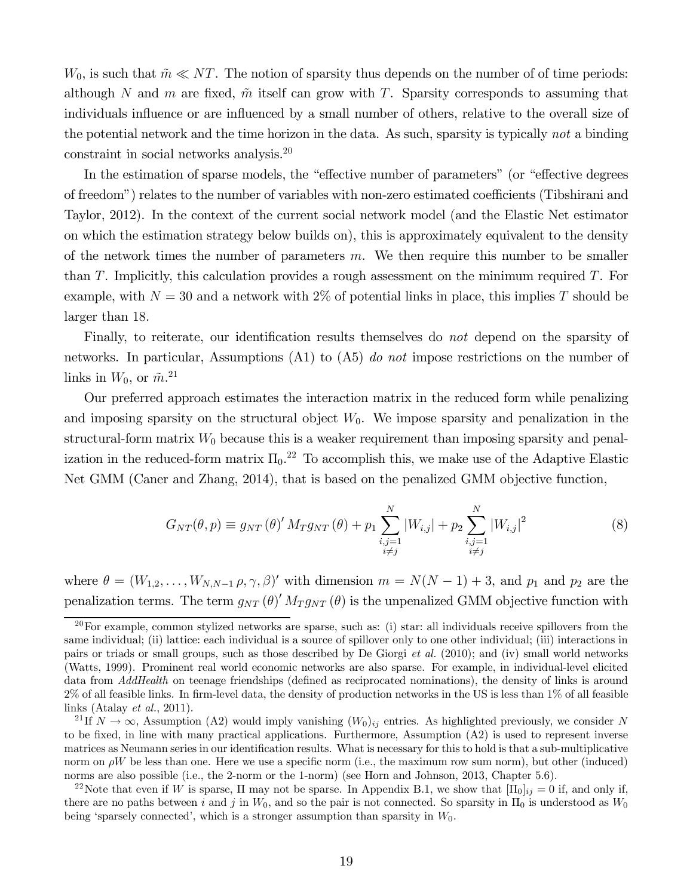$W_0$ , is such that  $\tilde{m} \ll NT$ . The notion of sparsity thus depends on the number of of time periods: although N and m are fixed,  $\tilde{m}$  itself can grow with T. Sparsity corresponds to assuming that individuals influence or are influenced by a small number of others, relative to the overall size of the potential network and the time horizon in the data. As such, sparsity is typically *not* a binding constraint in social networks analysis.<sup>20</sup>

In the estimation of sparse models, the "effective number of parameters" (or "effective degrees of freedom") relates to the number of variables with non-zero estimated coefficients (Tibshirani and Taylor, 2012). In the context of the current social network model (and the Elastic Net estimator on which the estimation strategy below builds on), this is approximately equivalent to the density of the network times the number of parameters  $m$ . We then require this number to be smaller than  $T$ . Implicitly, this calculation provides a rough assessment on the minimum required  $T$ . For example, with  $N = 30$  and a network with  $2\%$  of potential links in place, this implies T should be larger than 18.

Finally, to reiterate, our identification results themselves do *not* depend on the sparsity of networks. In particular, Assumptions (A1) to (A5) *do not* impose restrictions on the number of links in  $W_0$ , or  $\tilde{m}.^{21}$ 

Our preferred approach estimates the interaction matrix in the reduced form while penalizing and imposing sparsity on the structural object  $W_0$ . We impose sparsity and penalization in the structural-form matrix  $W_0$  because this is a weaker requirement than imposing sparsity and penalization in the reduced-form matrix  $\Pi_0$ <sup>22</sup> To accomplish this, we make use of the Adaptive Elastic Net GMM (Caner and Zhang, 2014), that is based on the penalized GMM objective function,

$$
G_{NT}(\theta, p) \equiv g_{NT}(\theta)' M_T g_{NT}(\theta) + p_1 \sum_{\substack{i,j=1 \\ i \neq j}}^N |W_{i,j}| + p_2 \sum_{\substack{i,j=1 \\ i \neq j}}^N |W_{i,j}|^2
$$
 (8)

where  $\theta = (W_{1,2}, \ldots, W_{N,N-1}, \rho, \gamma, \beta)'$  with dimension  $m = N(N-1) + 3$ , and  $p_1$  and  $p_2$  are the penalization terms. The term  $g_{NT}(\theta)' M_T g_{NT}(\theta)$  is the unpenalized GMM objective function with

 $^{20}$ For example, common stylized networks are sparse, such as: (i) star: all individuals receive spillovers from the same individual; (ii) lattice: each individual is a source of spillover only to one other individual; (iii) interactions in pairs or triads or small groups, such as those described by De Giorgi *et al.* (2010); and (iv) small world networks (Watts, 1999). Prominent real world economic networks are also sparse. For example, in individual-level elicited data from *AddHealth* on teenage friendships (defined as reciprocated nominations), the density of links is around  $2\%$  of all feasible links. In firm-level data, the density of production networks in the US is less than  $1\%$  of all feasible links (Atalay *et al.*, 2011).

<sup>&</sup>lt;sup>21</sup> If  $N \to \infty$ , Assumption (A2) would imply vanishing  $(W_0)_{ij}$  entries. As highlighted previously, we consider N to be fixed, in line with many practical applications. Furthermore, Assumption  $(A2)$  is used to represent inverse matrices as Neumann series in our identification results. What is necessary for this to hold is that a sub-multiplicative norm on  $\rho W$  be less than one. Here we use a specific norm (i.e., the maximum row sum norm), but other (induced) norms are also possible (i.e., the 2-norm or the 1-norm) (see Horn and Johnson, 2013, Chapter 5.6).

<sup>&</sup>lt;sup>22</sup>Note that even if W is sparse,  $\Pi$  may not be sparse. In Appendix B.1, we show that  $[\Pi_0]_{ij} = 0$  if, and only if, there are no paths between *i* and *j* in  $W_0$ , and so the pair is not connected. So sparsity in  $\Pi_0$  is understood as  $W_0$ being 'sparsely connected', which is a stronger assumption than sparsity in  $W_0$ .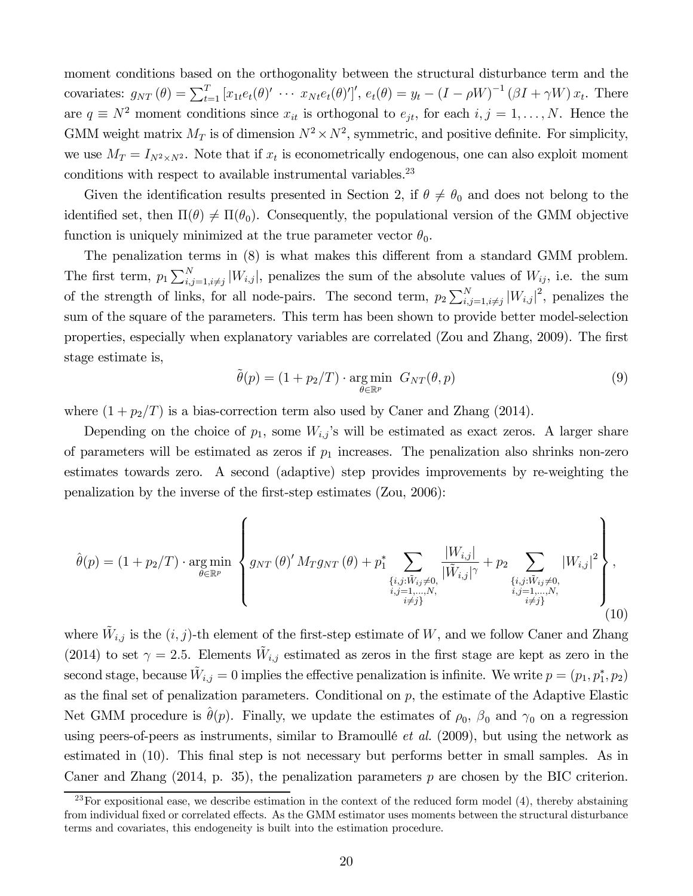moment conditions based on the orthogonality between the structural disturbance term and the covariates:  $g_{NT}(\theta) = \sum_{t=1}^T [x_{1t}e_t(\theta)' \cdots x_{Nt}e_t(\theta)']', e_t(\theta) = y_t - (I - \rho W)^{-1} (\beta I + \gamma W) x_t$ . There are  $q \equiv N^2$  moment conditions since  $x_{it}$  is orthogonal to  $e_{jt}$ , for each  $i, j = 1, ..., N$ . Hence the GMM weight matrix  $M_T$  is of dimension  $N^2 \times N^2$ , symmetric, and positive definite. For simplicity, we use  $M_T = I_{N^2 \times N^2}$ . Note that if  $x_t$  is econometrically endogenous, one can also exploit moment conditions with respect to available instrumental variables.<sup>23</sup>

Given the identification results presented in Section 2, if  $\theta \neq \theta_0$  and does not belong to the identified set, then  $\Pi(\theta) \neq \Pi(\theta_0)$ . Consequently, the populational version of the GMM objective function is uniquely minimized at the true parameter vector  $\theta_0$ .

The penalization terms in  $(8)$  is what makes this different from a standard GMM problem. The first term,  $p_1 \sum_{i,j=1, i \neq j}^{N} |W_{i,j}|$ , penalizes the sum of the absolute values of  $W_{ij}$ , i.e. the sum of the strength of links, for all node-pairs. The second term,  $p_2 \sum_{i,j=1, i \neq j}^{N} |W_{i,j}|^2$ , penalizes the sum of the square of the parameters. This term has been shown to provide better model-selection properties, especially when explanatory variables are correlated (Zou and Zhang, 2009). The first stage estimate is,

$$
\tilde{\theta}(p) = (1 + p_2/T) \cdot \underset{\theta \in \mathbb{R}^p}{\text{arg min}} \ G_{NT}(\theta, p) \tag{9}
$$

where  $(1 + p_2/T)$  is a bias-correction term also used by Caner and Zhang (2014).

Depending on the choice of  $p_1$ , some  $W_{i,j}$ 's will be estimated as exact zeros. A larger share of parameters will be estimated as zeros if  $p_1$  increases. The penalization also shrinks non-zero estimates towards zero. A second (adaptive) step provides improvements by re-weighting the penalization by the inverse of the first-step estimates  $(Zou, 2006)$ :

$$
\hat{\theta}(p) = (1 + p_2/T) \cdot \underset{\theta \in \mathbb{R}^p}{\arg \min} \left\{ g_{NT}(\theta)' M_T g_{NT}(\theta) + p_1^* \sum_{\substack{\{i,j: \tilde{W}_{ij} \neq 0, \\ i,j = 1, ..., N, \\ i \neq j\}}} \frac{|W_{i,j}|}{|\tilde{W}_{i,j}|^{\gamma}} + p_2 \sum_{\substack{\{i,j: \tilde{W}_{ij} \neq 0, \\ i,j = 1, ..., N, \\ i \neq j\}}} |W_{i,j}|^2 \right\},
$$
\n(10)

where  $\tilde{W}_{i,j}$  is the  $(i, j)$ -th element of the first-step estimate of W, and we follow Caner and Zhang (2014) to set  $\gamma = 2.5$ . Elements  $\tilde{W}_{i,j}$  estimated as zeros in the first stage are kept as zero in the second stage, because  $\tilde{W}_{i,j} = 0$  implies the effective penalization is infinite. We write  $p = (p_1, p_1^*, p_2)$ as the final set of penalization parameters. Conditional on  $p$ , the estimate of the Adaptive Elastic Net GMM procedure is  $\hat{\theta}(p)$ . Finally, we update the estimates of  $\rho_0$ ,  $\beta_0$  and  $\gamma_0$  on a regression using peers-of-peers as instruments, similar to Bramoullé *et al.* (2009), but using the network as estimated in  $(10)$ . This final step is not necessary but performs better in small samples. As in Caner and Zhang  $(2014, p. 35)$ , the penalization parameters p are chosen by the BIC criterion.

<sup>&</sup>lt;sup>23</sup>For expositional ease, we describe estimation in the context of the reduced form model  $(4)$ , thereby abstaining from individual fixed or correlated effects. As the GMM estimator uses moments between the structural disturbance terms and covariates, this endogeneity is built into the estimation procedure.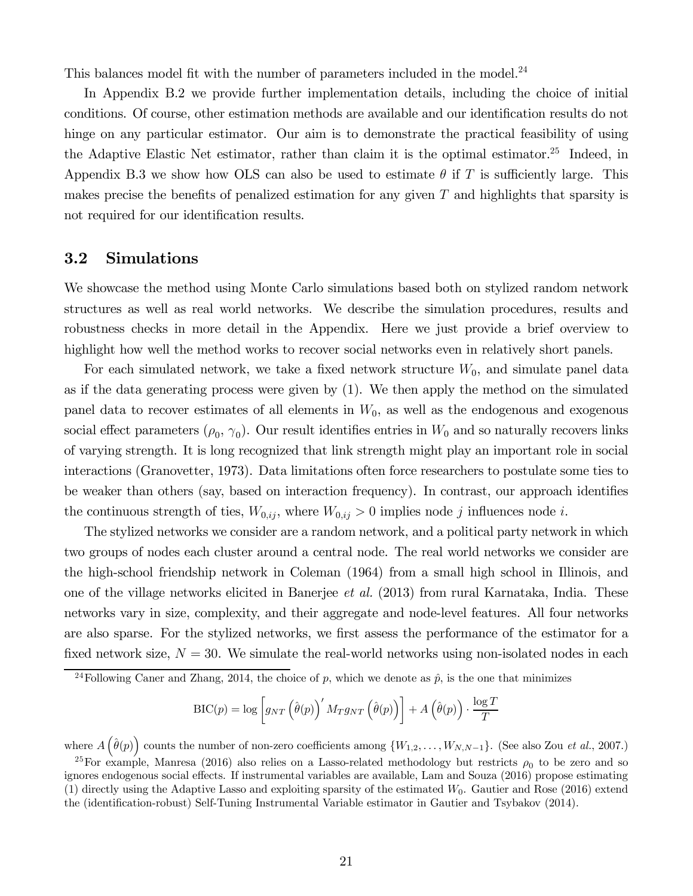This balances model fit with the number of parameters included in the model.<sup>24</sup>

In Appendix B.2 we provide further implementation details, including the choice of initial conditions. Of course, other estimation methods are available and our identification results do not hinge on any particular estimator. Our aim is to demonstrate the practical feasibility of using the Adaptive Elastic Net estimator, rather than claim it is the optimal estimator.<sup>25</sup> Indeed, in Appendix B.3 we show how OLS can also be used to estimate  $\theta$  if T is sufficiently large. This makes precise the benefits of penalized estimation for any given  $T$  and highlights that sparsity is not required for our identification results.

### 3.2 Simulations

We showcase the method using Monte Carlo simulations based both on stylized random network structures as well as real world networks. We describe the simulation procedures, results and robustness checks in more detail in the Appendix. Here we just provide a brief overview to highlight how well the method works to recover social networks even in relatively short panels.

For each simulated network, we take a fixed network structure  $W_0$ , and simulate panel data as if the data generating process were given by (1). We then apply the method on the simulated panel data to recover estimates of all elements in  $W_0$ , as well as the endogenous and exogenous social effect parameters  $(\rho_0, \gamma_0)$ . Our result identifies entries in  $W_0$  and so naturally recovers links of varying strength. It is long recognized that link strength might play an important role in social interactions (Granovetter, 1973). Data limitations often force researchers to postulate some ties to be weaker than others (say, based on interaction frequency). In contrast, our approach identifies the continuous strength of ties,  $W_{0,ij}$ , where  $W_{0,ij} > 0$  implies node j influences node i.

The stylized networks we consider are a random network, and a political party network in which two groups of nodes each cluster around a central node. The real world networks we consider are the high-school friendship network in Coleman (1964) from a small high school in Illinois, and one of the village networks elicited in Banerjee *et al.* (2013) from rural Karnataka, India. These networks vary in size, complexity, and their aggregate and node-level features. All four networks are also sparse. For the stylized networks, we first assess the performance of the estimator for a fixed network size,  $N = 30$ . We simulate the real-world networks using non-isolated nodes in each

$$
\text{BIC}(p) = \log \left[ g_{NT} \left( \hat{\theta}(p) \right)' M_T g_{NT} \left( \hat{\theta}(p) \right) \right] + A \left( \hat{\theta}(p) \right) \cdot \frac{\log T}{T}
$$

where  $A(\hat{\theta}(p))$  counts the number of non-zero coefficients among  $\{W_{1,2}, \ldots, W_{N,N-1}\}$ . (See also Zou *et al.*, 2007.)

<sup>&</sup>lt;sup>24</sup>Following Caner and Zhang, 2014, the choice of p, which we denote as  $\hat{p}$ , is the one that minimizes

<sup>&</sup>lt;sup>25</sup>For example, Manresa (2016) also relies on a Lasso-related methodology but restricts  $\rho_0$  to be zero and so ignores endogenous social effects. If instrumental variables are available, Lam and Souza (2016) propose estimating (1) directly using the Adaptive Lasso and exploiting sparsity of the estimated  $W_0$ . Gautier and Rose (2016) extend the (identification-robust) Self-Tuning Instrumental Variable estimator in Gautier and Tsybakov (2014).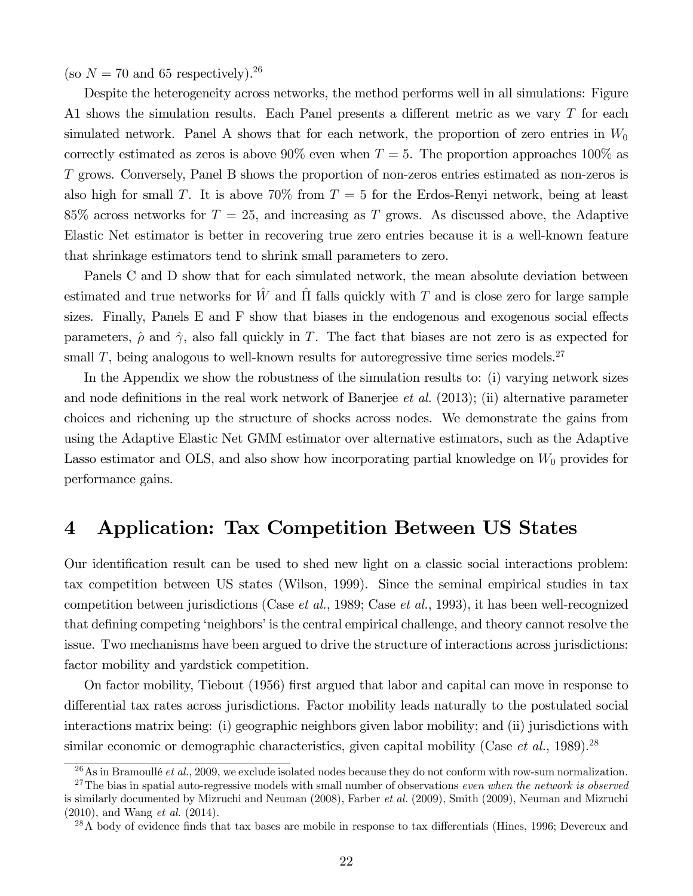(so  $N = 70$  and 65 respectively).<sup>26</sup>

Despite the heterogeneity across networks, the method performs well in all simulations: Figure A1 shows the simulation results. Each Panel presents a different metric as we vary  $T$  for each simulated network. Panel A shows that for each network, the proportion of zero entries in  $W_0$ correctly estimated as zeros is above 90% even when  $T = 5$ . The proportion approaches 100% as grows. Conversely, Panel B shows the proportion of non-zeros entries estimated as non-zeros is also high for small T. It is above 70% from  $T = 5$  for the Erdos-Renyi network, being at least 85% across networks for  $T = 25$ , and increasing as T grows. As discussed above, the Adaptive Elastic Net estimator is better in recovering true zero entries because it is a well-known feature that shrinkage estimators tend to shrink small parameters to zero.

Panels C and D show that for each simulated network, the mean absolute deviation between estimated and true networks for  $\hat{W}$  and  $\hat{\Pi}$  falls quickly with T and is close zero for large sample sizes. Finally, Panels  $E$  and  $F$  show that biases in the endogenous and exogenous social effects parameters,  $\hat{\rho}$  and  $\hat{\gamma}$ , also fall quickly in T. The fact that biases are not zero is as expected for small  $T$ , being analogous to well-known results for autoregressive time series models.<sup>27</sup>

In the Appendix we show the robustness of the simulation results to: (i) varying network sizes and node definitions in the real work network of Banerjee *et al.* (2013); (ii) alternative parameter choices and richening up the structure of shocks across nodes. We demonstrate the gains from using the Adaptive Elastic Net GMM estimator over alternative estimators, such as the Adaptive Lasso estimator and OLS, and also show how incorporating partial knowledge on  $W_0$  provides for performance gains.

### 4 Application: Tax Competition Between US States

Our identification result can be used to shed new light on a classic social interactions problem: tax competition between US states (Wilson, 1999). Since the seminal empirical studies in tax competition between jurisdictions (Case *et al.*, 1989; Case *et al.*, 1993), it has been well-recognized that defining competing 'neighbors' is the central empirical challenge, and theory cannot resolve the issue. Two mechanisms have been argued to drive the structure of interactions across jurisdictions: factor mobility and yardstick competition.

On factor mobility, Tiebout (1956) first argued that labor and capital can move in response to differential tax rates across jurisdictions. Factor mobility leads naturally to the postulated social interactions matrix being: (i) geographic neighbors given labor mobility; and (ii) jurisdictions with similar economic or demographic characteristics, given capital mobility (Case *et al.*, 1989).<sup>28</sup>

<sup>26</sup>As in Bramoullé *et al.*, 2009, we exclude isolated nodes because they do not conform with row-sum normalization.

<sup>27</sup>The bias in spatial auto-regressive models with small number of observations *even when the network is observed* is similarly documented by Mizruchi and Neuman (2008), Farber *et al.* (2009), Smith (2009), Neuman and Mizruchi (2010), and Wang *et al.* (2014).

 $^{28}$ A body of evidence finds that tax bases are mobile in response to tax differentials (Hines, 1996; Devereux and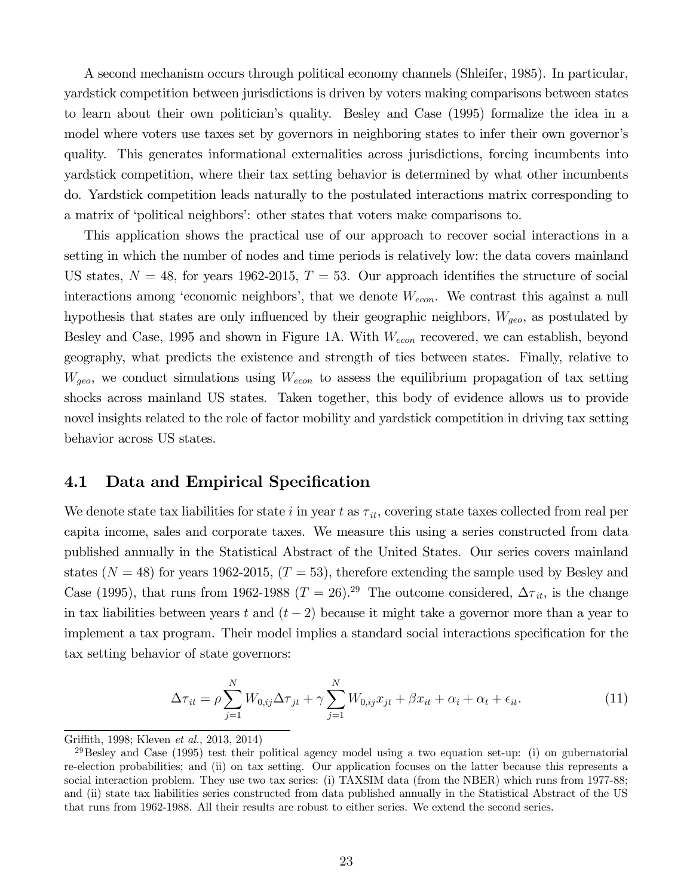A second mechanism occurs through political economy channels (Shleifer, 1985). In particular, yardstick competition between jurisdictions is driven by voters making comparisons between states to learn about their own politician's quality. Besley and Case (1995) formalize the idea in a model where voters use taxes set by governors in neighboring states to infer their own governor's quality. This generates informational externalities across jurisdictions, forcing incumbents into yardstick competition, where their tax setting behavior is determined by what other incumbents do. Yardstick competition leads naturally to the postulated interactions matrix corresponding to a matrix of 'political neighbors': other states that voters make comparisons to.

This application shows the practical use of our approach to recover social interactions in a setting in which the number of nodes and time periods is relatively low: the data covers mainland US states,  $N = 48$ , for years 1962-2015,  $T = 53$ . Our approach identifies the structure of social interactions among 'economic neighbors', that we denote  $W_{econ}$ . We contrast this against a null hypothesis that states are only influenced by their geographic neighbors,  $W_{\text{geo}}$ , as postulated by Besley and Case, 1995 and shown in Figure 1A. With  $W_{econ}$  recovered, we can establish, beyond geography, what predicts the existence and strength of ties between states. Finally, relative to  $W_{geo}$ , we conduct simulations using  $W_{econ}$  to assess the equilibrium propagation of tax setting shocks across mainland US states. Taken together, this body of evidence allows us to provide novel insights related to the role of factor mobility and yardstick competition in driving tax setting behavior across US states.

### 4.1 Data and Empirical Specification

We denote state tax liabilities for state  $i$  in year  $t$  as  $\tau_{it}$ , covering state taxes collected from real per capita income, sales and corporate taxes. We measure this using a series constructed from data published annually in the Statistical Abstract of the United States. Our series covers mainland states ( $N = 48$ ) for years 1962-2015, ( $T = 53$ ), therefore extending the sample used by Besley and Case (1995), that runs from 1962-1988 ( $T = 26$ ).<sup>29</sup> The outcome considered,  $\Delta \tau_{it}$ , is the change in tax liabilities between years t and  $(t-2)$  because it might take a governor more than a year to implement a tax program. Their model implies a standard social interactions specification for the tax setting behavior of state governors:

$$
\Delta \tau_{it} = \rho \sum_{j=1}^{N} W_{0,ij} \Delta \tau_{jt} + \gamma \sum_{j=1}^{N} W_{0,ij} x_{jt} + \beta x_{it} + \alpha_i + \alpha_t + \epsilon_{it}.
$$
 (11)

Griffith, 1998; Kleven *et al.*, 2013, 2014)

 $^{29}$ Besley and Case (1995) test their political agency model using a two equation set-up: (i) on gubernatorial re-election probabilities; and (ii) on tax setting. Our application focuses on the latter because this represents a social interaction problem. They use two tax series: (i) TAXSIM data (from the NBER) which runs from 1977-88; and (ii) state tax liabilities series constructed from data published annually in the Statistical Abstract of the US that runs from 1962-1988. All their results are robust to either series. We extend the second series.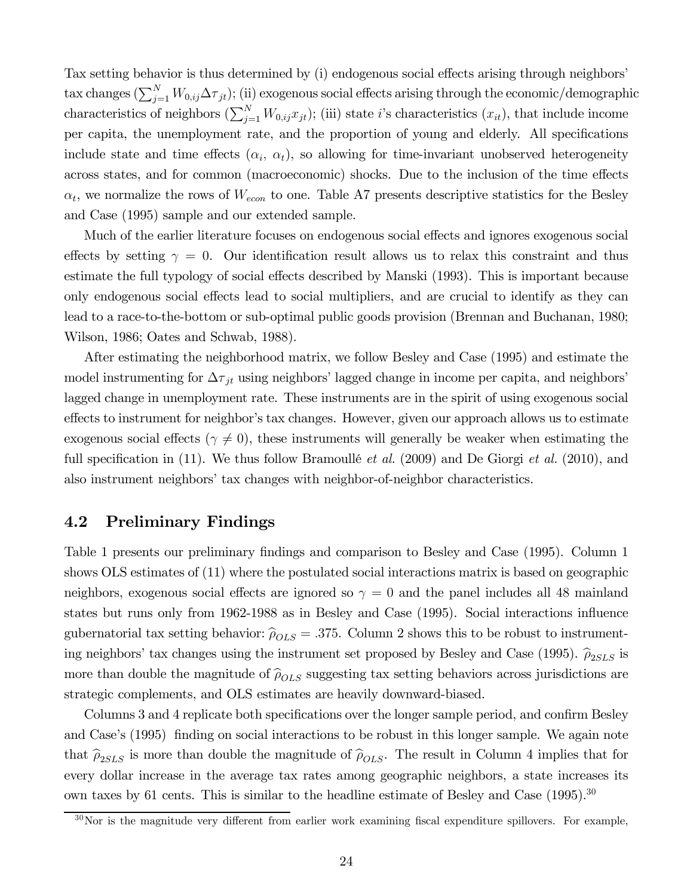Tax setting behavior is thus determined by (i) endogenous social effects arising through neighbors' tax changes  $(\sum_{j=1}^N W_{0,ij} \Delta \tau_{jt});$  (ii) exogenous social effects arising through the economic/demographic characteristics of neighbors  $(\sum_{j=1}^{N} W_{0,ij} x_{jt})$ ; (iii) state *i*'s characteristics  $(x_{it})$ , that include income per capita, the unemployment rate, and the proportion of young and elderly. All specifications include state and time effects  $(\alpha_i, \alpha_t)$ , so allowing for time-invariant unobserved heterogeneity across states, and for common (macroeconomic) shocks. Due to the inclusion of the time effects  $\alpha_t$ , we normalize the rows of  $W_{econ}$  to one. Table A7 presents descriptive statistics for the Besley and Case (1995) sample and our extended sample.

Much of the earlier literature focuses on endogenous social effects and ignores exogenous social effects by setting  $\gamma = 0$ . Our identification result allows us to relax this constraint and thus estimate the full typology of social effects described by Manski (1993). This is important because only endogenous social effects lead to social multipliers, and are crucial to identify as they can lead to a race-to-the-bottom or sub-optimal public goods provision (Brennan and Buchanan, 1980; Wilson, 1986; Oates and Schwab, 1988).

After estimating the neighborhood matrix, we follow Besley and Case (1995) and estimate the model instrumenting for  $\Delta \tau_{jt}$  using neighbors' lagged change in income per capita, and neighbors' lagged change in unemployment rate. These instruments are in the spirit of using exogenous social effects to instrument for neighbor's tax changes. However, given our approach allows us to estimate exogenous social effects ( $\gamma \neq 0$ ), these instruments will generally be weaker when estimating the full specification in (11). We thus follow Bramoullé *et al.* (2009) and De Giorgi *et al.* (2010), and also instrument neighbors' tax changes with neighbor-of-neighbor characteristics.

### 4.2 Preliminary Findings

Table 1 presents our preliminary findings and comparison to Besley and Case (1995). Column 1 shows OLS estimates of (11) where the postulated social interactions matrix is based on geographic neighbors, exogenous social effects are ignored so  $\gamma = 0$  and the panel includes all 48 mainland states but runs only from 1962-1988 as in Besley and Case (1995). Social interactions influence gubernatorial tax setting behavior:  $\hat{\rho}_{OLS} = .375$ . Column 2 shows this to be robust to instrumenting neighbors' tax changes using the instrument set proposed by Besley and Case (1995).  $\hat{\rho}_{2SLS}$  is more than double the magnitude of  $\hat{\rho}_{OLS}$  suggesting tax setting behaviors across jurisdictions are strategic complements, and OLS estimates are heavily downward-biased.

Columns 3 and 4 replicate both specifications over the longer sample period, and confirm Besley and Case's (1995) finding on social interactions to be robust in this longer sample. We again note that  $\hat{\rho}_{2SLS}$  is more than double the magnitude of  $\hat{\rho}_{OLS}$ . The result in Column 4 implies that for every dollar increase in the average tax rates among geographic neighbors, a state increases its own taxes by 61 cents. This is similar to the headline estimate of Besley and Case (1995).<sup>30</sup>

 $30$ Nor is the magnitude very different from earlier work examining fiscal expenditure spillovers. For example,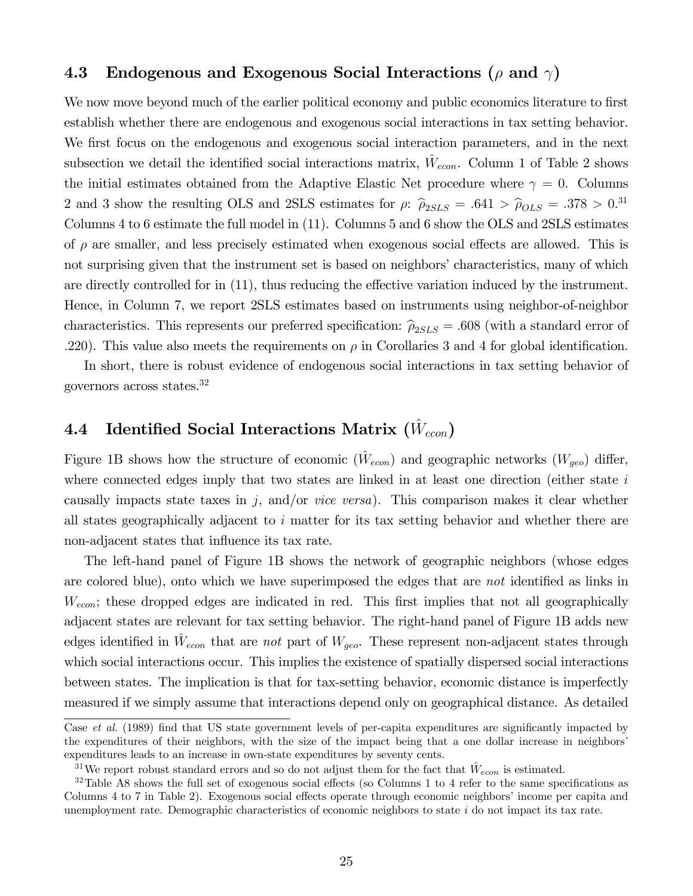### 4.3 Endogenous and Exogenous Social Interactions ( $\rho$  and  $\gamma$ )

We now move beyond much of the earlier political economy and public economics literature to first establish whether there are endogenous and exogenous social interactions in tax setting behavior. We first focus on the endogenous and exogenous social interaction parameters, and in the next subsection we detail the identified social interactions matrix,  $\hat{W}_{econ}$ . Column 1 of Table 2 shows the initial estimates obtained from the Adaptive Elastic Net procedure where  $\gamma = 0$ . Columns 2 and 3 show the resulting OLS and 2SLS estimates for  $\rho$ :  $\hat{\rho}_{2SLS} = .641 > \hat{\rho}_{OLS} = .378 > 0.31$ Columns 4 to 6 estimate the full model in (11). Columns 5 and 6 show the OLS and 2SLS estimates of  $\rho$  are smaller, and less precisely estimated when exogenous social effects are allowed. This is not surprising given that the instrument set is based on neighbors' characteristics, many of which are directly controlled for in  $(11)$ , thus reducing the effective variation induced by the instrument. Hence, in Column 7, we report 2SLS estimates based on instruments using neighbor-of-neighbor characteristics. This represents our preferred specification:  $\hat{\rho}_{2SLS} = .608$  (with a standard error of 220). This value also meets the requirements on  $\rho$  in Corollaries 3 and 4 for global identification.

In short, there is robust evidence of endogenous social interactions in tax setting behavior of governors across states.<sup>32</sup>

## 4.4 Identified Social Interactions Matrix  $(\hat{W}_{econ})$

Figure 1B shows how the structure of economic  $(\hat{W}_{econ})$  and geographic networks  $(W_{geo})$  differ, where connected edges imply that two states are linked in at least one direction (either state  $i$ causally impacts state taxes in  $j$ , and/or *vice versa*). This comparison makes it clear whether all states geographically adjacent to  $i$  matter for its tax setting behavior and whether there are non-adjacent states that influence its tax rate.

The left-hand panel of Figure 1B shows the network of geographic neighbors (whose edges are colored blue), onto which we have superimposed the edges that are *not* identified as links in  $W_{econ}$ ; these dropped edges are indicated in red. This first implies that not all geographically adjacent states are relevant for tax setting behavior. The right-hand panel of Figure 1B adds new edges identified in  $\hat{W}_{econ}$  that are *not* part of  $W_{geo}$ . These represent non-adjacent states through which social interactions occur. This implies the existence of spatially dispersed social interactions between states. The implication is that for tax-setting behavior, economic distance is imperfectly measured if we simply assume that interactions depend only on geographical distance. As detailed

Case *et al.* (1989) find that US state government levels of per-capita expenditures are significantly impacted by the expenditures of their neighbors, with the size of the impact being that a one dollar increase in neighbors' expenditures leads to an increase in own-state expenditures by seventy cents.

<sup>&</sup>lt;sup>31</sup>We report robust standard errors and so do not adjust them for the fact that  $\hat{W}_{econ}$  is estimated.

 $32$ Table A8 shows the full set of exogenous social effects (so Columns 1 to 4 refer to the same specifications as Columns 4 to 7 in Table 2). Exogenous social effects operate through economic neighbors' income per capita and unemployment rate. Demographic characteristics of economic neighbors to state  $i$  do not impact its tax rate.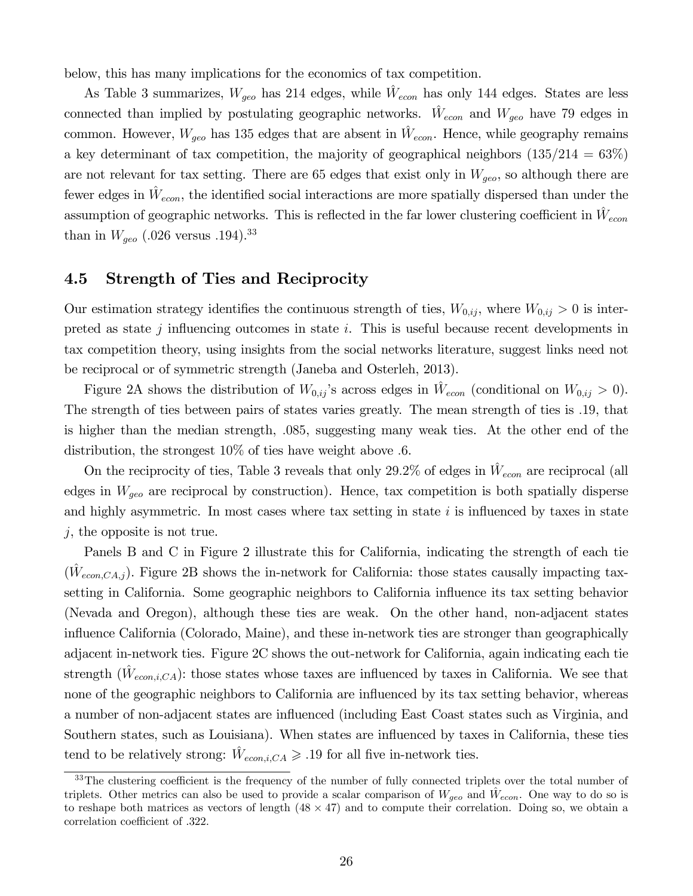below, this has many implications for the economics of tax competition.

As Table 3 summarizes,  $W_{geo}$  has 214 edges, while  $\hat{W}_{econ}$  has only 144 edges. States are less connected than implied by postulating geographic networks.  $\hat{W}_{econ}$  and  $W_{geo}$  have 79 edges in common. However,  $W_{geo}$  has 135 edges that are absent in  $\hat{W}_{econ}$ . Hence, while geography remains a key determinant of tax competition, the majority of geographical neighbors  $(135/214 = 63\%)$ are not relevant for tax setting. There are 65 edges that exist only in  $W_{geo}$ , so although there are fewer edges in  $\hat{W}_{econ}$ , the identified social interactions are more spatially dispersed than under the assumption of geographic networks. This is reflected in the far lower clustering coefficient in  $\hat{W}_{econ}$ than in  $W_{geo}$  (.026 versus .194).<sup>33</sup>

### 4.5 Strength of Ties and Reciprocity

Our estimation strategy identifies the continuous strength of ties,  $W_{0,ij}$ , where  $W_{0,ij} > 0$  is interpreted as state  $j$  influencing outcomes in state  $i$ . This is useful because recent developments in tax competition theory, using insights from the social networks literature, suggest links need not be reciprocal or of symmetric strength (Janeba and Osterleh, 2013).

Figure 2A shows the distribution of  $W_{0,ij}$ 's across edges in  $\hat{W}_{econ}$  (conditional on  $W_{0,ij} > 0$ ). The strength of ties between pairs of states varies greatly. The mean strength of ties is 19, that is higher than the median strength, 085, suggesting many weak ties. At the other end of the distribution, the strongest  $10\%$  of ties have weight above 6.

On the reciprocity of ties, Table 3 reveals that only 29.2% of edges in  $\hat{W}_{econ}$  are reciprocal (all edges in  $W_{geo}$  are reciprocal by construction). Hence, tax competition is both spatially disperse and highly asymmetric. In most cases where tax setting in state  $i$  is influenced by taxes in state  $j$ , the opposite is not true.

Panels B and C in Figure 2 illustrate this for California, indicating the strength of each tie  $(\hat{W}_{econ,CA,j})$ . Figure 2B shows the in-network for California: those states causally impacting taxsetting in California. Some geographic neighbors to California influence its tax setting behavior (Nevada and Oregon), although these ties are weak. On the other hand, non-adjacent states influence California (Colorado, Maine), and these in-network ties are stronger than geographically adjacent in-network ties. Figure 2C shows the out-network for California, again indicating each tie strength  $(\hat{W}_{econ,i,CA})$ : those states whose taxes are influenced by taxes in California. We see that none of the geographic neighbors to California are influenced by its tax setting behavior, whereas a number of non-adjacent states are influenced (including East Coast states such as Virginia, and Southern states, such as Louisiana). When states are influenced by taxes in California, these ties tend to be relatively strong:  $\hat{W}_{econ,i,CA} \geq 0.19$  for all five in-network ties.

 $33$ The clustering coefficient is the frequency of the number of fully connected triplets over the total number of triplets. Other metrics can also be used to provide a scalar comparison of  $W_{geo}$  and  $\hat{W}_{econ}$ . One way to do so is to reshape both matrices as vectors of length  $(48 \times 47)$  and to compute their correlation. Doing so, we obtain a correlation coefficient of .322.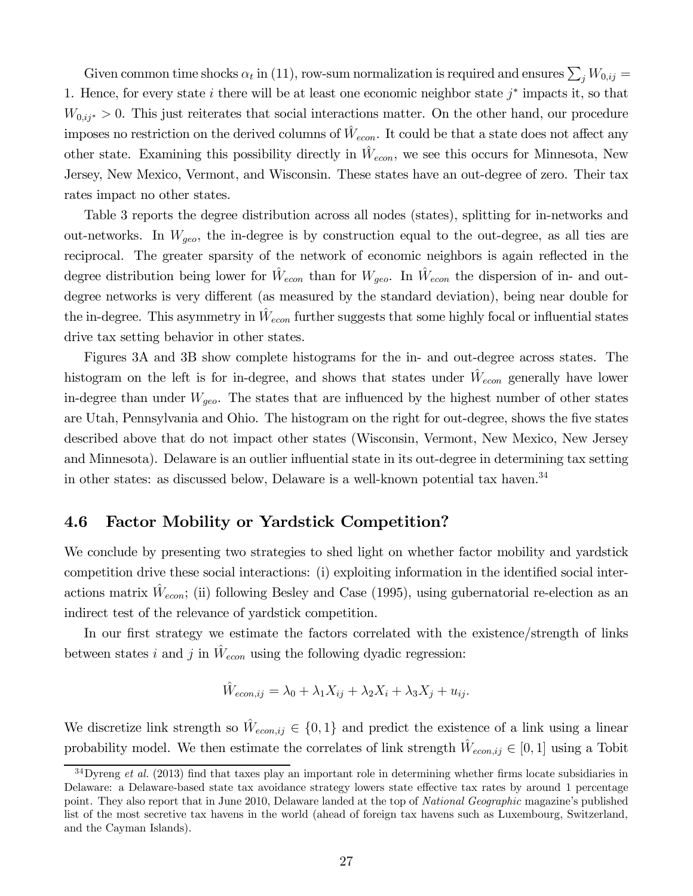Given common time shocks  $\alpha_t$  in (11), row-sum normalization is required and ensures  $\sum_j W_{0,ij} =$ 1. Hence, for every state i there will be at least one economic neighbor state  $j^*$  impacts it, so that  $W_{0,ij^*} > 0$ . This just reiterates that social interactions matter. On the other hand, our procedure imposes no restriction on the derived columns of  $\hat{W}_{econ}$ . It could be that a state does not affect any other state. Examining this possibility directly in  $\hat{W}_{econ}$ , we see this occurs for Minnesota, New Jersey, New Mexico, Vermont, and Wisconsin. These states have an out-degree of zero. Their tax rates impact no other states.

Table 3 reports the degree distribution across all nodes (states), splitting for in-networks and out-networks. In  $W_{geo}$ , the in-degree is by construction equal to the out-degree, as all ties are reciprocal. The greater sparsity of the network of economic neighbors is again reflected in the degree distribution being lower for  $\hat{W}_{econ}$  than for  $W_{geo}$ . In  $\hat{W}_{econ}$  the dispersion of in- and outdegree networks is very different (as measured by the standard deviation), being near double for the in-degree. This asymmetry in  $\hat{W}_{econ}$  further suggests that some highly focal or influential states drive tax setting behavior in other states.

Figures 3A and 3B show complete histograms for the in- and out-degree across states. The histogram on the left is for in-degree, and shows that states under  $\hat{W}_{econ}$  generally have lower in-degree than under  $W_{\text{geo}}$ . The states that are influenced by the highest number of other states are Utah, Pennsylvania and Ohio. The histogram on the right for out-degree, shows the five states described above that do not impact other states (Wisconsin, Vermont, New Mexico, New Jersey and Minnesota). Delaware is an outlier influential state in its out-degree in determining tax setting in other states: as discussed below, Delaware is a well-known potential tax haven.<sup>34</sup>

### 4.6 Factor Mobility or Yardstick Competition?

We conclude by presenting two strategies to shed light on whether factor mobility and yardstick competition drive these social interactions: (i) exploiting information in the identified social interactions matrix  $\hat{W}_{econ}$ ; (ii) following Besley and Case (1995), using gubernatorial re-election as an indirect test of the relevance of yardstick competition.

In our first strategy we estimate the factors correlated with the existence/strength of links between states *i* and *j* in  $\hat{W}_{econ}$  using the following dyadic regression:

$$
\hat{W}_{econ,ij} = \lambda_0 + \lambda_1 X_{ij} + \lambda_2 X_i + \lambda_3 X_j + u_{ij}.
$$

We discretize link strength so  $\hat{W}_{econ,ij} \in \{0,1\}$  and predict the existence of a link using a linear probability model. We then estimate the correlates of link strength  $\hat{W}_{econ,ij} \in [0, 1]$  using a Tobit

 $34$ Dyreng *et al.* (2013) find that taxes play an important role in determining whether firms locate subsidiaries in Delaware: a Delaware-based state tax avoidance strategy lowers state effective tax rates by around 1 percentage point. They also report that in June 2010, Delaware landed at the top of *National Geographic* magazine's published list of the most secretive tax havens in the world (ahead of foreign tax havens such as Luxembourg, Switzerland, and the Cayman Islands).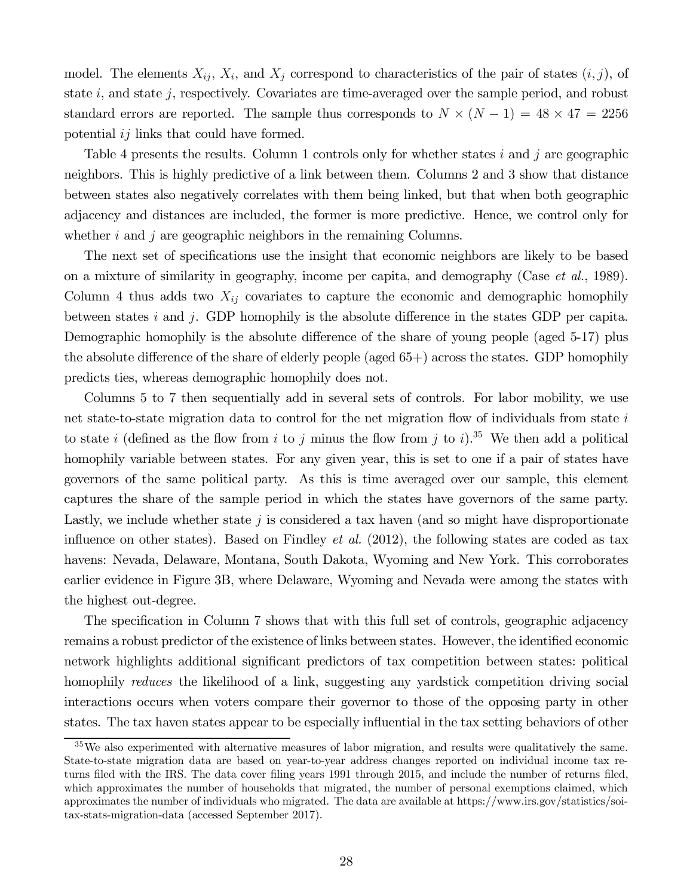model. The elements  $X_{ij}$ ,  $X_i$ , and  $X_j$  correspond to characteristics of the pair of states  $(i, j)$ , of state  $i$ , and state  $j$ , respectively. Covariates are time-averaged over the sample period, and robust standard errors are reported. The sample thus corresponds to  $N \times (N - 1) = 48 \times 47 = 2256$ potential  $ij$  links that could have formed.

Table 4 presents the results. Column 1 controls only for whether states  $i$  and  $j$  are geographic neighbors. This is highly predictive of a link between them. Columns 2 and 3 show that distance between states also negatively correlates with them being linked, but that when both geographic adjacency and distances are included, the former is more predictive. Hence, we control only for whether  $i$  and  $j$  are geographic neighbors in the remaining Columns.

The next set of specifications use the insight that economic neighbors are likely to be based on a mixture of similarity in geography, income per capita, and demography (Case *et al.*, 1989). Column 4 thus adds two  $X_{ij}$  covariates to capture the economic and demographic homophily between states  $i$  and  $j$ . GDP homophily is the absolute difference in the states GDP per capita. Demographic homophily is the absolute difference of the share of young people (aged 5-17) plus the absolute difference of the share of elderly people (aged  $65+)$ ) across the states. GDP homophily predicts ties, whereas demographic homophily does not.

Columns 5 to 7 then sequentially add in several sets of controls. For labor mobility, we use net state-to-state migration data to control for the net migration flow of individuals from state  $i$ to state *i* (defined as the flow from *i* to *j* minus the flow from *j* to *i*).<sup>35</sup> We then add a political homophily variable between states. For any given year, this is set to one if a pair of states have governors of the same political party. As this is time averaged over our sample, this element captures the share of the sample period in which the states have governors of the same party. Lastly, we include whether state  $i$  is considered a tax haven (and so might have disproportionate influence on other states). Based on Findley *et al.* (2012), the following states are coded as tax havens: Nevada, Delaware, Montana, South Dakota, Wyoming and New York. This corroborates earlier evidence in Figure 3B, where Delaware, Wyoming and Nevada were among the states with the highest out-degree.

The specification in Column 7 shows that with this full set of controls, geographic adjacency remains a robust predictor of the existence of links between states. However, the identified economic network highlights additional significant predictors of tax competition between states: political homophily *reduces* the likelihood of a link, suggesting any yardstick competition driving social interactions occurs when voters compare their governor to those of the opposing party in other states. The tax haven states appear to be especially influential in the tax setting behaviors of other

 $35\,\text{We}$  also experimented with alternative measures of labor migration, and results were qualitatively the same. State-to-state migration data are based on year-to-year address changes reported on individual income tax returns filed with the IRS. The data cover filing years 1991 through 2015, and include the number of returns filed, which approximates the number of households that migrated, the number of personal exemptions claimed, which approximates the number of individuals who migrated. The data are available at https://www.irs.gov/statistics/soitax-stats-migration-data (accessed September 2017).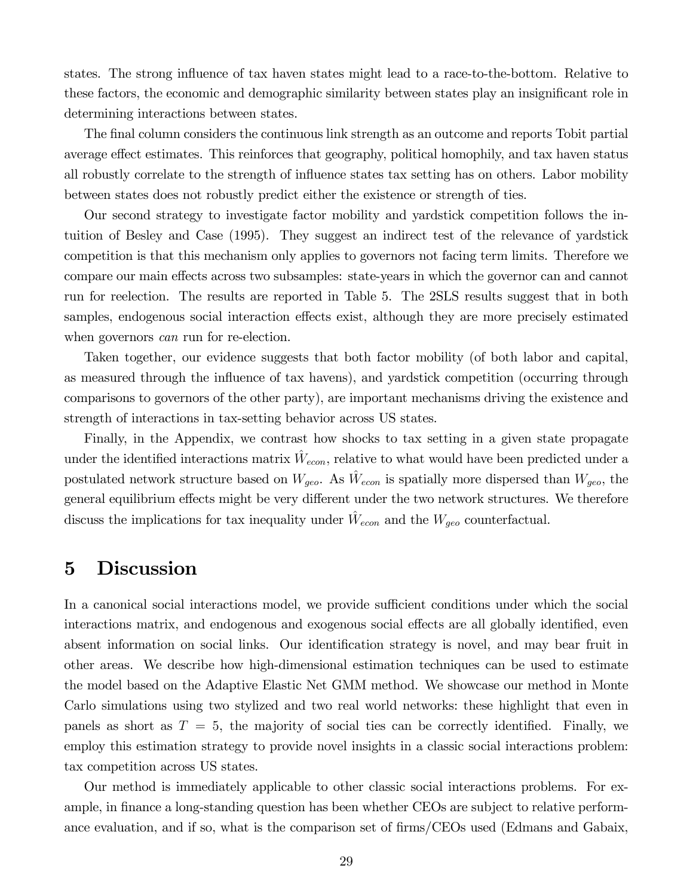states. The strong influence of tax haven states might lead to a race-to-the-bottom. Relative to these factors, the economic and demographic similarity between states play an insignificant role in determining interactions between states.

The final column considers the continuous link strength as an outcome and reports Tobit partial average effect estimates. This reinforces that geography, political homophily, and tax haven status all robustly correlate to the strength of influence states tax setting has on others. Labor mobility between states does not robustly predict either the existence or strength of ties.

Our second strategy to investigate factor mobility and yardstick competition follows the intuition of Besley and Case (1995). They suggest an indirect test of the relevance of yardstick competition is that this mechanism only applies to governors not facing term limits. Therefore we compare our main effects across two subsamples: state-years in which the governor can and cannot run for reelection. The results are reported in Table 5. The 2SLS results suggest that in both samples, endogenous social interaction effects exist, although they are more precisely estimated when governors *can* run for re-election.

Taken together, our evidence suggests that both factor mobility (of both labor and capital, as measured through the influence of tax havens), and yardstick competition (occurring through comparisons to governors of the other party), are important mechanisms driving the existence and strength of interactions in tax-setting behavior across US states.

Finally, in the Appendix, we contrast how shocks to tax setting in a given state propagate under the identified interactions matrix  $\hat{W}_{econ}$ , relative to what would have been predicted under a postulated network structure based on  $W_{geo}$ . As  $\hat{W}_{econ}$  is spatially more dispersed than  $W_{geo}$ , the general equilibrium effects might be very different under the two network structures. We therefore discuss the implications for tax inequality under  $\hat{W}_{econ}$  and the  $W_{geo}$  counterfactual.

### 5 Discussion

In a canonical social interactions model, we provide sufficient conditions under which the social interactions matrix, and endogenous and exogenous social effects are all globally identified, even absent information on social links. Our identification strategy is novel, and may bear fruit in other areas. We describe how high-dimensional estimation techniques can be used to estimate the model based on the Adaptive Elastic Net GMM method. We showcase our method in Monte Carlo simulations using two stylized and two real world networks: these highlight that even in panels as short as  $T = 5$ , the majority of social ties can be correctly identified. Finally, we employ this estimation strategy to provide novel insights in a classic social interactions problem: tax competition across US states.

Our method is immediately applicable to other classic social interactions problems. For example, in finance a long-standing question has been whether CEOs are subject to relative performance evaluation, and if so, what is the comparison set of  $\lim_{s \to s}$  (Edmans and Gabaix,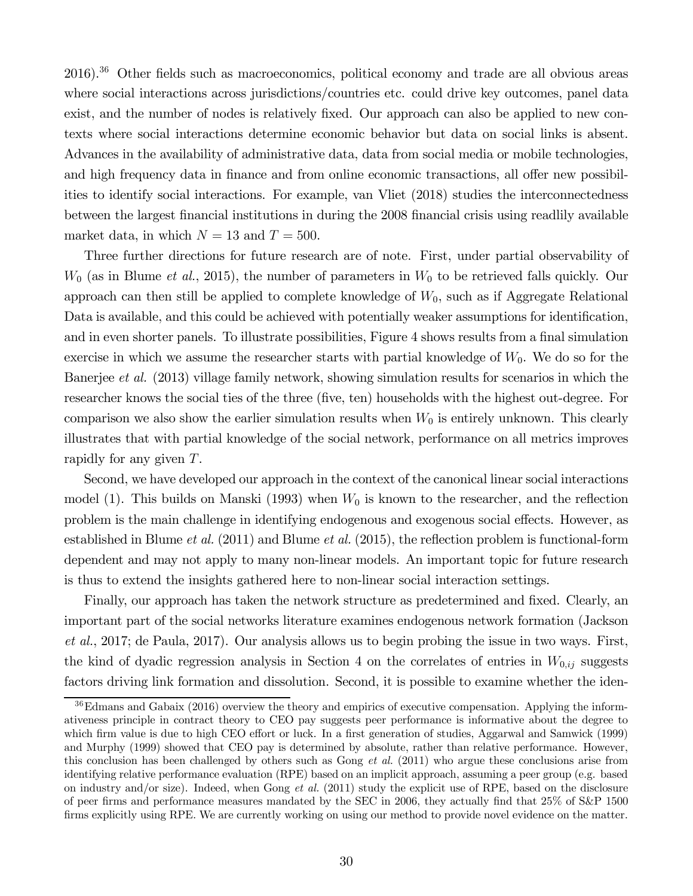$2016$ ).<sup>36</sup> Other fields such as macroeconomics, political economy and trade are all obvious areas where social interactions across jurisdictions/countries etc. could drive key outcomes, panel data exist, and the number of nodes is relatively fixed. Our approach can also be applied to new contexts where social interactions determine economic behavior but data on social links is absent. Advances in the availability of administrative data, data from social media or mobile technologies, and high frequency data in finance and from online economic transactions, all offer new possibilities to identify social interactions. For example, van Vliet (2018) studies the interconnectedness between the largest financial institutions in during the 2008 financial crisis using readlily available market data, in which  $N = 13$  and  $T = 500$ .

Three further directions for future research are of note. First, under partial observability of  $W_0$  (as in Blume *et al.*, 2015), the number of parameters in  $W_0$  to be retrieved falls quickly. Our approach can then still be applied to complete knowledge of  $W_0$ , such as if Aggregate Relational Data is available, and this could be achieved with potentially weaker assumptions for identification, and in even shorter panels. To illustrate possibilities, Figure 4 shows results from a final simulation exercise in which we assume the researcher starts with partial knowledge of  $W_0$ . We do so for the Banerjee *et al.* (2013) village family network, showing simulation results for scenarios in which the researcher knows the social ties of the three (five, ten) households with the highest out-degree. For comparison we also show the earlier simulation results when  $W_0$  is entirely unknown. This clearly illustrates that with partial knowledge of the social network, performance on all metrics improves rapidly for any given  $T$ .

Second, we have developed our approach in the context of the canonical linear social interactions model (1). This builds on Manski (1993) when  $W_0$  is known to the researcher, and the reflection problem is the main challenge in identifying endogenous and exogenous social effects. However, as established in Blume *et al.* (2011) and Blume *et al.* (2015), the reflection problem is functional-form dependent and may not apply to many non-linear models. An important topic for future research is thus to extend the insights gathered here to non-linear social interaction settings.

Finally, our approach has taken the network structure as predetermined and fixed. Clearly, an important part of the social networks literature examines endogenous network formation (Jackson *et al.*, 2017; de Paula, 2017). Our analysis allows us to begin probing the issue in two ways. First, the kind of dyadic regression analysis in Section 4 on the correlates of entries in  $W_{0,ij}$  suggests factors driving link formation and dissolution. Second, it is possible to examine whether the iden-

 $36$ Edmans and Gabaix (2016) overview the theory and empirics of executive compensation. Applying the informativeness principle in contract theory to CEO pay suggests peer performance is informative about the degree to which firm value is due to high CEO effort or luck. In a first generation of studies, Aggarwal and Samwick (1999) and Murphy (1999) showed that CEO pay is determined by absolute, rather than relative performance. However, this conclusion has been challenged by others such as Gong *et al.* (2011) who argue these conclusions arise from identifying relative performance evaluation (RPE) based on an implicit approach, assuming a peer group (e.g. based on industry and/or size). Indeed, when Gong *et al.* (2011) study the explicit use of RPE, based on the disclosure of peer firms and performance measures mandated by the SEC in 2006, they actually find that  $25\%$  of S&P 1500 firms explicitly using RPE. We are currently working on using our method to provide novel evidence on the matter.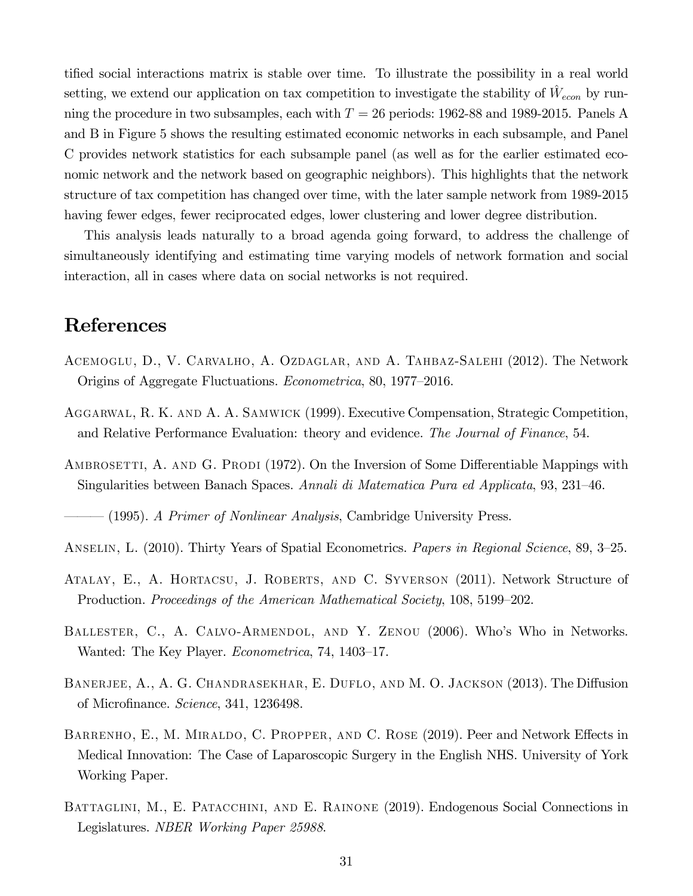tified social interactions matrix is stable over time. To illustrate the possibility in a real world setting, we extend our application on tax competition to investigate the stability of  $\hat{W}_{econ}$  by running the procedure in two subsamples, each with  $T = 26$  periods: 1962-88 and 1989-2015. Panels A and B in Figure 5 shows the resulting estimated economic networks in each subsample, and Panel C provides network statistics for each subsample panel (as well as for the earlier estimated economic network and the network based on geographic neighbors). This highlights that the network structure of tax competition has changed over time, with the later sample network from 1989-2015 having fewer edges, fewer reciprocated edges, lower clustering and lower degree distribution.

This analysis leads naturally to a broad agenda going forward, to address the challenge of simultaneously identifying and estimating time varying models of network formation and social interaction, all in cases where data on social networks is not required.

### References

- Acemoglu, D., V. Carvalho, A. Ozdaglar, and A. Tahbaz-Salehi (2012). The Network Origins of Aggregate Fluctuations. *Econometrica*, 80, 1977–2016.
- Aggarwal, R. K. and A. A. Samwick (1999). Executive Compensation, Strategic Competition, and Relative Performance Evaluation: theory and evidence. *The Journal of Finance*, 54.
- AMBROSETTI, A. AND G. PRODI (1972). On the Inversion of Some Differentiable Mappings with Singularities between Banach Spaces. *Annali di Matematica Pura ed Applicata*, 93, 231–46.

——— (1995). *A Primer of Nonlinear Analysis*, Cambridge University Press.

- Anselin, L. (2010). Thirty Years of Spatial Econometrics. *Papers in Regional Science*, 89, 3–25.
- Atalay, E., A. Hortacsu, J. Roberts, and C. Syverson (2011). Network Structure of Production. *Proceedings of the American Mathematical Society*, 108, 5199–202.
- Ballester, C., A. Calvo-Armendol, and Y. Zenou (2006). Who's Who in Networks. Wanted: The Key Player. *Econometrica*, 74, 1403–17.
- BANERJEE, A., A. G. CHANDRASEKHAR, E. DUFLO, AND M. O. JACKSON (2013). The Diffusion of Microfinance. *Science*, 341, 1236498.
- BARRENHO, E., M. MIRALDO, C. PROPPER, AND C. ROSE (2019). Peer and Network Effects in Medical Innovation: The Case of Laparoscopic Surgery in the English NHS. University of York Working Paper.
- BATTAGLINI, M., E. PATACCHINI, AND E. RAINONE (2019). Endogenous Social Connections in Legislatures. *NBER Working Paper 25988*.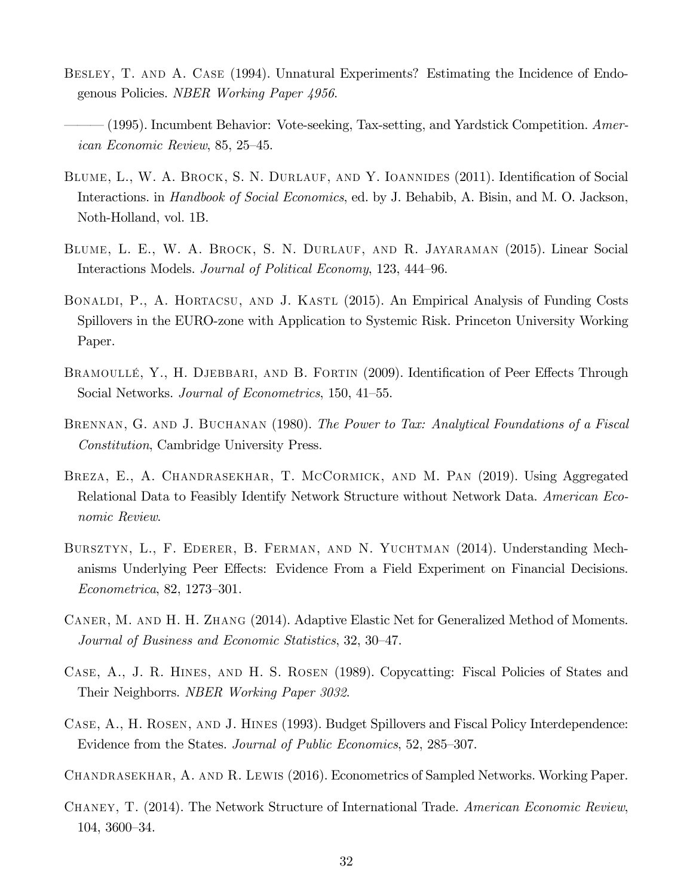- BESLEY, T. AND A. CASE (1994). Unnatural Experiments? Estimating the Incidence of Endogenous Policies. *NBER Working Paper 4956*.
- ——— (1995). Incumbent Behavior: Vote-seeking, Tax-setting, and Yardstick Competition. *American Economic Review*, 85, 25–45.
- BLUME, L., W. A. BROCK, S. N. DURLAUF, AND Y. IOANNIDES (2011). Identification of Social Interactions. in *Handbook of Social Economics*, ed. by J. Behabib, A. Bisin, and M. O. Jackson, Noth-Holland, vol. 1B.
- Blume, L. E., W. A. Brock, S. N. Durlauf, and R. Jayaraman (2015). Linear Social Interactions Models. *Journal of Political Economy*, 123, 444–96.
- Bonaldi, P., A. Hortacsu, and J. Kastl (2015). An Empirical Analysis of Funding Costs Spillovers in the EURO-zone with Application to Systemic Risk. Princeton University Working Paper.
- BRAMOULLÉ, Y., H. DJEBBARI, AND B. FORTIN (2009). Identification of Peer Effects Through Social Networks. *Journal of Econometrics*, 150, 41–55.
- Brennan, G. and J. Buchanan (1980). *The Power to Tax: Analytical Foundations of a Fiscal Constitution*, Cambridge University Press.
- Breza, E., A. Chandrasekhar, T. McCormick, and M. Pan (2019). Using Aggregated Relational Data to Feasibly Identify Network Structure without Network Data. *American Economic Review*.
- BURSZTYN, L., F. EDERER, B. FERMAN, AND N. YUCHTMAN (2014). Understanding Mechanisms Underlying Peer Effects: Evidence From a Field Experiment on Financial Decisions. *Econometrica*, 82, 1273–301.
- Caner, M. and H. H. Zhang (2014). Adaptive Elastic Net for Generalized Method of Moments. *Journal of Business and Economic Statistics*, 32, 30–47.
- Case, A., J. R. Hines, and H. S. Rosen (1989). Copycatting: Fiscal Policies of States and Their Neighborrs. *NBER Working Paper 3032*.
- Case, A., H. Rosen, and J. Hines (1993). Budget Spillovers and Fiscal Policy Interdependence: Evidence from the States. *Journal of Public Economics*, 52, 285–307.
- Chandrasekhar, A. and R. Lewis (2016). Econometrics of Sampled Networks. Working Paper.
- Chaney, T. (2014). The Network Structure of International Trade. *American Economic Review*, 104, 3600–34.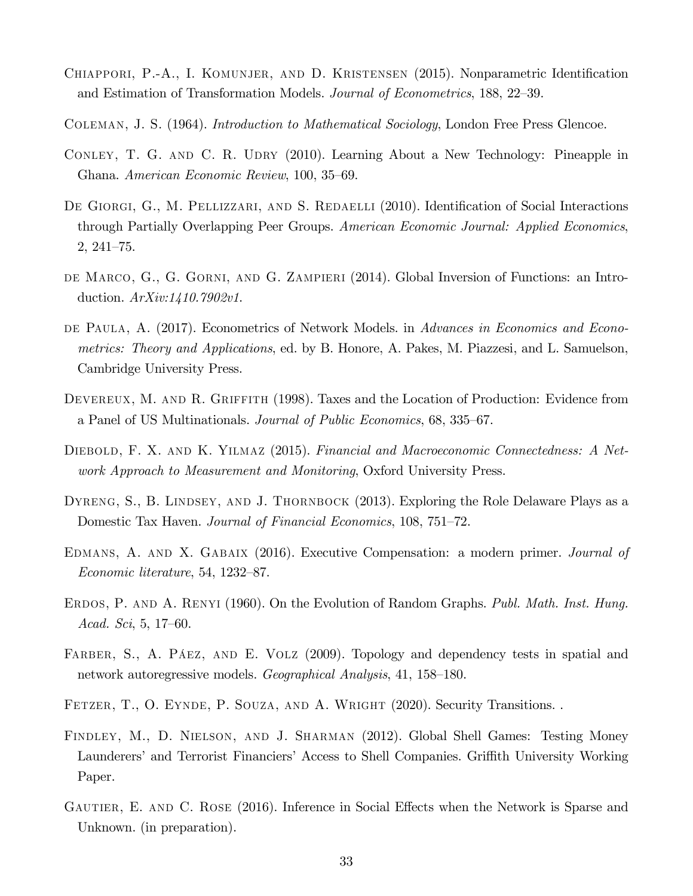- CHIAPPORI, P.-A., I. KOMUNJER, AND D. KRISTENSEN (2015). Nonparametric Identification and Estimation of Transformation Models. *Journal of Econometrics*, 188, 22–39.
- Coleman, J. S. (1964). *Introduction to Mathematical Sociology*, London Free Press Glencoe.
- CONLEY, T. G. AND C. R. UDRY (2010). Learning About a New Technology: Pineapple in Ghana. *American Economic Review*, 100, 35–69.
- DE GIORGI, G., M. PELLIZZARI, AND S. REDAELLI (2010). Identification of Social Interactions through Partially Overlapping Peer Groups. *American Economic Journal: Applied Economics*, 2, 241–75.
- de Marco, G., G. Gorni, and G. Zampieri (2014). Global Inversion of Functions: an Introduction. *ArXiv:1410.7902v1*.
- DE PAULA, A. (2017). Econometrics of Network Models. in *Advances in Economics and Econometrics: Theory and Applications*, ed. by B. Honore, A. Pakes, M. Piazzesi, and L. Samuelson, Cambridge University Press.
- DEVEREUX, M. AND R. GRIFFITH (1998). Taxes and the Location of Production: Evidence from a Panel of US Multinationals. *Journal of Public Economics*, 68, 335–67.
- Diebold, F. X. and K. Yilmaz (2015). *Financial and Macroeconomic Connectedness: A Network Approach to Measurement and Monitoring*, Oxford University Press.
- DYRENG, S., B. LINDSEY, AND J. THORNBOCK (2013). Exploring the Role Delaware Plays as a Domestic Tax Haven. *Journal of Financial Economics*, 108, 751–72.
- Edmans, A. and X. Gabaix (2016). Executive Compensation: a modern primer. *Journal of Economic literature*, 54, 1232–87.
- ERDOS, P. AND A. RENYI (1960). On the Evolution of Random Graphs. *Publ. Math. Inst. Hung. Acad. Sci*, 5, 17–60.
- FARBER, S., A. PÁEZ, AND E. VOLZ (2009). Topology and dependency tests in spatial and network autoregressive models. *Geographical Analysis*, 41, 158–180.
- FETZER, T., O. EYNDE, P. SOUZA, AND A. WRIGHT (2020). Security Transitions.
- Findley, M., D. Nielson, and J. Sharman (2012). Global Shell Games: Testing Money Launderers' and Terrorist Financiers' Access to Shell Companies. Griffith University Working Paper.
- GAUTIER, E. AND C. ROSE (2016). Inference in Social Effects when the Network is Sparse and Unknown. (in preparation).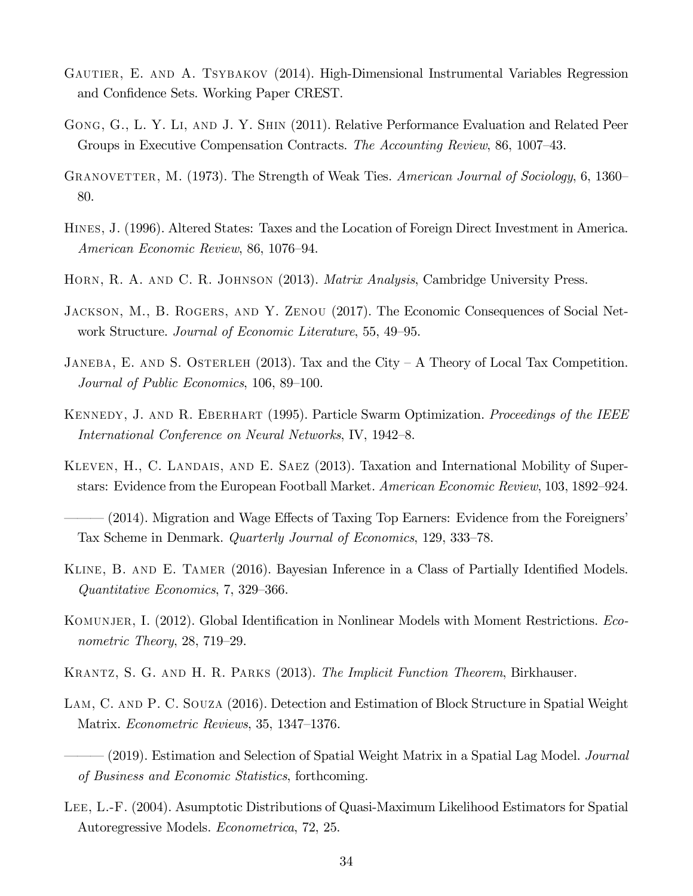- GAUTIER, E. AND A. TSYBAKOV (2014). High-Dimensional Instrumental Variables Regression and Confidence Sets. Working Paper CREST.
- GONG, G., L. Y. LI, AND J. Y. SHIN (2011). Relative Performance Evaluation and Related Peer Groups in Executive Compensation Contracts. *The Accounting Review*, 86, 1007–43.
- Granovetter, M. (1973). The Strength of Weak Ties. *American Journal of Sociology*, 6, 1360– 80.
- Hines, J. (1996). Altered States: Taxes and the Location of Foreign Direct Investment in America. *American Economic Review*, 86, 1076–94.
- Horn, R. A. and C. R. Johnson (2013). *Matrix Analysis*, Cambridge University Press.
- Jackson, M., B. Rogers, and Y. Zenou (2017). The Economic Consequences of Social Network Structure. *Journal of Economic Literature*, 55, 49–95.
- JANEBA, E. AND S. OSTERLEH (2013). Tax and the City A Theory of Local Tax Competition. *Journal of Public Economics*, 106, 89–100.
- Kennedy, J. and R. Eberhart (1995). Particle Swarm Optimization. *Proceedings of the IEEE International Conference on Neural Networks*, IV, 1942–8.
- KLEVEN, H., C. LANDAIS, AND E. SAEZ (2013). Taxation and International Mobility of Superstars: Evidence from the European Football Market. *American Economic Review*, 103, 1892–924.
- $(2014)$ . Migration and Wage Effects of Taxing Top Earners: Evidence from the Foreigners' Tax Scheme in Denmark. *Quarterly Journal of Economics*, 129, 333–78.
- KLINE, B. AND E. TAMER (2016). Bayesian Inference in a Class of Partially Identified Models. *Quantitative Economics*, 7, 329–366.
- KOMUNJER, I. (2012). Global Identification in Nonlinear Models with Moment Restrictions. *Econometric Theory*, 28, 719–29.
- Krantz, S. G. and H. R. Parks (2013). *The Implicit Function Theorem*, Birkhauser.
- LAM, C. AND P. C. SOUZA (2016). Detection and Estimation of Block Structure in Spatial Weight Matrix. *Econometric Reviews*, 35, 1347–1376.
- ——— (2019). Estimation and Selection of Spatial Weight Matrix in a Spatial Lag Model. *Journal of Business and Economic Statistics*, forthcoming.
- Lee, L.-F. (2004). Asumptotic Distributions of Quasi-Maximum Likelihood Estimators for Spatial Autoregressive Models. *Econometrica*, 72, 25.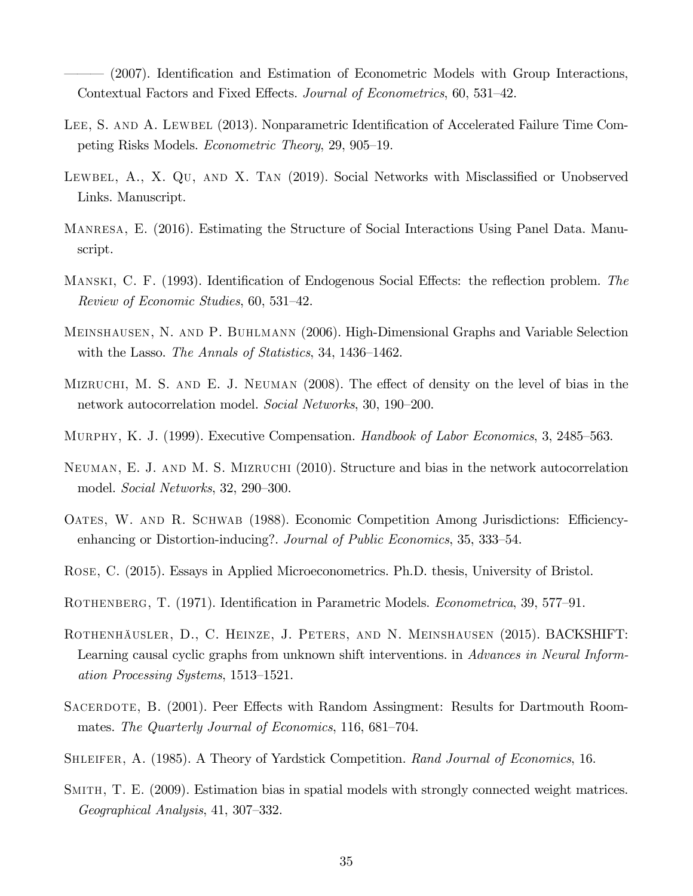(2007). Identification and Estimation of Econometric Models with Group Interactions, Contextual Factors and Fixed E¤ects. *Journal of Econometrics*, 60, 531–42.

- LEE, S. AND A. LEWBEL (2013). Nonparametric Identification of Accelerated Failure Time Competing Risks Models. *Econometric Theory*, 29, 905–19.
- LEWBEL, A., X.  $\mathbf{Q}(\mathbf{U})$ , AND X. TAN (2019). Social Networks with Misclassified or Unobserved Links. Manuscript.
- Manresa, E. (2016). Estimating the Structure of Social Interactions Using Panel Data. Manuscript.
- MANSKI, C. F. (1993). Identification of Endogenous Social Effects: the reflection problem. *The Review of Economic Studies*, 60, 531–42.
- Meinshausen, N. and P. Buhlmann (2006). High-Dimensional Graphs and Variable Selection with the Lasso. *The Annals of Statistics*, 34, 1436–1462.
- MIZRUCHI, M. S. AND E. J. NEUMAN  $(2008)$ . The effect of density on the level of bias in the network autocorrelation model. *Social Networks*, 30, 190–200.
- Murphy, K. J. (1999). Executive Compensation. *Handbook of Labor Economics*, 3, 2485–563.
- Neuman, E. J. and M. S. Mizruchi (2010). Structure and bias in the network autocorrelation model. *Social Networks*, 32, 290–300.
- OATES, W. AND R. SCHWAB (1988). Economic Competition Among Jurisdictions: Efficiencyenhancing or Distortion-inducing?. *Journal of Public Economics*, 35, 333–54.
- Rose, C. (2015). Essays in Applied Microeconometrics. Ph.D. thesis, University of Bristol.
- ROTHENBERG, T. (1971). Identification in Parametric Models. *Econometrica*, 39, 577–91.
- Rothenhäusler, D., C. Heinze, J. Peters, and N. Meinshausen (2015). BACKSHIFT: Learning causal cyclic graphs from unknown shift interventions. in *Advances in Neural Information Processing Systems*, 1513–1521.
- SACERDOTE, B. (2001). Peer Effects with Random Assingment: Results for Dartmouth Roommates. *The Quarterly Journal of Economics*, 116, 681–704.
- Shleifer, A. (1985). A Theory of Yardstick Competition. *Rand Journal of Economics*, 16.
- Smith, T. E. (2009). Estimation bias in spatial models with strongly connected weight matrices. *Geographical Analysis*, 41, 307–332.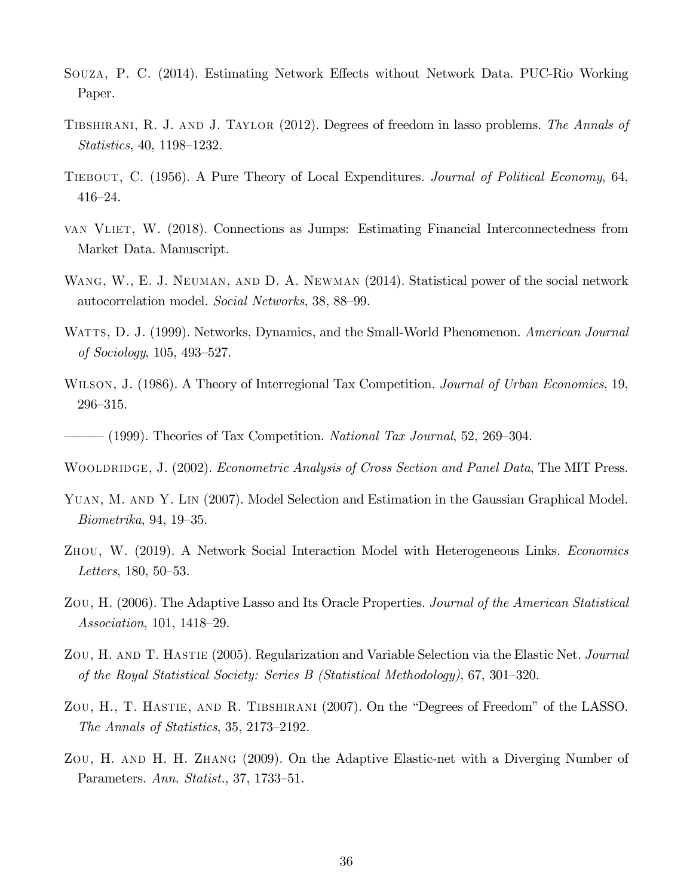- SOUZA, P. C. (2014). Estimating Network Effects without Network Data. PUC-Rio Working Paper.
- Tibshirani, R. J. and J. Taylor (2012). Degrees of freedom in lasso problems. *The Annals of Statistics*, 40, 1198–1232.
- Tiebout, C. (1956). A Pure Theory of Local Expenditures. *Journal of Political Economy*, 64, 416–24.
- van Vliet, W. (2018). Connections as Jumps: Estimating Financial Interconnectedness from Market Data. Manuscript.
- WANG, W., E. J. NEUMAN, AND D. A. NEWMAN (2014). Statistical power of the social network autocorrelation model. *Social Networks*, 38, 88–99.
- Watts, D. J. (1999). Networks, Dynamics, and the Small-World Phenomenon. *American Journal of Sociology*, 105, 493–527.
- Wilson, J. (1986). A Theory of Interregional Tax Competition. *Journal of Urban Economics*, 19, 296–315.
- ——— (1999). Theories of Tax Competition. *National Tax Journal*, 52, 269–304.
- Wooldridge, J. (2002). *Econometric Analysis of Cross Section and Panel Data*, The MIT Press.
- Yuan, M. and Y. Lin (2007). Model Selection and Estimation in the Gaussian Graphical Model. *Biometrika*, 94, 19–35.
- Zhou, W. (2019). A Network Social Interaction Model with Heterogeneous Links. *Economics Letters*, 180, 50–53.
- Zou, H. (2006). The Adaptive Lasso and Its Oracle Properties. *Journal of the American Statistical Association*, 101, 1418–29.
- Zou, H. and T. Hastie (2005). Regularization and Variable Selection via the Elastic Net. *Journal of the Royal Statistical Society: Series B (Statistical Methodology)*, 67, 301–320.
- ZOU, H., T. HASTIE, AND R. TIBSHIRANI (2007). On the "Degrees of Freedom" of the LASSO. *The Annals of Statistics*, 35, 2173–2192.
- Zou, H. and H. H. Zhang (2009). On the Adaptive Elastic-net with a Diverging Number of Parameters. *Ann. Statist.*, 37, 1733–51.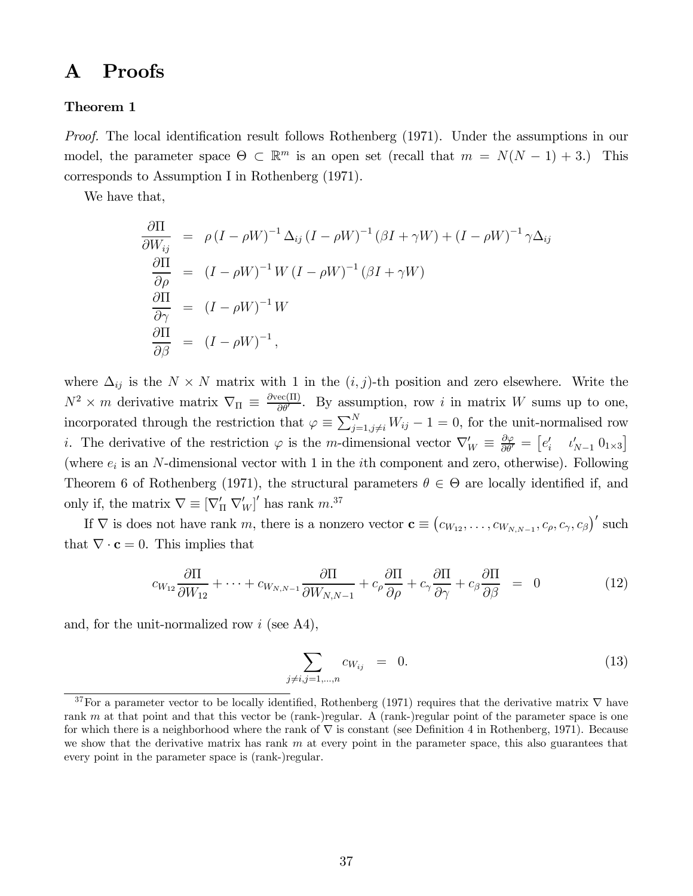# A Proofs

#### Theorem 1

*Proof.* The local identification result follows Rothenberg (1971). Under the assumptions in our model, the parameter space  $\Theta \subset \mathbb{R}^m$  is an open set (recall that  $m = N(N-1) + 3$ .) This corresponds to Assumption I in Rothenberg (1971).

We have that,

$$
\frac{\partial \Pi}{\partial W_{ij}} = \rho (I - \rho W)^{-1} \Delta_{ij} (I - \rho W)^{-1} (\beta I + \gamma W) + (I - \rho W)^{-1} \gamma \Delta_{ij}
$$
  
\n
$$
\frac{\partial \Pi}{\partial \rho} = (I - \rho W)^{-1} W (I - \rho W)^{-1} (\beta I + \gamma W)
$$
  
\n
$$
\frac{\partial \Pi}{\partial \gamma} = (I - \rho W)^{-1} W
$$
  
\n
$$
\frac{\partial \Pi}{\partial \beta} = (I - \rho W)^{-1},
$$

where  $\Delta_{ij}$  is the  $N \times N$  matrix with 1 in the  $(i, j)$ -th position and zero elsewhere. Write the  $N^2 \times m$  derivative matrix  $\nabla_{\Pi} \equiv \frac{\partial \text{vec}(\Pi)}{\partial \theta'}$  $\frac{\text{ec}(\Pi)}{\partial \theta'}$ . By assumption, row *i* in matrix *W* sums up to one, incorporated through the restriction that  $\varphi \equiv \sum_{j=1,j\neq i}^{N} W_{ij} - 1 = 0$ , for the unit-normalised row *i*. The derivative of the restriction  $\varphi$  is the *m*-dimensional vector  $\nabla'_W \equiv \frac{\partial \varphi}{\partial \theta'}$  $\frac{\partial \varphi}{\partial \theta'} = \begin{bmatrix} e'_i & v'_{N-1} & 0_{1 \times 3} \end{bmatrix}$ (where  $e_i$  is an N-dimensional vector with 1 in the *i*th component and zero, otherwise). Following Theorem 6 of Rothenberg (1971), the structural parameters  $\theta \in \Theta$  are locally identified if, and only if, the matrix  $\nabla \equiv [\nabla'_{\Pi} \nabla'_{W}]'$  has rank  $m^{37}$ 

If  $\nabla$  is does not have rank m, there is a nonzero vector  $\mathbf{c} \equiv (c_{W_{12}}, \ldots, c_{W_{N,N-1}}, c_{\rho}, c_{\gamma}, c_{\beta})'$  such that  $\nabla \cdot \mathbf{c} = 0$ . This implies that

$$
c_{W_{12}}\frac{\partial \Pi}{\partial W_{12}} + \dots + c_{W_{N,N-1}}\frac{\partial \Pi}{\partial W_{N,N-1}} + c_{\rho}\frac{\partial \Pi}{\partial \rho} + c_{\gamma}\frac{\partial \Pi}{\partial \gamma} + c_{\beta}\frac{\partial \Pi}{\partial \beta} = 0
$$
 (12)

and, for the unit-normalized row  $i$  (see A4),

$$
\sum_{j \neq i, j=1,\dots,n} c_{W_{ij}} = 0.
$$
 (13)

<sup>&</sup>lt;sup>37</sup>For a parameter vector to be locally identified, Rothenberg (1971) requires that the derivative matrix  $\nabla$  have rank  $m$  at that point and that this vector be (rank-)regular. A (rank-)regular point of the parameter space is one for which there is a neighborhood where the rank of  $\nabla$  is constant (see Definition 4 in Rothenberg, 1971). Because we show that the derivative matrix has rank  $m$  at every point in the parameter space, this also guarantees that every point in the parameter space is (rank-)regular.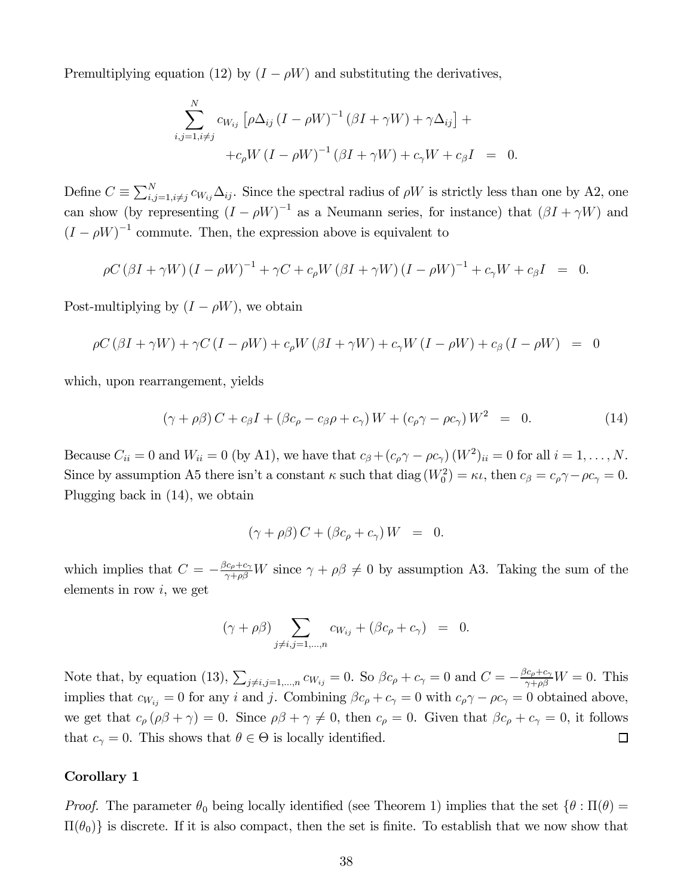Premultiplying equation (12) by  $(I - \rho W)$  and substituting the derivatives,

$$
\sum_{i,j=1,i\neq j}^{N} c_{W_{ij}} \left[ \rho \Delta_{ij} \left( I - \rho W \right)^{-1} \left( \beta I + \gamma W \right) + \gamma \Delta_{ij} \right] +
$$
  
+
$$
c_{\rho} W \left( I - \rho W \right)^{-1} \left( \beta I + \gamma W \right) + c_{\gamma} W + c_{\beta} I = 0.
$$

Define  $C \equiv \sum_{i,j=1, i \neq j}^{N} c_{W_{ij}} \Delta_{ij}$ . Since the spectral radius of  $\rho W$  is strictly less than one by A2, one can show (by representing  $(I - \rho W)^{-1}$  as a Neumann series, for instance) that  $(\beta I + \gamma W)$  and  $(I - \rho W)^{-1}$  commute. Then, the expression above is equivalent to

$$
\rho C \left(\beta I + \gamma W\right) \left(I - \rho W\right)^{-1} + \gamma C + c_{\rho} W \left(\beta I + \gamma W\right) \left(I - \rho W\right)^{-1} + c_{\gamma} W + c_{\beta} I = 0.
$$

Post-multiplying by  $(I - \rho W)$ , we obtain

$$
\rho C \left(\beta I + \gamma W\right) + \gamma C \left(I - \rho W\right) + c_{\rho} W \left(\beta I + \gamma W\right) + c_{\gamma} W \left(I - \rho W\right) + c_{\beta} \left(I - \rho W\right) = 0
$$

which, upon rearrangement, yields

$$
(\gamma + \rho \beta) C + c_{\beta} I + (\beta c_{\rho} - c_{\beta} \rho + c_{\gamma}) W + (c_{\rho} \gamma - \rho c_{\gamma}) W^{2} = 0.
$$
 (14)

Because  $C_{ii} = 0$  and  $W_{ii} = 0$  (by A1), we have that  $c_{\beta} + (c_{\rho} \gamma - \rho c_{\gamma}) (W^2)_{ii} = 0$  for all  $i = 1, ..., N$ . Since by assumption A5 there isn't a constant  $\kappa$  such that diag  $(W_0^2) = \kappa \iota$ , then  $c_{\beta} = c_{\rho} \gamma - \rho c_{\gamma} = 0$ . Plugging back in (14), we obtain

$$
(\gamma + \rho \beta) C + (\beta c_{\rho} + c_{\gamma}) W = 0.
$$

which implies that  $C = -\frac{\beta c_{\rho} + c_{\gamma}}{\gamma + \rho \beta} W$  since  $\gamma + \rho \beta \neq 0$  by assumption A3. Taking the sum of the elements in row  $i$ , we get

$$
(\gamma + \rho \beta) \sum_{j \neq i, j = 1, \dots, n} c_{W_{ij}} + (\beta c_{\rho} + c_{\gamma}) = 0.
$$

Note that, by equation (13),  $\sum_{j\neq i,j=1,\dots,n} c_{W_{ij}} = 0$ . So  $\beta c_{\rho} + c_{\gamma} = 0$  and  $C = -\frac{\beta c_{\rho} + c_{\gamma}}{\gamma + \rho \beta} W = 0$ . This implies that  $c_{W_{ij}} = 0$  for any *i* and *j*. Combining  $\beta c_{\rho} + c_{\gamma} = 0$  with  $c_{\rho} \gamma - \rho c_{\gamma} = 0$  obtained above, we get that  $c_{\rho}(\rho\beta + \gamma) = 0$ . Since  $\rho\beta + \gamma \neq 0$ , then  $c_{\rho} = 0$ . Given that  $\beta c_{\rho} + c_{\gamma} = 0$ , it follows that  $c_{\gamma} = 0$ . This shows that  $\theta \in \Theta$  is locally identified.  $\Box$ 

### Corollary 1

*Proof.* The parameter  $\theta_0$  being locally identified (see Theorem 1) implies that the set  $\{\theta : \Pi(\theta) =$  $\Pi(\theta_0)$  is discrete. If it is also compact, then the set is finite. To establish that we now show that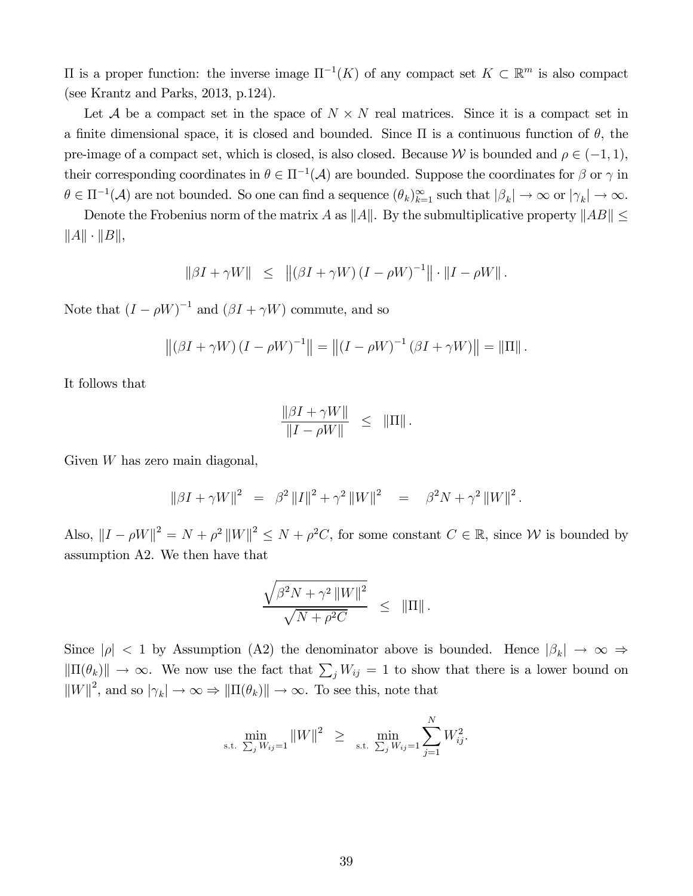$\Pi$  is a proper function: the inverse image  $\Pi^{-1}(K)$  of any compact set  $K \subset \mathbb{R}^m$  is also compact (see Krantz and Parks, 2013, p.124).

Let A be a compact set in the space of  $N \times N$  real matrices. Since it is a compact set in a finite dimensional space, it is closed and bounded. Since  $\Pi$  is a continuous function of  $\theta$ , the pre-image of a compact set, which is closed, is also closed. Because W is bounded and  $\rho \in (-1,1)$ , their corresponding coordinates in  $\theta \in \Pi^{-1}(\mathcal{A})$  are bounded. Suppose the coordinates for  $\beta$  or  $\gamma$  in  $\theta \in \Pi^{-1}(\mathcal{A})$  are not bounded. So one can find a sequence  $(\theta_k)_{k=1}^{\infty}$  such that  $|\beta_k| \to \infty$  or  $|\gamma_k| \to \infty$ .

Denote the Frobenius norm of the matrix A as  $||A||$ . By the submultiplicative property  $||AB|| \le$  $||A|| \cdot ||B||,$ 

$$
\|\beta I + \gamma W\| \leq \|(\beta I + \gamma W) (I - \rho W)^{-1}\| \cdot \|I - \rho W\|.
$$

Note that  $(I - \rho W)^{-1}$  and  $(\beta I + \gamma W)$  commute, and so

$$
\|(\beta I + \gamma W)(I - \rho W)^{-1}\| = \|(I - \rho W)^{-1}(\beta I + \gamma W)\| = \|\Pi\|.
$$

It follows that

$$
\frac{\|\beta I + \gamma W\|}{\|I - \rho W\|} \leq \| \Pi \|.
$$

Given  $W$  has zero main diagonal,

$$
\|\beta I + \gamma W\|^2 = \beta^2 \|I\|^2 + \gamma^2 \|W\|^2 = \beta^2 N + \gamma^2 \|W\|^2.
$$

Also,  $||I - \rho W||^2 = N + \rho^2 ||W||^2 \le N + \rho^2 C$ , for some constant  $C \in \mathbb{R}$ , since W is bounded by assumption A2. We then have that

$$
\frac{\sqrt{\beta^2 N + \gamma^2 ||W||^2}}{\sqrt{N + \rho^2 C}} \le ||\Pi||.
$$

Since  $|\rho|$  < 1 by Assumption (A2) the denominator above is bounded. Hence  $|\beta_k| \to \infty$   $\Rightarrow$  $\|\Pi(\theta_k)\| \to \infty$ . We now use the fact that  $\sum_j W_{ij} = 1$  to show that there is a lower bound on  $||W||^2$ , and so  $|\gamma_k| \to \infty \Rightarrow ||\Pi(\theta_k)|| \to \infty$ . To see this, note that

$$
\min_{\text{s.t. } \sum_{j} W_{ij} = 1} ||W||^2 \geq \min_{\text{s.t. } \sum_{j} W_{ij} = 1} \sum_{j=1}^{N} W_{ij}^2.
$$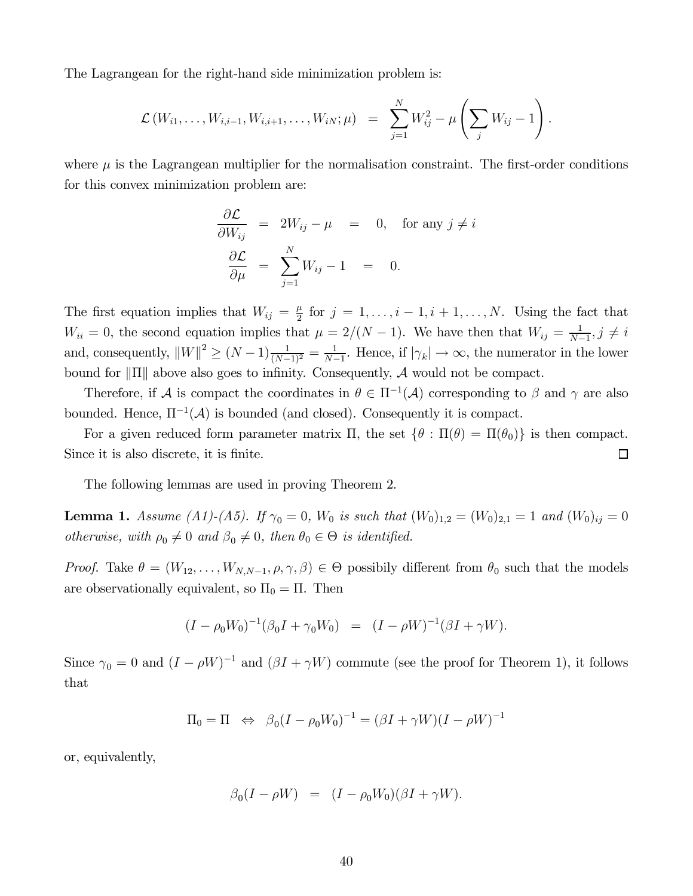The Lagrangean for the right-hand side minimization problem is:

$$
\mathcal{L}(W_{i1},\ldots,W_{i,i-1},W_{i,i+1},\ldots,W_{iN};\mu) = \sum_{j=1}^N W_{ij}^2 - \mu \left(\sum_j W_{ij} - 1\right).
$$

where  $\mu$  is the Lagrangean multiplier for the normalisation constraint. The first-order conditions for this convex minimization problem are:

$$
\frac{\partial \mathcal{L}}{\partial W_{ij}} = 2W_{ij} - \mu = 0, \text{ for any } j \neq i
$$

$$
\frac{\partial \mathcal{L}}{\partial \mu} = \sum_{j=1}^{N} W_{ij} - 1 = 0.
$$

The first equation implies that  $W_{ij} = \frac{\mu}{2}$  $\frac{\mu}{2}$  for  $j = 1, \ldots, i - 1, i + 1, \ldots, N$ . Using the fact that  $W_{ii} = 0$ , the second equation implies that  $\mu = 2/(N-1)$ . We have then that  $W_{ij} = \frac{1}{N-1}$  $\frac{1}{N-1}, j \neq i$ and, consequently,  $||W||^2 \ge (N-1) \frac{1}{(N-1)^2} = \frac{1}{N-1}$  $\frac{1}{N-1}$ . Hence, if  $|\gamma_k| \to \infty$ , the numerator in the lower bound for  $\|\Pi\|$  above also goes to infinity. Consequently, A would not be compact.

Therefore, if A is compact the coordinates in  $\theta \in \Pi^{-1}(\mathcal{A})$  corresponding to  $\beta$  and  $\gamma$  are also bounded. Hence,  $\Pi^{-1}(\mathcal{A})$  is bounded (and closed). Consequently it is compact.

For a given reduced form parameter matrix  $\Pi$ , the set  $\{\theta : \Pi(\theta) = \Pi(\theta_0)\}\$ is then compact. Since it is also discrete, it is finite.  $\Box$ 

The following lemmas are used in proving Theorem 2.

**Lemma 1.** *Assume (A1)-(A5). If*  $\gamma_0 = 0$ *, W<sub>0</sub> is such that*  $(W_0)_{1,2} = (W_0)_{2,1} = 1$  *and*  $(W_0)_{ij} = 0$ *otherwise, with*  $\rho_0 \neq 0$  *and*  $\beta_0 \neq 0$ *, then*  $\theta_0 \in \Theta$  *is identified.* 

*Proof.* Take  $\theta = (W_{12}, \ldots, W_{N,N-1}, \rho, \gamma, \beta) \in \Theta$  possibily different from  $\theta_0$  such that the models are observationally equivalent, so  $\Pi_0 = \Pi$ . Then

$$
(I - \rho_0 W_0)^{-1} (\beta_0 I + \gamma_0 W_0) = (I - \rho W)^{-1} (\beta I + \gamma W).
$$

Since  $\gamma_0 = 0$  and  $(I - \rho W)^{-1}$  and  $(\beta I + \gamma W)$  commute (see the proof for Theorem 1), it follows that

$$
\Pi_0 = \Pi \Leftrightarrow \beta_0 (I - \rho_0 W_0)^{-1} = (\beta I + \gamma W)(I - \rho W)^{-1}
$$

or, equivalently,

$$
\beta_0(I - \rho W) = (I - \rho_0 W_0)(\beta I + \gamma W).
$$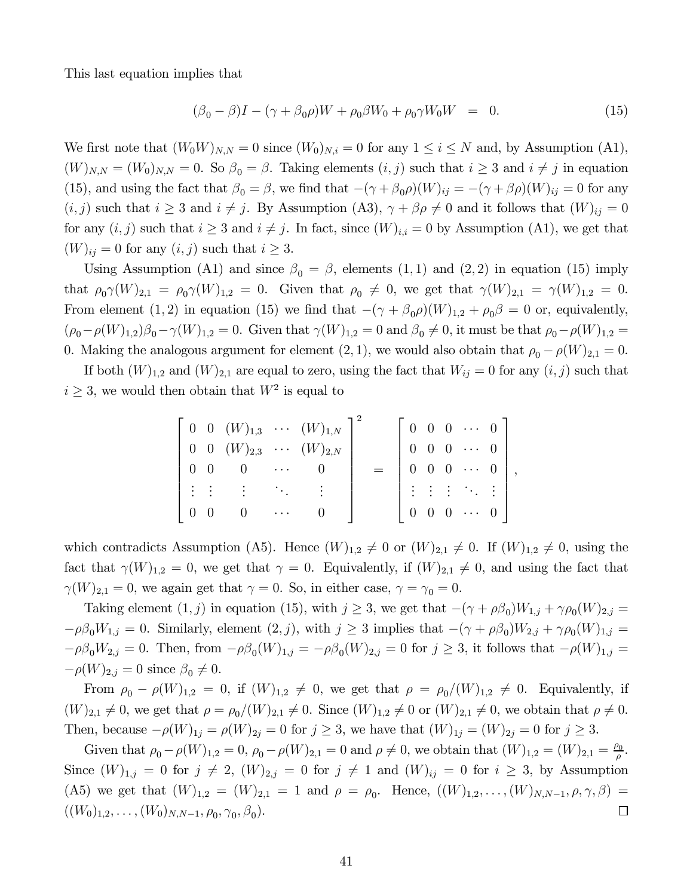This last equation implies that

$$
(\beta_0 - \beta)I - (\gamma + \beta_0 \rho)W + \rho_0 \beta W_0 + \rho_0 \gamma W_0 W = 0.
$$
 (15)

We first note that  $(W_0 W)_{N,N} = 0$  since  $(W_0)_{N,i} = 0$  for any  $1 \le i \le N$  and, by Assumption (A1),  $(W)_{N,N} = (W_0)_{N,N} = 0.$  So  $\beta_0 = \beta$ . Taking elements  $(i, j)$  such that  $i \geq 3$  and  $i \neq j$  in equation (15), and using the fact that  $\beta_0 = \beta$ , we find that  $-(\gamma + \beta_0 \rho)(W)_{ij} = -(\gamma + \beta \rho)(W)_{ij} = 0$  for any  $(i, j)$  such that  $i \geq 3$  and  $i \neq j$ . By Assumption (A3),  $\gamma + \beta \rho \neq 0$  and it follows that  $(W)_{ij} = 0$ for any  $(i, j)$  such that  $i \geq 3$  and  $i \neq j$ . In fact, since  $(W)_{i,i} = 0$  by Assumption (A1), we get that  $(W)_{ij} = 0$  for any  $(i, j)$  such that  $i \geq 3$ .

Using Assumption (A1) and since  $\beta_0 = \beta$ , elements (1,1) and (2,2) in equation (15) imply that  $\rho_0\gamma(W)_{2,1} = \rho_0\gamma(W)_{1,2} = 0$ . Given that  $\rho_0 \neq 0$ , we get that  $\gamma(W)_{2,1} = \gamma(W)_{1,2} = 0$ . From element (1, 2) in equation (15) we find that  $-(\gamma + \beta_0 \rho)(W)_{1,2} + \rho_0 \beta = 0$  or, equivalently,  $(\rho_0 - \rho(W)_{1,2})\beta_0 - \gamma(W)_{1,2} = 0.$  Given that  $\gamma(W)_{1,2} = 0$  and  $\beta_0 \neq 0$ , it must be that  $\rho_0 - \rho(W)_{1,2} = 0$ 0. Making the analogous argument for element  $(2, 1)$ , we would also obtain that  $\rho_0 - \rho(W)_{2,1} = 0$ .

If both  $(W)_{1,2}$  and  $(W)_{2,1}$  are equal to zero, using the fact that  $W_{ij} = 0$  for any  $(i, j)$  such that  $i \geq 3$ , we would then obtain that  $W^2$  is equal to

$$
\begin{bmatrix} 0 & 0 & (W)_{1,3} & \cdots & (W)_{1,N} \\ 0 & 0 & (W)_{2,3} & \cdots & (W)_{2,N} \\ 0 & 0 & 0 & \cdots & 0 \\ \vdots & \vdots & \vdots & \ddots & \vdots \\ 0 & 0 & 0 & \cdots & 0 \end{bmatrix} = \begin{bmatrix} 0 & 0 & 0 & \cdots & 0 \\ 0 & 0 & 0 & \cdots & 0 \\ 0 & 0 & 0 & \cdots & 0 \\ \vdots & \vdots & \vdots & \ddots & \vdots \\ 0 & 0 & 0 & \cdots & 0 \end{bmatrix},
$$

which contradicts Assumption (A5). Hence  $(W)_{1,2} \neq 0$  or  $(W)_{2,1} \neq 0$ . If  $(W)_{1,2} \neq 0$ , using the fact that  $\gamma(W)_{1,2} = 0$ , we get that  $\gamma = 0$ . Equivalently, if  $(W)_{2,1} \neq 0$ , and using the fact that  $\gamma(W)_{2,1} = 0$ , we again get that  $\gamma = 0$ . So, in either case,  $\gamma = \gamma_0 = 0$ .

Taking element  $(1, j)$  in equation (15), with  $j \geq 3$ , we get that  $-(\gamma + \rho \beta_0)W_{1,j} + \gamma \rho_0(W)_{2,j} =$  $-\rho \beta_0 W_{1,j} = 0$ . Similarly, element  $(2, j)$ , with  $j \ge 3$  implies that  $-(\gamma + \rho \beta_0)W_{2,j} + \gamma \rho_0(W)_{1,j} =$  $-\rho \beta_0 W_{2,j} = 0$ . Then, from  $-\rho \beta_0(W)_{1,j} = -\rho \beta_0(W)_{2,j} = 0$  for  $j \ge 3$ , it follows that  $-\rho(W)_{1,j} =$  $-\rho(W)_{2,j} = 0$  since  $\beta_0 \neq 0$ .

From  $\rho_0 - \rho(W)_{1,2} = 0$ , if  $(W)_{1,2} \neq 0$ , we get that  $\rho = \rho_0/(W)_{1,2} \neq 0$ . Equivalently, if  $(W)_{2,1} \neq 0$ , we get that  $\rho = \rho_0/(W)_{2,1} \neq 0$ . Since  $(W)_{1,2} \neq 0$  or  $(W)_{2,1} \neq 0$ , we obtain that  $\rho \neq 0$ . Then, because  $-\rho(W)_{1j} = \rho(W)_{2j} = 0$  for  $j \ge 3$ , we have that  $(W)_{1j} = (W)_{2j} = 0$  for  $j \ge 3$ .

Given that  $\rho_0 - \rho(W)_{1,2} = 0$ ,  $\rho_0 - \rho(W)_{2,1} = 0$  and  $\rho \neq 0$ , we obtain that  $(W)_{1,2} = (W)_{2,1} = \frac{\rho_0}{\rho}$  $\frac{\partial 0}{\rho}$ . Since  $(W)_{1,j} = 0$  for  $j \neq 2$ ,  $(W)_{2,j} = 0$  for  $j \neq 1$  and  $(W)_{ij} = 0$  for  $i \geq 3$ , by Assumption (A5) we get that  $(W)_{1,2} = (W)_{2,1} = 1$  and  $\rho = \rho_0$ . Hence,  $((W)_{1,2}, \ldots, (W)_{N,N-1}, \rho, \gamma, \beta) =$  $((W_0)_{1,2},\ldots,(W_0)_{N,N-1},\rho_0,\gamma_0,\beta_0).$  $\Box$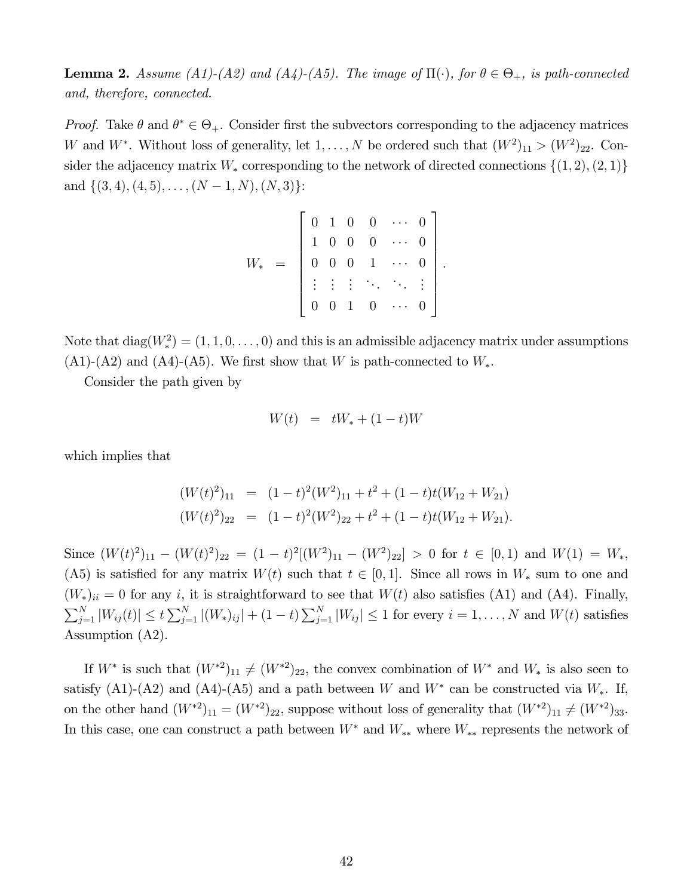**Lemma 2.** Assume (A1)-(A2) and (A4)-(A5). The image of  $\Pi(\cdot)$ , for  $\theta \in \Theta_+$ , is path-connected *and, therefore, connected.*

*Proof.* Take  $\theta$  and  $\theta^* \in \Theta_+$ . Consider first the subvectors corresponding to the adjacency matrices W and  $W^*$ . Without loss of generality, let  $1, \ldots, N$  be ordered such that  $(W^2)_{11} > (W^2)_{22}$ . Consider the adjacency matrix  $W_*$  corresponding to the network of directed connections  $\{(1, 2), (2, 1)\}$ and  $\{(3, 4), (4, 5), \ldots, (N-1, N), (N, 3)\}$ :

|  |  |                                                | $\begin{bmatrix} 0 & 1 & 0 & 0 & \cdots & 0 \\ 1 & 0 & 0 & 0 & \cdots & 0 \\ 0 & 0 & 0 & 1 & \cdots & 0 \end{bmatrix}$<br>$\cdots$ 0 |       |  |
|--|--|------------------------------------------------|--------------------------------------------------------------------------------------------------------------------------------------|-------|--|
|  |  |                                                |                                                                                                                                      | $0$ . |  |
|  |  | $\vdots$ $\vdots$ $\vdots$ $\ddots$<br>0 0 1 0 | $\sim$ $\pm$ $\pm$                                                                                                                   |       |  |
|  |  |                                                |                                                                                                                                      |       |  |

Note that  $diag(W_*^2) = (1, 1, 0, \ldots, 0)$  and this is an admissible adjacency matrix under assumptions  $(A1)$ - $(A2)$  and  $(A4)$ - $(A5)$ . We first show that W is path-connected to  $W_*$ .

Consider the path given by

$$
W(t) = tW_* + (1 - t)W
$$

which implies that

$$
\begin{aligned} (W(t)^2)_{11} &= (1-t)^2 (W^2)_{11} + t^2 + (1-t)t(W_{12} + W_{21}) \\ (W(t)^2)_{22} &= (1-t)^2 (W^2)_{22} + t^2 + (1-t)t(W_{12} + W_{21}). \end{aligned}
$$

Since  $(W(t)^2)_{11} - (W(t)^2)_{22} = (1-t)^2[(W^2)_{11} - (W^2)_{22}] > 0$  for  $t \in [0,1)$  and  $W(1) = W_*$ , (A5) is satisfied for any matrix  $W(t)$  such that  $t \in [0, 1]$ . Since all rows in  $W_*$  sum to one and  $(W_*)_{ii} = 0$  for any i, it is straightforward to see that  $W(t)$  also satisfies (A1) and (A4). Finally,  $\sum_{j=1}^{N} |W_{ij}(t)| \le t \sum_{j=1}^{N} |(W_*)_{ij}| + (1-t) \sum_{j=1}^{N} |W_{ij}| \le 1$  for every  $i = 1, ..., N$  and  $W(t)$  satisfies Assumption (A2).

If  $W^*$  is such that  $(W^{*2})_{11} \neq (W^{*2})_{22}$ , the convex combination of  $W^*$  and  $W_*$  is also seen to satisfy (A1)-(A2) and (A4)-(A5) and a path between  $W$  and  $W^*$  can be constructed via  $W_*$ . If, on the other hand  $(W^{*2})_{11} = (W^{*2})_{22}$ , suppose without loss of generality that  $(W^{*2})_{11} \neq (W^{*2})_{33}$ . In this case, one can construct a path between  $W^*$  and  $W_{**}$  where  $W_{**}$  represents the network of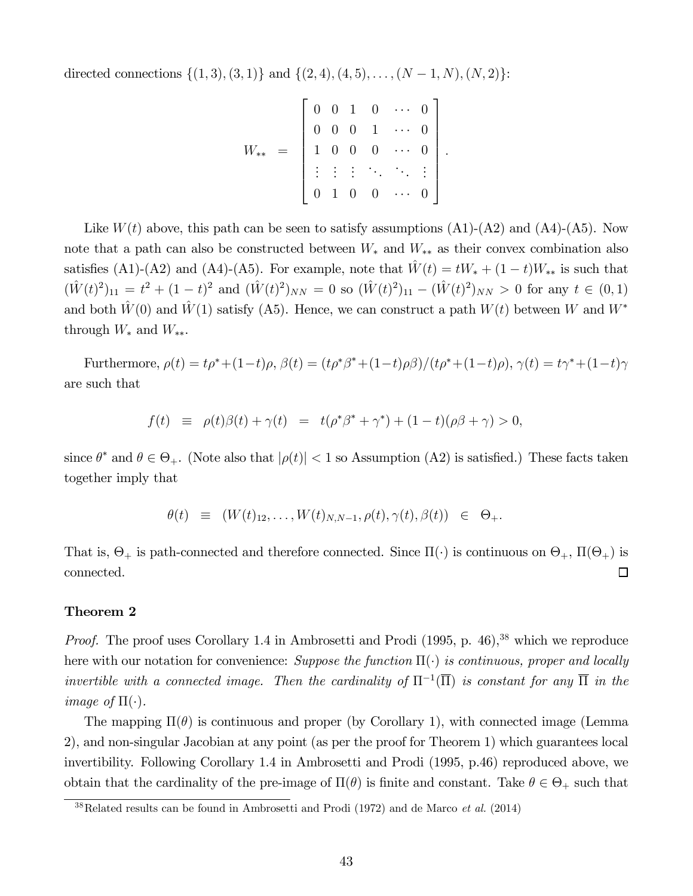directed connections  $\{(1, 3), (3, 1)\}\$  and  $\{(2, 4), (4, 5), \ldots, (N-1, N), (N, 2)\}\$ :

$$
W_{**} = \begin{bmatrix} 0 & 0 & 1 & 0 & \cdots & 0 \\ 0 & 0 & 0 & 1 & \cdots & 0 \\ 1 & 0 & 0 & 0 & \cdots & 0 \\ \vdots & \vdots & \vdots & \ddots & \ddots & \vdots \\ 0 & 1 & 0 & 0 & \cdots & 0 \end{bmatrix}.
$$

Like  $W(t)$  above, this path can be seen to satisfy assumptions  $(A1)-(A2)$  and  $(A4)-(A5)$ . Now note that a path can also be constructed between  $W_*$  and  $W_{**}$  as their convex combination also satisfies (A1)-(A2) and (A4)-(A5). For example, note that  $\hat{W}(t) = tW_* + (1 - t)W_{**}$  is such that  $(\hat{W}(t)^2)_{11} = t^2 + (1-t)^2$  and  $(\hat{W}(t)^2)_{NN} = 0$  so  $(\hat{W}(t)^2)_{11} - (\hat{W}(t)^2)_{NN} > 0$  for any  $t \in (0,1)$ and both  $\hat{W}(0)$  and  $\hat{W}(1)$  satisfy (A5). Hence, we can construct a path  $W(t)$  between W and  $W^*$ through  $W_*$  and  $W_{**}.$ 

Furthermore,  $\rho(t) = t\rho^* + (1-t)\rho, \beta(t) = (t\rho^*\beta^* + (1-t)\rho\beta)/(t\rho^* + (1-t)\rho), \gamma(t) = t\gamma^* + (1-t)\gamma$ are such that

$$
f(t) \equiv \rho(t)\beta(t) + \gamma(t) = t(\rho^*\beta^* + \gamma^*) + (1-t)(\rho\beta + \gamma) > 0,
$$

since  $\theta^*$  and  $\theta \in \Theta_+$ . (Note also that  $|\rho(t)| < 1$  so Assumption (A2) is satisfied.) These facts taken together imply that

$$
\theta(t) \equiv (W(t)_{12}, \dots, W(t)_{N,N-1}, \rho(t), \gamma(t), \beta(t)) \in \Theta_+.
$$

That is,  $\Theta_+$  is path-connected and therefore connected. Since  $\Pi(\cdot)$  is continuous on  $\Theta_+$ ,  $\Pi(\Theta_+)$  is connected.  $\Box$ 

#### Theorem 2

*Proof.* The proof uses Corollary 1.4 in Ambrosetti and Prodi (1995, p. 46),<sup>38</sup> which we reproduce here with our notation for convenience: *Suppose the function*  $\Pi(\cdot)$  *is continuous, proper and locally invertible with a connected image. Then the cardinality of*  $\Pi^{-1}(\overline{\Pi})$  *is constant for any*  $\overline{\Pi}$  *in the image of*  $\Pi(\cdot)$ *.* 

The mapping  $\Pi(\theta)$  is continuous and proper (by Corollary 1), with connected image (Lemma 2), and non-singular Jacobian at any point (as per the proof for Theorem 1) which guarantees local invertibility. Following Corollary 1.4 in Ambrosetti and Prodi (1995, p.46) reproduced above, we obtain that the cardinality of the pre-image of  $\Pi(\theta)$  is finite and constant. Take  $\theta \in \Theta_+$  such that

<sup>38</sup>Related results can be found in Ambrosetti and Prodi (1972) and de Marco *et al.* (2014)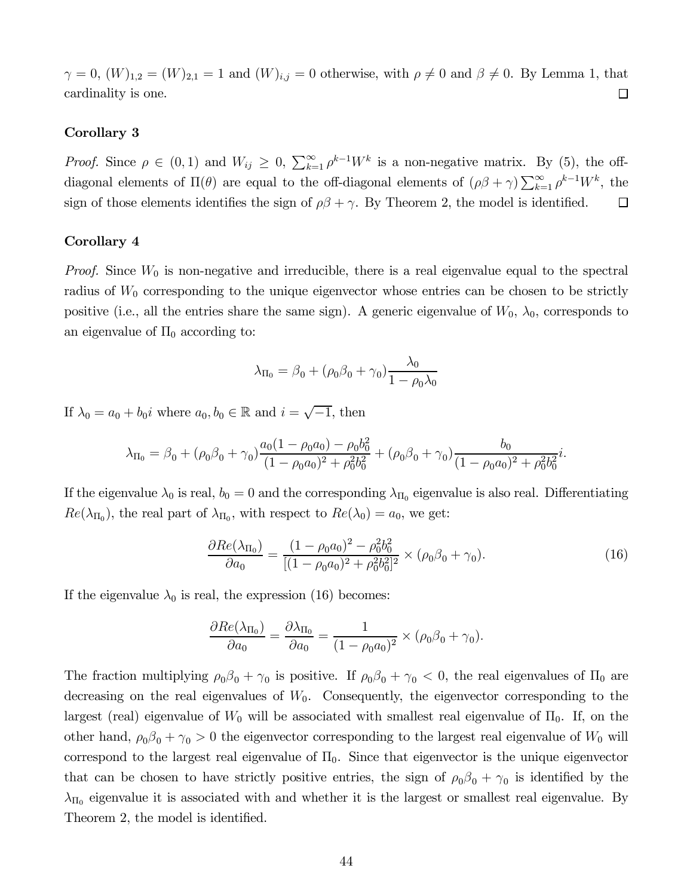$\gamma = 0$ ,  $(W)_{1,2} = (W)_{2,1} = 1$  and  $(W)_{i,j} = 0$  otherwise, with  $\rho \neq 0$  and  $\beta \neq 0$ . By Lemma 1, that cardinality is one.  $\Box$ 

#### Corollary 3

*Proof.* Since  $\rho \in (0,1)$  and  $W_{ij} \geq 0$ ,  $\sum_{k=1}^{\infty} \rho^{k-1} W^k$  is a non-negative matrix. By (5), the offdiagonal elements of  $\Pi(\theta)$  are equal to the off-diagonal elements of  $(\rho \beta + \gamma) \sum_{k=1}^{\infty} \rho^{k-1} W^k$ , the sign of those elements identifies the sign of  $\rho\beta + \gamma$ . By Theorem 2, the model is identified.  $\Box$ 

#### Corollary 4

*Proof.* Since  $W_0$  is non-negative and irreducible, there is a real eigenvalue equal to the spectral radius of  $W_0$  corresponding to the unique eigenvector whose entries can be chosen to be strictly positive (i.e., all the entries share the same sign). A generic eigenvalue of  $W_0$ ,  $\lambda_0$ , corresponds to an eigenvalue of  $\Pi_0$  according to:

$$
\lambda_{\Pi_0} = \beta_0 + (\rho_0 \beta_0 + \gamma_0) \frac{\lambda_0}{1 - \rho_0 \lambda_0}
$$

If  $\lambda_0 = a_0 + b_0 i$  where  $a_0, b_0 \in \mathbb{R}$  and  $i = \sqrt{-1}$ , then

$$
\lambda_{\Pi_0} = \beta_0 + (\rho_0 \beta_0 + \gamma_0) \frac{a_0 (1 - \rho_0 a_0) - \rho_0 b_0^2}{(1 - \rho_0 a_0)^2 + \rho_0^2 b_0^2} + (\rho_0 \beta_0 + \gamma_0) \frac{b_0}{(1 - \rho_0 a_0)^2 + \rho_0^2 b_0^2} i.
$$

If the eigenvalue  $\lambda_0$  is real,  $b_0 = 0$  and the corresponding  $\lambda_{\Pi_0}$  eigenvalue is also real. Differentiating  $Re(\lambda_{\Pi_0})$ , the real part of  $\lambda_{\Pi_0}$ , with respect to  $Re(\lambda_0) = a_0$ , we get:

$$
\frac{\partial Re(\lambda_{\Pi_0})}{\partial a_0} = \frac{(1 - \rho_0 a_0)^2 - \rho_0^2 b_0^2}{[(1 - \rho_0 a_0)^2 + \rho_0^2 b_0^2]^2} \times (\rho_0 \beta_0 + \gamma_0).
$$
\n(16)

If the eigenvalue  $\lambda_0$  is real, the expression (16) becomes:

$$
\frac{\partial Re(\lambda_{\Pi_0})}{\partial a_0} = \frac{\partial \lambda_{\Pi_0}}{\partial a_0} = \frac{1}{(1 - \rho_0 a_0)^2} \times (\rho_0 \beta_0 + \gamma_0).
$$

The fraction multiplying  $\rho_0 \beta_0 + \gamma_0$  is positive. If  $\rho_0 \beta_0 + \gamma_0 < 0$ , the real eigenvalues of  $\Pi_0$  are decreasing on the real eigenvalues of  $W_0$ . Consequently, the eigenvector corresponding to the largest (real) eigenvalue of  $W_0$  will be associated with smallest real eigenvalue of  $\Pi_0$ . If, on the other hand,  $\rho_0 \beta_0 + \gamma_0 > 0$  the eigenvector corresponding to the largest real eigenvalue of  $W_0$  will correspond to the largest real eigenvalue of  $\Pi_0$ . Since that eigenvector is the unique eigenvector that can be chosen to have strictly positive entries, the sign of  $\rho_0 \beta_0 + \gamma_0$  is identified by the  $\lambda_{\Pi_0}$  eigenvalue it is associated with and whether it is the largest or smallest real eigenvalue. By Theorem 2, the model is identified.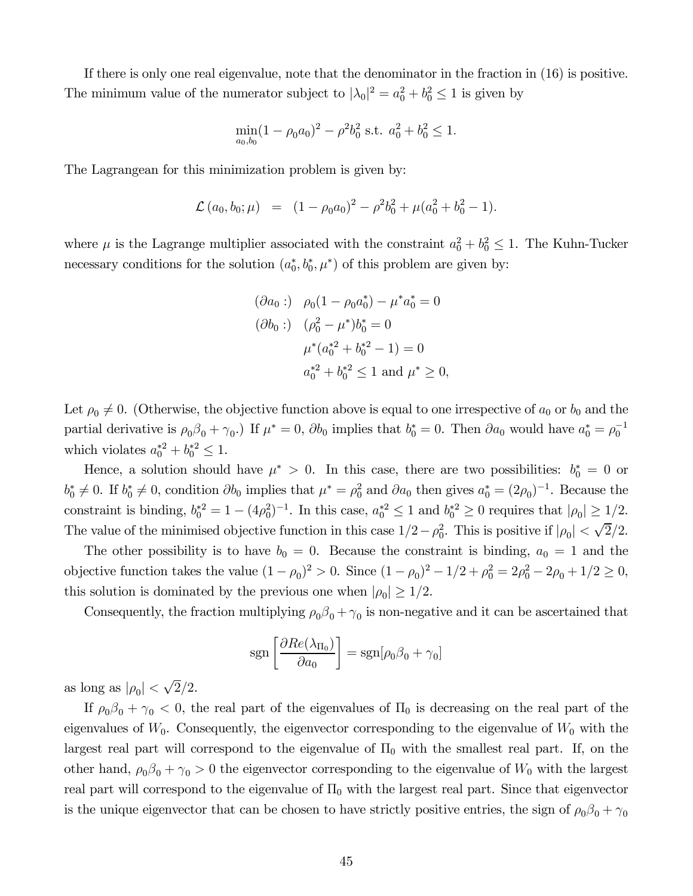If there is only one real eigenvalue, note that the denominator in the fraction in (16) is positive. The minimum value of the numerator subject to  $|\lambda_0|^2 = a_0^2 + b_0^2 \le 1$  is given by

$$
\min_{a_0, b_0} (1 - \rho_0 a_0)^2 - \rho^2 b_0^2 \text{ s.t. } a_0^2 + b_0^2 \le 1.
$$

The Lagrangean for this minimization problem is given by:

$$
\mathcal{L}(a_0, b_0; \mu) = (1 - \rho_0 a_0)^2 - \rho^2 b_0^2 + \mu (a_0^2 + b_0^2 - 1).
$$

where  $\mu$  is the Lagrange multiplier associated with the constraint  $a_0^2 + b_0^2 \leq 1$ . The Kuhn-Tucker necessary conditions for the solution  $(a_0^*, b_0^*, \mu^*)$  of this problem are given by:

$$
(\partial a_0:) \quad \rho_0(1 - \rho_0 a_0^*) - \mu^* a_0^* = 0
$$
  

$$
(\partial b_0:) \quad (\rho_0^2 - \mu^*) b_0^* = 0
$$
  

$$
\mu^* (a_0^{*2} + b_0^{*2} - 1) = 0
$$
  

$$
a_0^{*2} + b_0^{*2} \le 1 \text{ and } \mu^* \ge 0,
$$

Let  $\rho_0 \neq 0$ . (Otherwise, the objective function above is equal to one irrespective of  $a_0$  or  $b_0$  and the partial derivative is  $\rho_0\beta_0 + \gamma_0$ . If  $\mu^* = 0$ ,  $\partial b_0$  implies that  $b_0^* = 0$ . Then  $\partial a_0$  would have  $a_0^* = \rho_0^{-1}$ which violates  $a_0^{*2} + b_0^{*2} \le 1$ .

Hence, a solution should have  $\mu^* > 0$ . In this case, there are two possibilities:  $b_0^* = 0$  or  $b_0^* \neq 0$ . If  $b_0^* \neq 0$ , condition  $\partial b_0$  implies that  $\mu^* = \rho_0^2$  and  $\partial a_0$  then gives  $a_0^* = (2\rho_0)^{-1}$ . Because the constraint is binding,  $b_0^{*2} = 1 - (4\rho_0^2)^{-1}$ . In this case,  $a_0^{*2} \le 1$  and  $b_0^{*2} \ge 0$  requires that  $|\rho_0| \ge 1/2$ . The value of the minimised objective function in this case  $1/2 - \rho_0^2$ . This is positive if  $|\rho_0| < \sqrt{2}/2$ .

The other possibility is to have  $b_0 = 0$ . Because the constraint is binding,  $a_0 = 1$  and the objective function takes the value  $(1 - \rho_0)^2 > 0$ . Since  $(1 - \rho_0)^2 - 1/2 + \rho_0^2 = 2\rho_0^2 - 2\rho_0 + 1/2 \ge 0$ , this solution is dominated by the previous one when  $|\rho_0| \geq 1/2$ .

Consequently, the fraction multiplying  $\rho_0 \beta_0 + \gamma_0$  is non-negative and it can be ascertained that

$$
sgn\left[\frac{\partial Re(\lambda_{\Pi_0})}{\partial a_0}\right] = sgn[\rho_0\beta_0 + \gamma_0]
$$

as long as  $|\rho_0| < \sqrt{2}/2$ .

If  $\rho_0 \beta_0 + \gamma_0 < 0$ , the real part of the eigenvalues of  $\Pi_0$  is decreasing on the real part of the eigenvalues of  $W_0$ . Consequently, the eigenvector corresponding to the eigenvalue of  $W_0$  with the largest real part will correspond to the eigenvalue of  $\Pi_0$  with the smallest real part. If, on the other hand,  $\rho_0 \beta_0 + \gamma_0 > 0$  the eigenvector corresponding to the eigenvalue of  $W_0$  with the largest real part will correspond to the eigenvalue of  $\Pi_0$  with the largest real part. Since that eigenvector is the unique eigenvector that can be chosen to have strictly positive entries, the sign of  $\rho_0 \beta_0 + \gamma_0$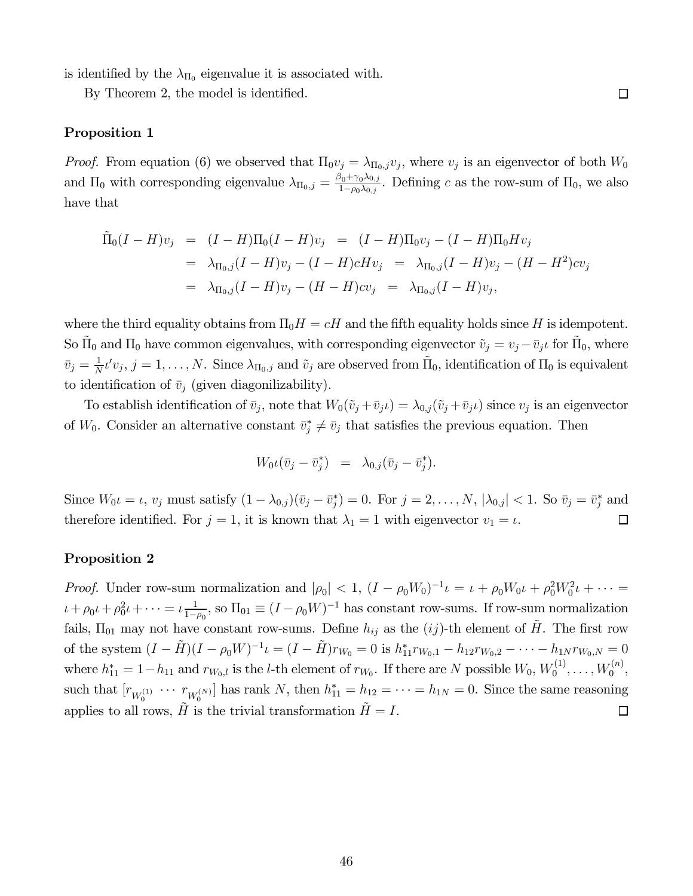is identified by the  $\lambda_{\Pi_0}$  eigenvalue it is associated with.

By Theorem 2, the model is identified.

#### Proposition 1

*Proof.* From equation (6) we observed that  $\Pi_0 v_j = \lambda_{\Pi_0, j} v_j$ , where  $v_j$  is an eigenvector of both  $W_0$ and  $\Pi_0$  with corresponding eigenvalue  $\lambda_{\Pi_0,j} = \frac{\beta_0 + \gamma_0 \lambda_{0,j}}{1 - \rho_0 \lambda_{0,j}}$  $\frac{\sum_{i=1}^{0} \lambda_{i} \lambda_{i}}{1-\rho_{0} \lambda_{0,j}}$ . Defining c as the row-sum of  $\Pi_{0}$ , we also have that

 $\Box$ 

$$
\tilde{\Pi}_0(I - H)v_j = (I - H)\Pi_0(I - H)v_j = (I - H)\Pi_0v_j - (I - H)\Pi_0Hv_j
$$
\n
$$
= \lambda_{\Pi_0,j}(I - H)v_j - (I - H)cHv_j = \lambda_{\Pi_0,j}(I - H)v_j - (H - H^2)cv_j
$$
\n
$$
= \lambda_{\Pi_0,j}(I - H)v_j - (H - H)cv_j = \lambda_{\Pi_0,j}(I - H)v_j,
$$

where the third equality obtains from  $\Pi_0 H = cH$  and the fifth equality holds since H is idempotent. So  $\tilde{\Pi}_0$  and  $\Pi_0$  have common eigenvalues, with corresponding eigenvector  $\tilde{v}_j = v_j - \bar{v}_j t$  for  $\tilde{\Pi}_0$ , where  $\bar{v}_j = \frac{1}{N}$  $\frac{1}{N}t'v_j, j=1,\ldots,N.$  Since  $\lambda_{\Pi_0,j}$  and  $\tilde{v}_j$  are observed from  $\tilde{\Pi}_0$ , identification of  $\Pi_0$  is equivalent to identification of  $\bar{v}_j$  (given diagonilizability).

To establish identification of  $\bar{v}_j$ , note that  $W_0(\tilde{v}_j + \bar{v}_j t) = \lambda_{0,j}(\tilde{v}_j + \bar{v}_j t)$  since  $v_j$  is an eigenvector of  $W_0$ . Consider an alternative constant  $\bar{v}_j^* \neq \bar{v}_j$  that satisfies the previous equation. Then

$$
W_0 \iota(\bar{v}_j - \bar{v}_j^*) = \lambda_{0,j} (\bar{v}_j - \bar{v}_j^*).
$$

Since  $W_0 \iota = \iota$ ,  $v_j$  must satisfy  $(1 - \lambda_{0,j})(\bar{v}_j - \bar{v}_j^*) = 0$ . For  $j = 2, \ldots, N$ ,  $|\lambda_{0,j}| < 1$ . So  $\bar{v}_j = \bar{v}_j^*$  and therefore identified. For  $j = 1$ , it is known that  $\lambda_1 = 1$  with eigenvector  $v_1 = \iota$ .  $\Box$ 

#### Proposition 2

*Proof.* Under row-sum normalization and  $|\rho_0| < 1$ ,  $(I - \rho_0 W_0)^{-1} \iota = \iota + \rho_0 W_0 \iota + \rho_0^2 W_0^2 \iota + \cdots =$  $\iota + \rho_0 \iota + \rho_0^2 \iota + \cdots = \iota \frac{1}{1-\iota}$  $\frac{1}{1-\rho_0}$ , so  $\Pi_{01} \equiv (I-\rho_0 W)^{-1}$  has constant row-sums. If row-sum normalization fails,  $\Pi_{01}$  may not have constant row-sums. Define  $h_{ij}$  as the  $(ij)$ -th element of  $H$ . The first row of the system  $(I - \tilde{H})(I - \rho_0 W)^{-1} \iota = (I - \tilde{H})r_{W_0} = 0$  is  $h_{11}^* r_{W_0,1} - h_{12} r_{W_0,2} - \cdots - h_{1N} r_{W_0,N} = 0$ where  $h_{11}^* = 1 - h_{11}$  and  $r_{W_0,l}$  is the *l*-th element of  $r_{W_0}$ . If there are N possible  $W_0$ ,  $W_0^{(1)}$  $U_0^{(1)}, \ldots, W_0^{(n)}$  $\begin{matrix} 0 & 0 \ 0 & 0 \end{matrix}$ such that  $[r_{W_0^{(1)}} \cdots r_{W_0^{(N)}}]$  has rank N, then  $h_{11}^* = h_{12} = \cdots = h_{1N} = 0$ . Since the same reasoning applies to all rows,  $H$  is the trivial transformation  $H = I$ .  $\Box$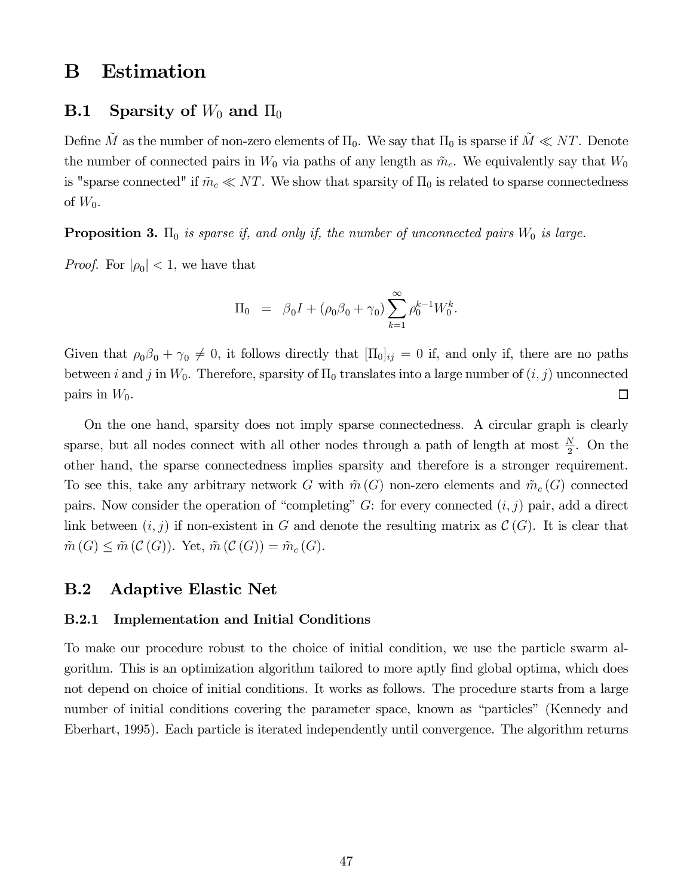# B Estimation

### **B.1** Sparsity of  $W_0$  and  $\Pi_0$

Define  $\tilde{M}$  as the number of non-zero elements of  $\Pi_0$ . We say that  $\Pi_0$  is sparse if  $\tilde{M} \ll NT$ . Denote the number of connected pairs in  $W_0$  via paths of any length as  $\tilde{m}_c$ . We equivalently say that  $W_0$ is "sparse connected" if  $\tilde{m}_c \ll NT$ . We show that sparsity of  $\Pi_0$  is related to sparse connectedness of  $W_0$ .

**Proposition 3.**  $\Pi_0$  *is sparse if, and only if, the number of unconnected pairs*  $W_0$  *is large.* 

*Proof.* For  $|\rho_0| < 1$ , we have that

$$
\Pi_0 \ = \ \beta_0 I + (\rho_0 \beta_0 + \gamma_0) \sum_{k=1}^{\infty} \rho_0^{k-1} W_0^k.
$$

Given that  $\rho_0 \beta_0 + \gamma_0 \neq 0$ , it follows directly that  $[\Pi_0]_{ij} = 0$  if, and only if, there are no paths between *i* and *j* in  $W_0$ . Therefore, sparsity of  $\Pi_0$  translates into a large number of  $(i, j)$  unconnected pairs in  $W_0$ .  $\Box$ 

On the one hand, sparsity does not imply sparse connectedness. A circular graph is clearly sparse, but all nodes connect with all other nodes through a path of length at most  $\frac{N}{2}$ . On the other hand, the sparse connectedness implies sparsity and therefore is a stronger requirement. To see this, take any arbitrary network G with  $\tilde{m}(G)$  non-zero elements and  $\tilde{m}_c(G)$  connected pairs. Now consider the operation of "completing"  $G$ : for every connected  $(i, j)$  pair, add a direct link between  $(i, j)$  if non-existent in G and denote the resulting matrix as  $\mathcal{C}(G)$ . It is clear that  $\tilde{m}(G) \leq \tilde{m}(\mathcal{C}(G)).$  Yet,  $\tilde{m}(\mathcal{C}(G)) = \tilde{m}_{c}(G).$ 

### B.2 Adaptive Elastic Net

#### B.2.1 Implementation and Initial Conditions

To make our procedure robust to the choice of initial condition, we use the particle swarm algorithm. This is an optimization algorithm tailored to more aptly find global optima, which does not depend on choice of initial conditions. It works as follows. The procedure starts from a large number of initial conditions covering the parameter space, known as "particles" (Kennedy and Eberhart, 1995). Each particle is iterated independently until convergence. The algorithm returns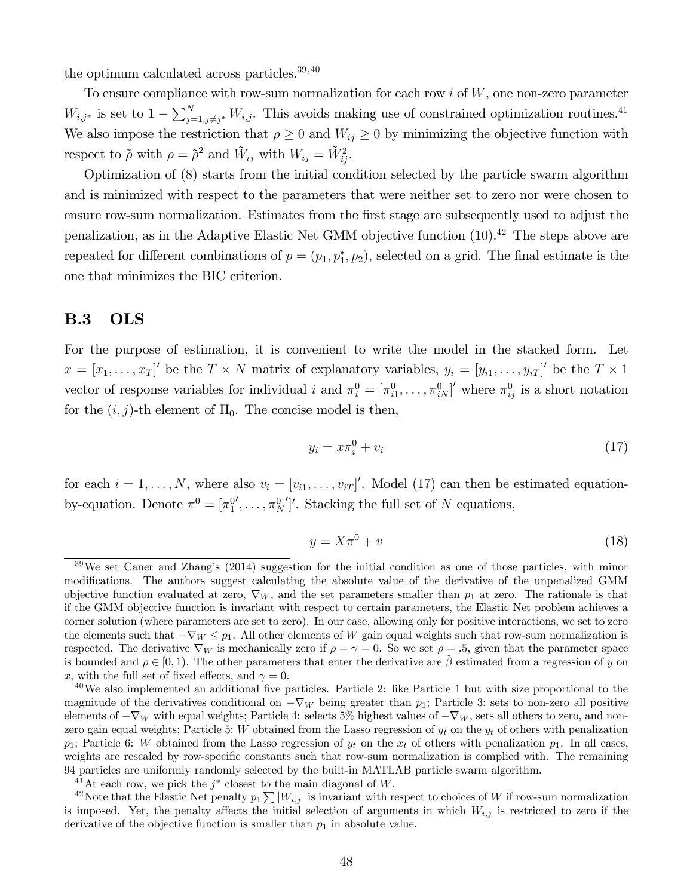the optimum calculated across particles.<sup>39,40</sup>

To ensure compliance with row-sum normalization for each row  $i$  of  $W$ , one non-zero parameter  $W_{i,j^*}$  is set to  $1 - \sum_{j=1,j\neq j^*}^N W_{i,j}$ . This avoids making use of constrained optimization routines.<sup>41</sup> We also impose the restriction that  $\rho \geq 0$  and  $W_{ij} \geq 0$  by minimizing the objective function with respect to  $\tilde{\rho}$  with  $\rho = \tilde{\rho}^2$  and  $\tilde{W}_{ij}$  with  $W_{ij} = \tilde{W}_{ij}^2$ .

Optimization of (8) starts from the initial condition selected by the particle swarm algorithm and is minimized with respect to the parameters that were neither set to zero nor were chosen to ensure row-sum normalization. Estimates from the first stage are subsequently used to adjust the penalization, as in the Adaptive Elastic Net GMM objective function (10).<sup>42</sup> The steps above are repeated for different combinations of  $p = (p_1, p_1^*, p_2)$ , selected on a grid. The final estimate is the one that minimizes the BIC criterion.

### B.3 OLS

For the purpose of estimation, it is convenient to write the model in the stacked form. Let  $x = [x_1, \ldots, x_T]'$  be the  $T \times N$  matrix of explanatory variables,  $y_i = [y_{i1}, \ldots, y_{iT}]'$  be the  $T \times 1$ vector of response variables for individual i and  $\pi_i^0 = [\pi_{i1}^0, \ldots, \pi_{iN}^0]'$  where  $\pi_{ij}^0$  is a short notation for the  $(i, j)$ -th element of  $\Pi_0$ . The concise model is then,

$$
y_i = x\pi_i^0 + v_i \tag{17}
$$

for each  $i = 1, ..., N$ , where also  $v_i = [v_{i1}, ..., v_{iT}]'$ . Model (17) can then be estimated equationby-equation. Denote  $\pi^0 = [\pi_1^{0'}, \ldots, \pi_N^{0'}]'$ . Stacking the full set of N equations,

$$
y = X\pi^0 + v \tag{18}
$$

<sup>41</sup>At each row, we pick the  $j^*$  closest to the main diagonal of W.

<sup>42</sup>Note that the Elastic Net penalty  $p_1 \sum |W_{i,j}|$  is invariant with respect to choices of W if row-sum normalization is imposed. Yet, the penalty affects the initial selection of arguments in which  $W_{i,j}$  is restricted to zero if the derivative of the objective function is smaller than  $p_1$  in absolute value.

 $39\,\text{We set Caner and Zhang's (2014) suggestion for the initial condition as one of those particles, with minor.}$ modifications. The authors suggest calculating the absolute value of the derivative of the unpenalized GMM objective function evaluated at zero,  $\nabla_W$ , and the set parameters smaller than  $p_1$  at zero. The rationale is that if the GMM objective function is invariant with respect to certain parameters, the Elastic Net problem achieves a corner solution (where parameters are set to zero). In our case, allowing only for positive interactions, we set to zero the elements such that  $-\nabla_W \leq p_1$ . All other elements of W gain equal weights such that row-sum normalization is respected. The derivative  $\nabla_W$  is mechanically zero if  $\rho = \gamma = 0$ . So we set  $\rho = .5$ , given that the parameter space is bounded and  $\rho \in [0, 1)$ . The other parameters that enter the derivative are  $\hat{\beta}$  estimated from a regression of  $y$  on x, with the full set of fixed effects, and  $\gamma = 0$ .

 $^{40}$ We also implemented an additional five particles. Particle 2: like Particle 1 but with size proportional to the magnitude of the derivatives conditional on  $-\nabla_W$  being greater than  $p_1$ ; Particle 3: sets to non-zero all positive elements of  $-\nabla_W$  with equal weights; Particle 4: selects 5% highest values of  $-\nabla_W$ , sets all others to zero, and nonzero gain equal weights; Particle 5: W obtained from the Lasso regression of  $y_t$  on the  $y_t$  of others with penalization  $p_1$ ; Particle 6: W obtained from the Lasso regression of  $y_t$  on the  $x_t$  of others with penalization  $p_1$ . In all cases, weights are rescaled by row-specific constants such that row-sum normalization is complied with. The remaining 94 particles are uniformly randomly selected by the built-in MATLAB particle swarm algorithm.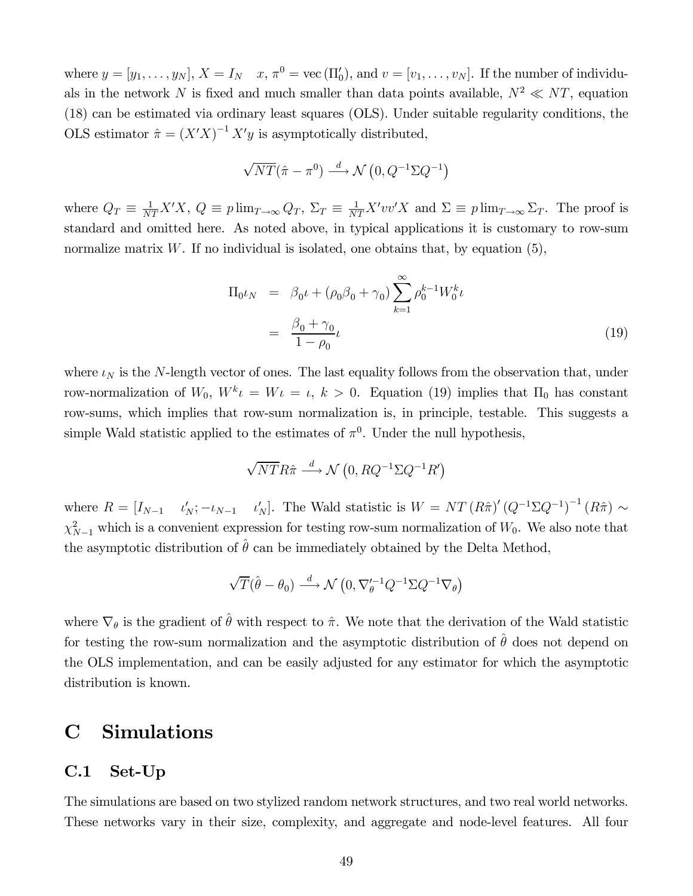where  $y = [y_1, \ldots, y_N], X = I_N \quad x, \pi^0 = \text{vec}(\Pi'_0), \text{and } v = [v_1, \ldots, v_N].$  If the number of individuals in the network N is fixed and much smaller than data points available,  $N^2 \ll NT$ , equation (18) can be estimated via ordinary least squares (OLS). Under suitable regularity conditions, the OLS estimator  $\hat{\pi} = (X'X)^{-1} X'y$  is asymptotically distributed,

$$
\sqrt{NT}(\hat{\pi} - \pi^0) \xrightarrow{d} \mathcal{N}(0, Q^{-1}\Sigma Q^{-1})
$$

where  $Q_T \equiv \frac{1}{NT} X'X$ ,  $Q \equiv p \lim_{T \to \infty} Q_T$ ,  $\Sigma_T \equiv \frac{1}{NT} X' vv'X$  and  $\Sigma \equiv p \lim_{T \to \infty} \Sigma_T$ . The proof is standard and omitted here. As noted above, in typical applications it is customary to row-sum normalize matrix W. If no individual is isolated, one obtains that, by equation  $(5)$ ,

$$
\Pi_{0}\iota_{N} = \beta_{0}\iota + (\rho_{0}\beta_{0} + \gamma_{0})\sum_{k=1}^{\infty} \rho_{0}^{k-1}W_{0}^{k}\iota
$$
\n
$$
= \frac{\beta_{0} + \gamma_{0}}{1 - \rho_{0}}\iota
$$
\n(19)

where  $\iota_N$  is the N-length vector of ones. The last equality follows from the observation that, under row-normalization of  $W_0$ ,  $W^k \iota = W \iota = \iota$ ,  $k > 0$ . Equation (19) implies that  $\Pi_0$  has constant row-sums, which implies that row-sum normalization is, in principle, testable. This suggests a simple Wald statistic applied to the estimates of  $\pi^0$ . Under the null hypothesis,

$$
\sqrt{NTR}\hat{\pi} \stackrel{d}{\longrightarrow} \mathcal{N}\left(0, RQ^{-1}\Sigma Q^{-1}R'\right)
$$

where  $R = [I_{N-1} \t l'_N; -\iota_{N-1} \t l'_N]$ . The Wald statistic is  $W = NT (R\hat{\pi})' (Q^{-1} \Sigma Q^{-1})^{-1} (R\hat{\pi}) \sim$  $\chi^2_{N-1}$  which is a convenient expression for testing row-sum normalization of  $W_0$ . We also note that the asymptotic distribution of  $\hat{\theta}$  can be immediately obtained by the Delta Method,

$$
\sqrt{T}(\hat{\theta} - \theta_0) \xrightarrow{d} \mathcal{N}\left(0, \nabla_{\theta}^{\prime -1} Q^{-1} \Sigma Q^{-1} \nabla_{\theta}\right)
$$

where  $\nabla_{\theta}$  is the gradient of  $\hat{\theta}$  with respect to  $\hat{\pi}$ . We note that the derivation of the Wald statistic for testing the row-sum normalization and the asymptotic distribution of  $\hat{\theta}$  does not depend on the OLS implementation, and can be easily adjusted for any estimator for which the asymptotic distribution is known.

# C Simulations

### C.1 Set-Up

The simulations are based on two stylized random network structures, and two real world networks. These networks vary in their size, complexity, and aggregate and node-level features. All four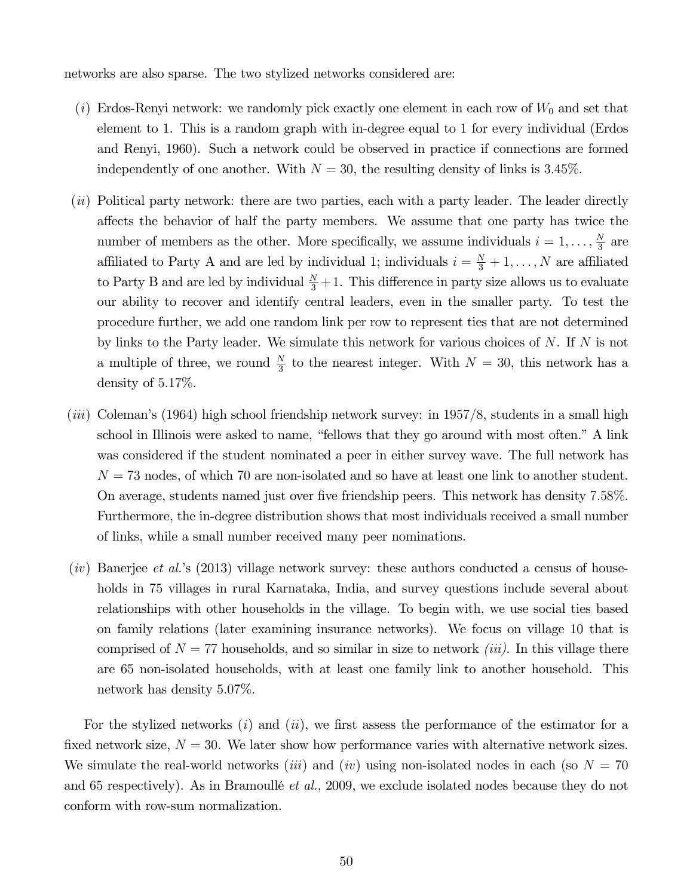networks are also sparse. The two stylized networks considered are:

- (*i*) Erdos-Renyi network: we randomly pick exactly one element in each row of  $W_0$  and set that element to 1. This is a random graph with in-degree equal to 1 for every individual (Erdos and Renyi, 1960). Such a network could be observed in practice if connections are formed independently of one another. With  $N = 30$ , the resulting density of links is 3.45%.
- (*ii*) Political party network: there are two parties, each with a party leader. The leader directly affects the behavior of half the party members. We assume that one party has twice the number of members as the other. More specifically, we assume individuals  $i = 1, \ldots, \frac{N}{3}$  $\frac{N}{3}$  are affiliated to Party A and are led by individual 1; individuals  $i = \frac{N}{3} + 1, \ldots, N$  are affiliated to Party B and are led by individual  $\frac{N}{3}+1$ . This difference in party size allows us to evaluate our ability to recover and identify central leaders, even in the smaller party. To test the procedure further, we add one random link per row to represent ties that are not determined by links to the Party leader. We simulate this network for various choices of  $N$ . If  $N$  is not a multiple of three, we round  $\frac{N}{3}$  to the nearest integer. With  $N = 30$ , this network has a density of  $5.17\%$ .
- *(iii)* Coleman's (1964) high school friendship network survey: in 1957/8, students in a small high school in Illinois were asked to name, "fellows that they go around with most often." A link was considered if the student nominated a peer in either survey wave. The full network has  $N = 73$  nodes, of which 70 are non-isolated and so have at least one link to another student. On average, students named just over five friendship peers. This network has density 7.58%. Furthermore, the in-degree distribution shows that most individuals received a small number of links, while a small number received many peer nominations.
- (*iv*) Banerjee *et al.*'s (2013) village network survey: these authors conducted a census of households in 75 villages in rural Karnataka, India, and survey questions include several about relationships with other households in the village. To begin with, we use social ties based on family relations (later examining insurance networks). We focus on village 10 that is comprised of  $N = 77$  households, and so similar in size to network *(iii)*. In this village there are 65 non-isolated households, with at least one family link to another household. This network has density  $5.07\%$ .

For the stylized networks  $(i)$  and  $(ii)$ , we first assess the performance of the estimator for a fixed network size,  $N = 30$ . We later show how performance varies with alternative network sizes. We simulate the real-world networks *(iii)* and *(iv)* using non-isolated nodes in each (so  $N = 70$ ) and 65 respectively). As in Bramoullé *et al.*, 2009, we exclude isolated nodes because they do not conform with row-sum normalization.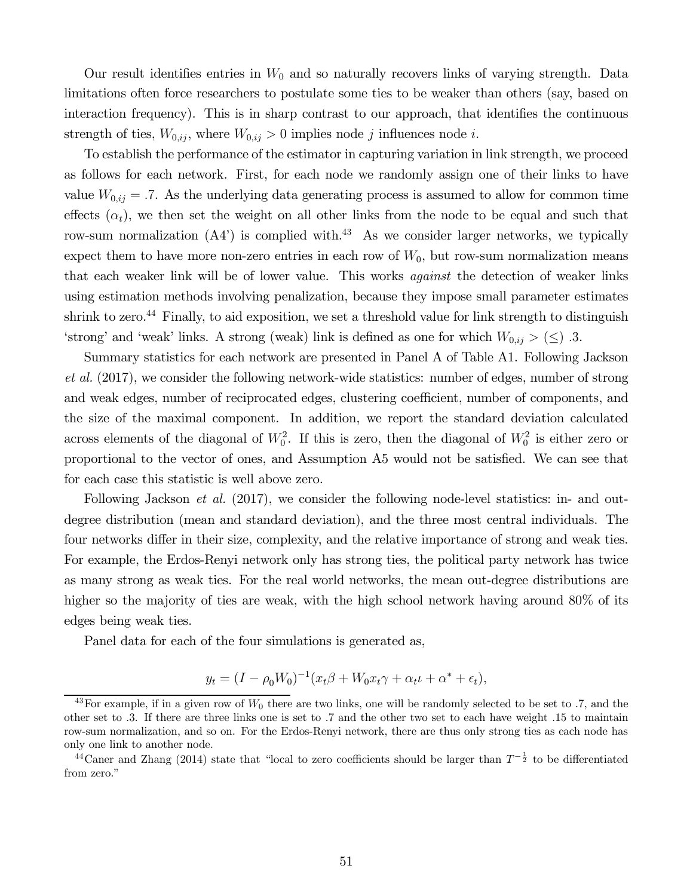Our result identifies entries in  $W_0$  and so naturally recovers links of varying strength. Data limitations often force researchers to postulate some ties to be weaker than others (say, based on interaction frequency). This is in sharp contrast to our approach, that identifies the continuous strength of ties,  $W_{0,ij}$ , where  $W_{0,ij} > 0$  implies node j influences node i.

To establish the performance of the estimator in capturing variation in link strength, we proceed as follows for each network. First, for each node we randomly assign one of their links to have value  $W_{0,ij} = .7$ . As the underlying data generating process is assumed to allow for common time effects  $(\alpha_t)$ , we then set the weight on all other links from the node to be equal and such that row-sum normalization  $(A4')$  is complied with.<sup>43</sup> As we consider larger networks, we typically expect them to have more non-zero entries in each row of  $W_0$ , but row-sum normalization means that each weaker link will be of lower value. This works *against* the detection of weaker links using estimation methods involving penalization, because they impose small parameter estimates shrink to zero.<sup>44</sup> Finally, to aid exposition, we set a threshold value for link strength to distinguish 'strong' and 'weak' links. A strong (weak) link is defined as one for which  $W_{0,ij} > (\le)$ .3.

Summary statistics for each network are presented in Panel A of Table A1. Following Jackson *et al.* (2017), we consider the following network-wide statistics: number of edges, number of strong and weak edges, number of reciprocated edges, clustering coefficient, number of components, and the size of the maximal component. In addition, we report the standard deviation calculated across elements of the diagonal of  $W_0^2$ . If this is zero, then the diagonal of  $W_0^2$  is either zero or proportional to the vector of ones, and Assumption A5 would not be satisfied. We can see that for each case this statistic is well above zero.

Following Jackson *et al.* (2017), we consider the following node-level statistics: in- and outdegree distribution (mean and standard deviation), and the three most central individuals. The four networks differ in their size, complexity, and the relative importance of strong and weak ties. For example, the Erdos-Renyi network only has strong ties, the political party network has twice as many strong as weak ties. For the real world networks, the mean out-degree distributions are higher so the majority of ties are weak, with the high school network having around 80% of its edges being weak ties.

Panel data for each of the four simulations is generated as,

$$
y_t = (I - \rho_0 W_0)^{-1} (x_t \beta + W_0 x_t \gamma + \alpha_t \iota + \alpha^* + \epsilon_t),
$$

<sup>&</sup>lt;sup>43</sup>For example, if in a given row of  $W_0$  there are two links, one will be randomly selected to be set to .7, and the other set to 3. If there are three links one is set to 7 and the other two set to each have weight 15 to maintain row-sum normalization, and so on. For the Erdos-Renyi network, there are thus only strong ties as each node has only one link to another node.

<sup>&</sup>lt;sup>44</sup>Caner and Zhang (2014) state that "local to zero coefficients should be larger than  $T^{-\frac{1}{2}}$  to be differentiated from zero."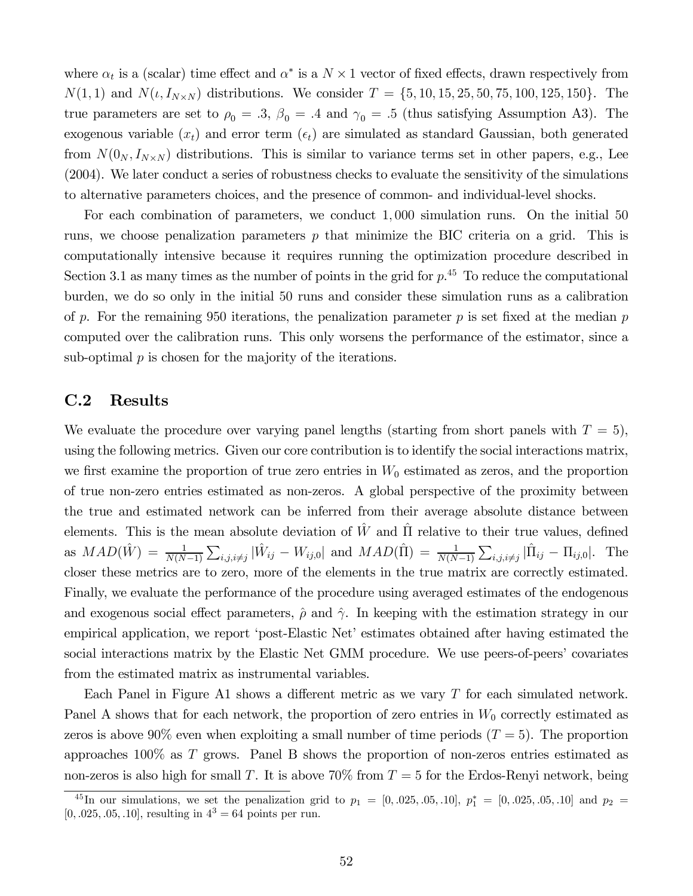where  $\alpha_t$  is a (scalar) time effect and  $\alpha^*$  is a  $N \times 1$  vector of fixed effects, drawn respectively from  $N(1, 1)$  and  $N(\iota, I_{N\times N})$  distributions. We consider  $T = \{5, 10, 15, 25, 50, 75, 100, 125, 150\}.$  The true parameters are set to  $\rho_0 = .3$ ,  $\beta_0 = .4$  and  $\gamma_0 = .5$  (thus satisfying Assumption A3). The exogenous variable  $(x_t)$  and error term  $(\epsilon_t)$  are simulated as standard Gaussian, both generated from  $N(0_N, I_{N\times N})$  distributions. This is similar to variance terms set in other papers, e.g., Lee (2004). We later conduct a series of robustness checks to evaluate the sensitivity of the simulations to alternative parameters choices, and the presence of common- and individual-level shocks.

For each combination of parameters, we conduct 1,000 simulation runs. On the initial 50 runs, we choose penalization parameters  $p$  that minimize the BIC criteria on a grid. This is computationally intensive because it requires running the optimization procedure described in Section 3.1 as many times as the number of points in the grid for  $p<sup>45</sup>$  To reduce the computational burden, we do so only in the initial 50 runs and consider these simulation runs as a calibration of p. For the remaining 950 iterations, the penalization parameter  $p$  is set fixed at the median  $p$ computed over the calibration runs. This only worsens the performance of the estimator, since a sub-optimal  $p$  is chosen for the majority of the iterations.

### C.2 Results

We evaluate the procedure over varying panel lengths (starting from short panels with  $T = 5$ ), using the following metrics. Given our core contribution is to identify the social interactions matrix, we first examine the proportion of true zero entries in  $W_0$  estimated as zeros, and the proportion of true non-zero entries estimated as non-zeros. A global perspective of the proximity between the true and estimated network can be inferred from their average absolute distance between elements. This is the mean absolute deviation of  $\hat{W}$  and  $\hat{\Pi}$  relative to their true values, defined as  $MAD(\hat{W}) = \frac{1}{N(N-1)} \sum_{i,j,i \neq j} |\hat{W}_{ij} - W_{ij,0}|$  and  $MAD(\hat{\Pi}) = \frac{1}{N(N-1)} \sum_{i,j,i \neq j} |\hat{\Pi}_{ij} - \Pi_{ij,0}|$ . The closer these metrics are to zero, more of the elements in the true matrix are correctly estimated. Finally, we evaluate the performance of the procedure using averaged estimates of the endogenous and exogenous social effect parameters,  $\hat{\rho}$  and  $\hat{\gamma}$ . In keeping with the estimation strategy in our empirical application, we report 'post-Elastic Net' estimates obtained after having estimated the social interactions matrix by the Elastic Net GMM procedure. We use peers-of-peers' covariates from the estimated matrix as instrumental variables.

Each Panel in Figure A1 shows a different metric as we vary  $T$  for each simulated network. Panel A shows that for each network, the proportion of zero entries in  $W_0$  correctly estimated as zeros is above 90% even when exploiting a small number of time periods  $(T = 5)$ . The proportion approaches  $100\%$  as T grows. Panel B shows the proportion of non-zeros entries estimated as non-zeros is also high for small T. It is above  $70\%$  from  $T = 5$  for the Erdos-Renyi network, being

<sup>&</sup>lt;sup>45</sup>In our simulations, we set the penalization grid to  $p_1 = [0, .025, .05, .10], p_1^* = [0, .025, .05, .10]$  and  $p_2 =$  $[0, .025, .05, .10]$ , resulting in  $4^3 = 64$  points per run.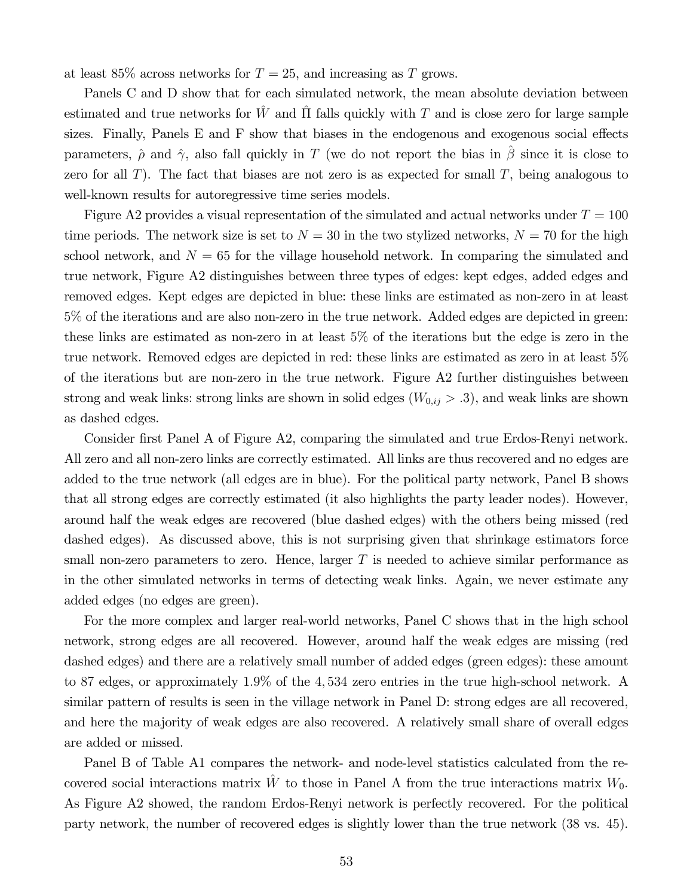at least 85% across networks for  $T = 25$ , and increasing as T grows.

Panels C and D show that for each simulated network, the mean absolute deviation between estimated and true networks for  $\hat{W}$  and  $\hat{\Pi}$  falls quickly with T and is close zero for large sample sizes. Finally, Panels  $E$  and  $F$  show that biases in the endogenous and exogenous social effects parameters,  $\hat{\rho}$  and  $\hat{\gamma}$ , also fall quickly in T (we do not report the bias in  $\hat{\beta}$  since it is close to zero for all  $T$ ). The fact that biases are not zero is as expected for small  $T$ , being analogous to well-known results for autoregressive time series models.

Figure A2 provides a visual representation of the simulated and actual networks under  $T = 100$ time periods. The network size is set to  $N = 30$  in the two stylized networks,  $N = 70$  for the high school network, and  $N = 65$  for the village household network. In comparing the simulated and true network, Figure A2 distinguishes between three types of edges: kept edges, added edges and removed edges. Kept edges are depicted in blue: these links are estimated as non-zero in at least 5% of the iterations and are also non-zero in the true network. Added edges are depicted in green: these links are estimated as non-zero in at least 5% of the iterations but the edge is zero in the true network. Removed edges are depicted in red: these links are estimated as zero in at least 5% of the iterations but are non-zero in the true network. Figure A2 further distinguishes between strong and weak links: strong links are shown in solid edges  $(W_{0,ij} > .3)$ , and weak links are shown as dashed edges.

Consider first Panel A of Figure A2, comparing the simulated and true Erdos-Renyi network. All zero and all non-zero links are correctly estimated. All links are thus recovered and no edges are added to the true network (all edges are in blue). For the political party network, Panel B shows that all strong edges are correctly estimated (it also highlights the party leader nodes). However, around half the weak edges are recovered (blue dashed edges) with the others being missed (red dashed edges). As discussed above, this is not surprising given that shrinkage estimators force small non-zero parameters to zero. Hence, larger  $T$  is needed to achieve similar performance as in the other simulated networks in terms of detecting weak links. Again, we never estimate any added edges (no edges are green).

For the more complex and larger real-world networks, Panel C shows that in the high school network, strong edges are all recovered. However, around half the weak edges are missing (red dashed edges) and there are a relatively small number of added edges (green edges): these amount to 87 edges, or approximately 1.9% of the 4,534 zero entries in the true high-school network. A similar pattern of results is seen in the village network in Panel D: strong edges are all recovered, and here the majority of weak edges are also recovered. A relatively small share of overall edges are added or missed.

Panel B of Table A1 compares the network- and node-level statistics calculated from the recovered social interactions matrix  $\hat{W}$  to those in Panel A from the true interactions matrix  $W_0$ . As Figure A2 showed, the random Erdos-Renyi network is perfectly recovered. For the political party network, the number of recovered edges is slightly lower than the true network (38 vs. 45).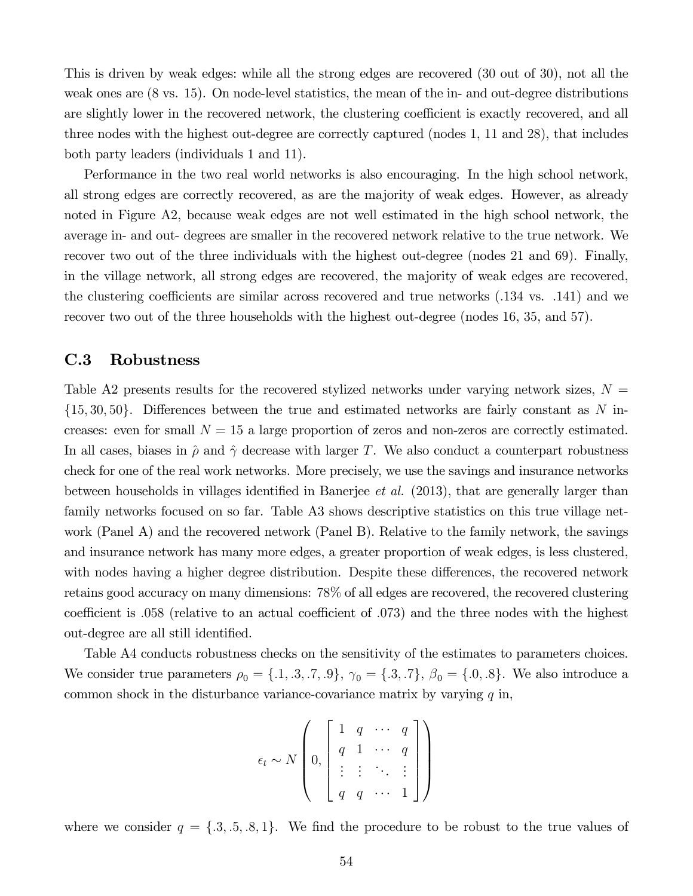This is driven by weak edges: while all the strong edges are recovered (30 out of 30), not all the weak ones are (8 vs. 15). On node-level statistics, the mean of the in- and out-degree distributions are slightly lower in the recovered network, the clustering coefficient is exactly recovered, and all three nodes with the highest out-degree are correctly captured (nodes 1, 11 and 28), that includes both party leaders (individuals 1 and 11).

Performance in the two real world networks is also encouraging. In the high school network, all strong edges are correctly recovered, as are the majority of weak edges. However, as already noted in Figure A2, because weak edges are not well estimated in the high school network, the average in- and out- degrees are smaller in the recovered network relative to the true network. We recover two out of the three individuals with the highest out-degree (nodes 21 and 69). Finally, in the village network, all strong edges are recovered, the majority of weak edges are recovered, the clustering coefficients are similar across recovered and true networks  $(.134 \text{ vs. } .141)$  and we recover two out of the three households with the highest out-degree (nodes 16, 35, and 57).

### C.3 Robustness

Table A2 presents results for the recovered stylized networks under varying network sizes,  $N =$  $\{15, 30, 50\}$ . Differences between the true and estimated networks are fairly constant as N increases: even for small  $N = 15$  a large proportion of zeros and non-zeros are correctly estimated. In all cases, biases in  $\hat{\rho}$  and  $\hat{\gamma}$  decrease with larger T. We also conduct a counterpart robustness check for one of the real work networks. More precisely, we use the savings and insurance networks between households in villages identified in Banerjee *et al.* (2013), that are generally larger than family networks focused on so far. Table A3 shows descriptive statistics on this true village network (Panel A) and the recovered network (Panel B). Relative to the family network, the savings and insurance network has many more edges, a greater proportion of weak edges, is less clustered, with nodes having a higher degree distribution. Despite these differences, the recovered network retains good accuracy on many dimensions: 78% of all edges are recovered, the recovered clustering coefficient is  $.058$  (relative to an actual coefficient of  $.073$ ) and the three nodes with the highest out-degree are all still identified.

Table A4 conducts robustness checks on the sensitivity of the estimates to parameters choices. We consider true parameters  $\rho_0 = \{.1, .3, .7, .9\}, \gamma_0 = \{.3, .7\}, \beta_0 = \{.0, .8\}.$  We also introduce a common shock in the disturbance variance-covariance matrix by varying  $q$  in,

$$
\epsilon_t \sim N \left( 0, \left[ \begin{array}{cccc} 1 & q & \cdots & q \\ q & 1 & \cdots & q \\ \vdots & \vdots & \ddots & \vdots \\ q & q & \cdots & 1 \end{array} \right] \right)
$$

where we consider  $q = \{3, 3, 5, 8, 1\}$ . We find the procedure to be robust to the true values of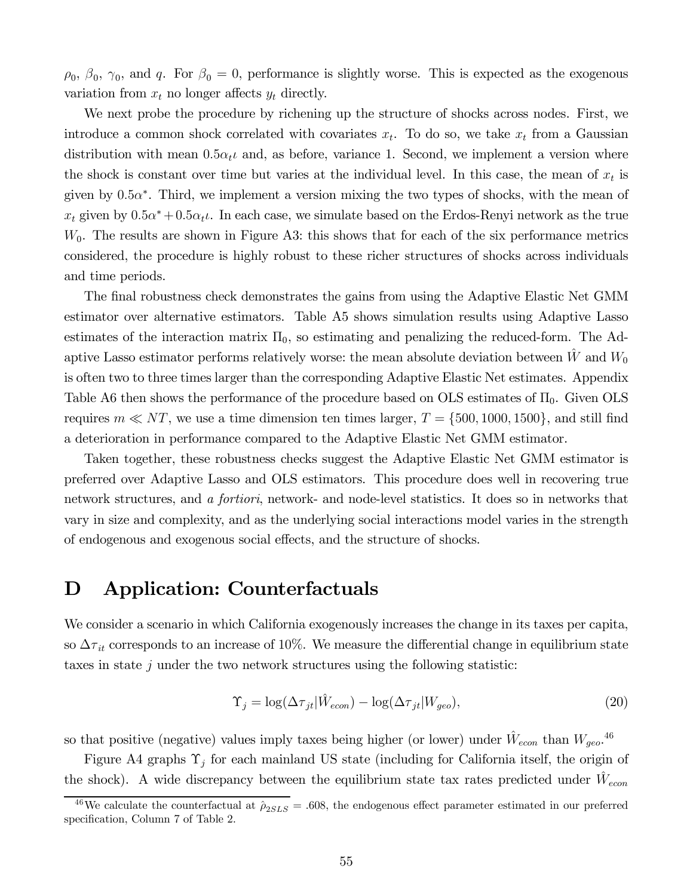$\rho_0$ ,  $\beta_0$ ,  $\gamma_0$ , and q. For  $\beta_0 = 0$ , performance is slightly worse. This is expected as the exogenous variation from  $x_t$  no longer affects  $y_t$  directly.

We next probe the procedure by richening up the structure of shocks across nodes. First, we introduce a common shock correlated with covariates  $x_t$ . To do so, we take  $x_t$  from a Gaussian distribution with mean  $0.5\alpha_t\iota$  and, as before, variance 1. Second, we implement a version where the shock is constant over time but varies at the individual level. In this case, the mean of  $x_t$  is given by  $0.5\alpha^*$ . Third, we implement a version mixing the two types of shocks, with the mean of  $x_t$  given by  $0.5\alpha^* + 0.5\alpha_t\iota$ . In each case, we simulate based on the Erdos-Renyi network as the true  $W_0$ . The results are shown in Figure A3: this shows that for each of the six performance metrics considered, the procedure is highly robust to these richer structures of shocks across individuals and time periods.

The final robustness check demonstrates the gains from using the Adaptive Elastic Net GMM estimator over alternative estimators. Table A5 shows simulation results using Adaptive Lasso estimates of the interaction matrix  $\Pi_0$ , so estimating and penalizing the reduced-form. The Adaptive Lasso estimator performs relatively worse: the mean absolute deviation between  $\dot{W}$  and  $W_0$ is often two to three times larger than the corresponding Adaptive Elastic Net estimates. Appendix Table A6 then shows the performance of the procedure based on OLS estimates of  $\Pi_0$ . Given OLS requires  $m \ll NT$ , we use a time dimension ten times larger,  $T = \{500, 1000, 1500\}$ , and still find a deterioration in performance compared to the Adaptive Elastic Net GMM estimator.

Taken together, these robustness checks suggest the Adaptive Elastic Net GMM estimator is preferred over Adaptive Lasso and OLS estimators. This procedure does well in recovering true network structures, and *a fortiori*, network- and node-level statistics. It does so in networks that vary in size and complexity, and as the underlying social interactions model varies in the strength of endogenous and exogenous social effects, and the structure of shocks.

# D Application: Counterfactuals

We consider a scenario in which California exogenously increases the change in its taxes per capita, so  $\Delta\tau_{it}$  corresponds to an increase of 10%. We measure the differential change in equilibrium state taxes in state  $j$  under the two network structures using the following statistic:

$$
\Upsilon_j = \log(\Delta \tau_{jt} | \hat{W}_{econ}) - \log(\Delta \tau_{jt} | W_{geo}), \tag{20}
$$

so that positive (negative) values imply taxes being higher (or lower) under  $\hat{W}_{econ}$  than  $W_{geo}$ .<sup>46</sup>

Figure A4 graphs  $\Upsilon_j$  for each mainland US state (including for California itself, the origin of the shock). A wide discrepancy between the equilibrium state tax rates predicted under  $\hat{W}_{econ}$ 

<sup>&</sup>lt;sup>46</sup>We calculate the counterfactual at  $\hat{\rho}_{2SLS} = .608$ , the endogenous effect parameter estimated in our preferred specification, Column 7 of Table 2.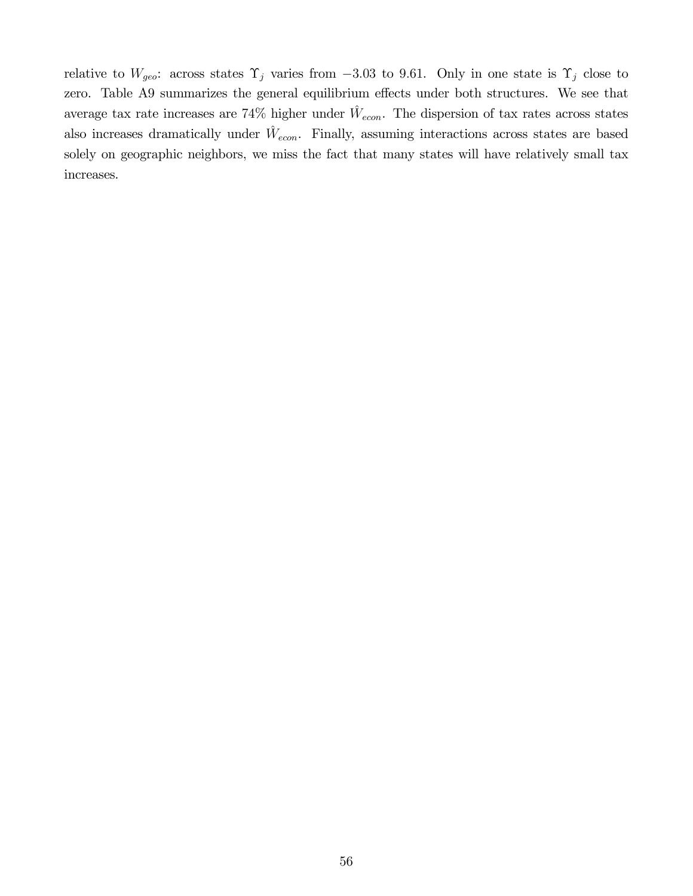relative to  $W_{geo}$ : across states  $\Upsilon_j$  varies from -3.03 to 9.61. Only in one state is  $\Upsilon_j$  close to zero. Table A9 summarizes the general equilibrium effects under both structures. We see that average tax rate increases are 74% higher under  $\hat{W}_{econ}$ . The dispersion of tax rates across states also increases dramatically under  $\hat{W}_{econ}$ . Finally, assuming interactions across states are based solely on geographic neighbors, we miss the fact that many states will have relatively small tax increases.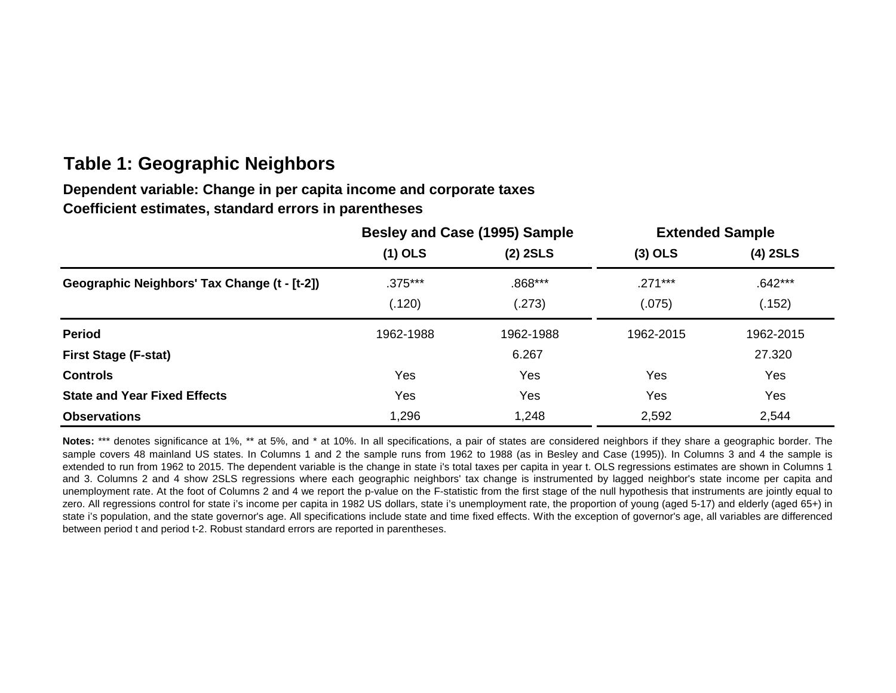# **Table 1: Geographic Neighbors**

# **Dependent variable: Change in per capita income and corporate taxes Coefficient estimates, standard errors in parentheses**

|                                              |           | Besley and Case (1995) Sample | <b>Extended Sample</b> |            |  |
|----------------------------------------------|-----------|-------------------------------|------------------------|------------|--|
|                                              | $(1)$ OLS | $(2)$ 2SLS                    | $(3)$ OLS              | $(4)$ 2SLS |  |
| Geographic Neighbors' Tax Change (t - [t-2]) | $.375***$ | .868***                       | $.271***$              | $.642***$  |  |
|                                              | (.120)    | (.273)                        | (.075)                 | (.152)     |  |
| <b>Period</b>                                | 1962-1988 | 1962-1988                     | 1962-2015              | 1962-2015  |  |
| <b>First Stage (F-stat)</b>                  |           | 6.267                         |                        | 27.320     |  |
| <b>Controls</b>                              | Yes       | Yes                           | Yes                    | Yes        |  |
| <b>State and Year Fixed Effects</b>          | Yes       | Yes                           | Yes                    | Yes        |  |
| <b>Observations</b>                          | 1,296     | 1,248                         | 2,592                  | 2,544      |  |

**Notes:** \*\*\* denotes significance at 1%, \*\* at 5%, and \* at 10%. In all specifications, a pair of states are considered neighbors if they share a geographic border. The sample covers 48 mainland US states. In Columns 1 and 2 the sample runs from 1962 to 1988 (as in Besley and Case (1995)). In Columns 3 and 4 the sample is extended to run from 1962 to 2015. The dependent variable is the change in state i's total taxes per capita in year t. OLS regressions estimates are shown in Columns 1 and 3. Columns 2 and 4 show 2SLS regressions where each geographic neighbors' tax change is instrumented by lagged neighbor's state income per capita and unemployment rate. At the foot of Columns 2 and 4 we report the p-value on the F-statistic from the first stage of the null hypothesis that instruments are jointly equal to zero. All regressions control for state i's income per capita in 1982 US dollars, state i's unemployment rate, the proportion of young (aged 5-17) and elderly (aged 65+) in state i's population, and the state governor's age. All specifications include state and time fixed effects. With the exception of governor's age, all variables are differenced between period t and period t-2. Robust standard errors are reported in parentheses.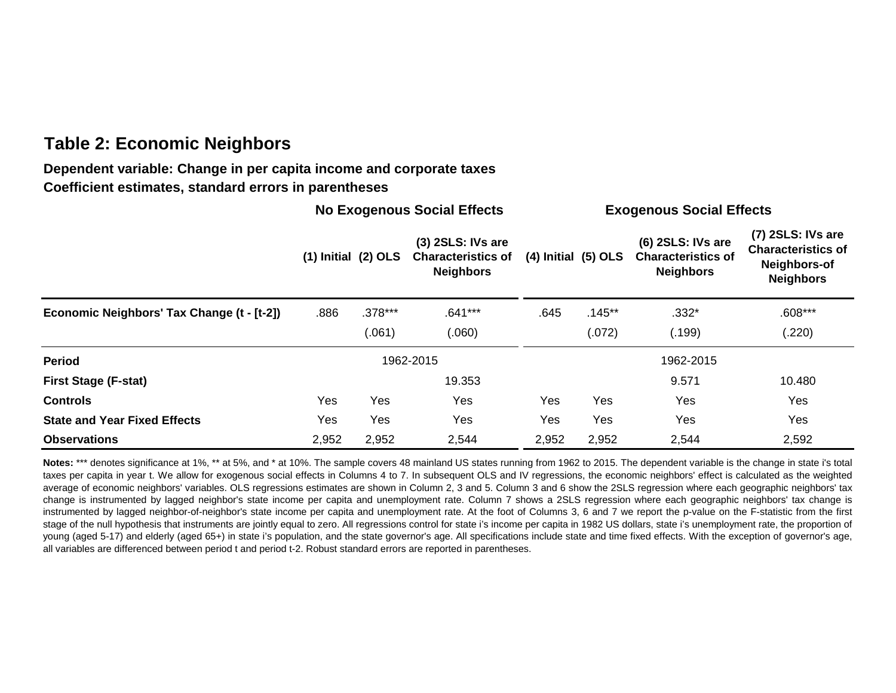# **Table 2: Economic Neighbors**

### **Dependent variable: Change in per capita income and corporate taxes Coefficient estimates, standard errors in parentheses**

|                                            | <b>No Exogenous Social Effects</b> |                         |                                                                      |                             | <b>Exogenous Social Effects</b> |                                                                    |                                                                                    |  |
|--------------------------------------------|------------------------------------|-------------------------|----------------------------------------------------------------------|-----------------------------|---------------------------------|--------------------------------------------------------------------|------------------------------------------------------------------------------------|--|
|                                            |                                    | $(1)$ Initial $(2)$ OLS | $(3)$ 2SLS: IVs are<br><b>Characteristics of</b><br><b>Neighbors</b> | $(4)$ Initial $(5)$ OLS     |                                 | (6) 2SLS: IVs are<br><b>Characteristics of</b><br><b>Neighbors</b> | (7) 2SLS: IVs are<br><b>Characteristics of</b><br>Neighbors-of<br><b>Neighbors</b> |  |
| Economic Neighbors' Tax Change (t - [t-2]) | .886                               | $.378***$               | $.641***$                                                            | $.145**$<br>.645<br>$.332*$ |                                 | $.608***$                                                          |                                                                                    |  |
|                                            |                                    | (.061)                  | (0.060)                                                              |                             | (.072)                          | (.199)                                                             | (.220)                                                                             |  |
| <b>Period</b>                              |                                    |                         | 1962-2015                                                            | 1962-2015                   |                                 |                                                                    |                                                                                    |  |
| <b>First Stage (F-stat)</b>                |                                    |                         | 19.353                                                               |                             |                                 | 9.571                                                              | 10.480                                                                             |  |
| <b>Controls</b>                            | Yes                                | Yes                     | Yes                                                                  | Yes                         | Yes                             | Yes                                                                | Yes                                                                                |  |
| <b>State and Year Fixed Effects</b>        | Yes                                | Yes                     | Yes                                                                  | Yes                         | Yes                             | Yes                                                                | Yes                                                                                |  |
| <b>Observations</b>                        | 2,952                              | 2,952                   | 2,544                                                                | 2,952                       | 2,952                           | 2,544                                                              | 2,592                                                                              |  |

Notes: \*\*\* denotes significance at 1%, \*\* at 5%, and \* at 10%. The sample covers 48 mainland US states running from 1962 to 2015. The dependent variable is the change in state i's total taxes per capita in year t. We allow for exogenous social effects in Columns 4 to 7. In subsequent OLS and IV regressions, the economic neighbors' effect is calculated as the weighted average of economic neighbors' variables. OLS regressions estimates are shown in Column 2, 3 and 5. Column 3 and 6 show the 2SLS regression where each geographic neighbors' tax change is instrumented by lagged neighbor's state income per capita and unemployment rate. Column 7 shows a 2SLS regression where each geographic neighbors' tax change is instrumented by lagged neighbor-of-neighbor's state income per capita and unemployment rate. At the foot of Columns 3, 6 and 7 we report the p-value on the F-statistic from the first stage of the null hypothesis that instruments are jointly equal to zero. All regressions control for state i's income per capita in 1982 US dollars, state i's unemployment rate, the proportion of young (aged 5-17) and elderly (aged 65+) in state i's population, and the state governor's age. All specifications include state and time fixed effects. With the exception of governor's age, all variables are differenced between period t and period t-2. Robust standard errors are reported in parentheses.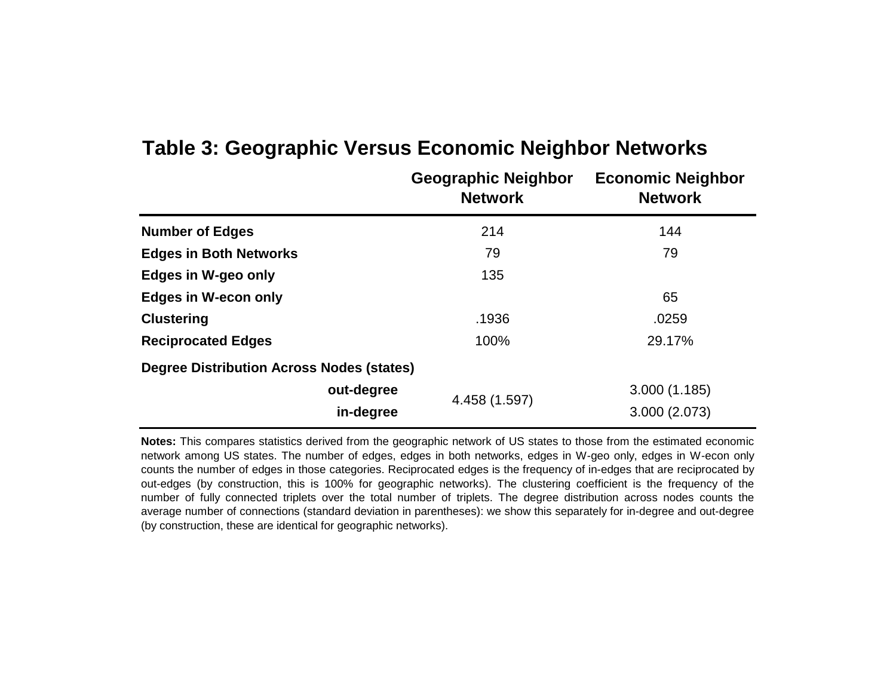|                                                  | <b>Geographic Neighbor</b><br><b>Network</b> | <b>Economic Neighbor</b><br><b>Network</b> |
|--------------------------------------------------|----------------------------------------------|--------------------------------------------|
| <b>Number of Edges</b>                           | 214                                          | 144                                        |
| <b>Edges in Both Networks</b>                    | 79                                           | 79                                         |
| Edges in W-geo only                              | 135                                          |                                            |
| <b>Edges in W-econ only</b>                      |                                              | 65                                         |
| <b>Clustering</b>                                | .1936                                        | .0259                                      |
| <b>Reciprocated Edges</b>                        | 100%                                         | 29.17%                                     |
| <b>Degree Distribution Across Nodes (states)</b> |                                              |                                            |
| out-degree                                       |                                              | 3.000(1.185)                               |
| in-degree                                        | 4.458 (1.597)                                | 3.000 (2.073)                              |

# **Table 3: Geographic Versus Economic Neighbor Networks**

**Notes:** This compares statistics derived from the geographic network of US states to those from the estimated economic network among US states. The number of edges, edges in both networks, edges in W-geo only, edges in W-econ only counts the number of edges in those categories. Reciprocated edges is the frequency of in-edges that are reciprocated by out-edges (by construction, this is 100% for geographic networks). The clustering coefficient is the frequency of the number of fully connected triplets over the total number of triplets. The degree distribution across nodes counts the average number of connections (standard deviation in parentheses): we show this separately for in-degree and out-degree (by construction, these are identical for geographic networks).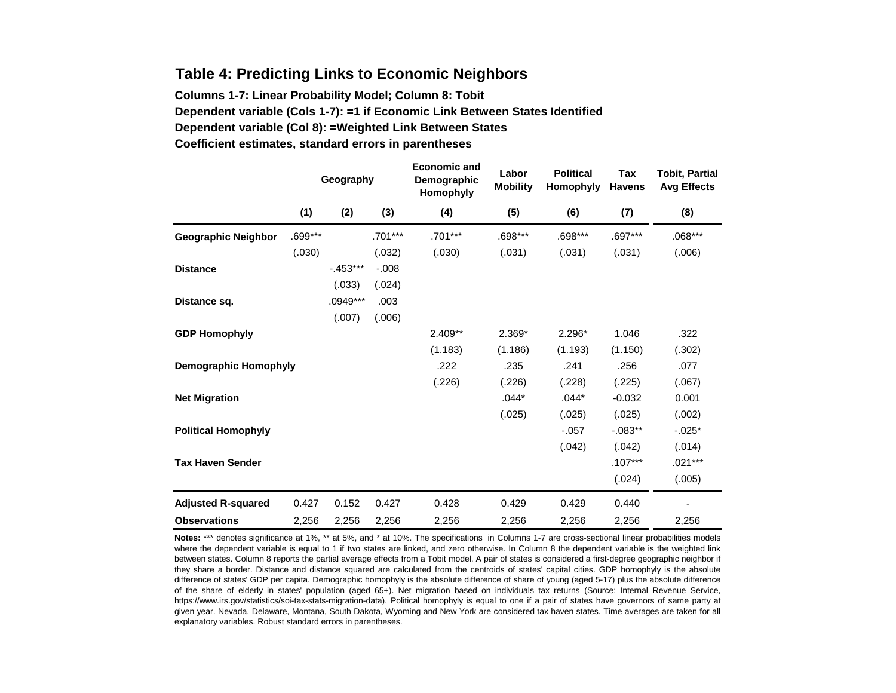### **Table 4: Predicting Links to Economic Neighbors**

**Columns 1-7: Linear Probability Model; Column 8: Tobit Dependent variable (Cols 1-7): =1 if Economic Link Between States Identified Dependent variable (Col 8): =Weighted Link Between States Coefficient estimates, standard errors in parentheses**

|                              | Geography |             | <b>Economic and</b><br>Demographic<br>Homophyly | Labor<br><b>Mobility</b> | <b>Political</b><br>Homophyly | Tax<br><b>Havens</b> | <b>Tobit, Partial</b><br>Avg Effects |           |
|------------------------------|-----------|-------------|-------------------------------------------------|--------------------------|-------------------------------|----------------------|--------------------------------------|-----------|
|                              | (1)       | (2)         | (3)                                             | (4)                      | (5)                           | (6)                  | (7)                                  | (8)       |
| <b>Geographic Neighbor</b>   | .699***   |             | .701***                                         | .701***                  | .698***                       | .698***              | .697***                              | $.068***$ |
|                              | (.030)    |             | (.032)                                          | (.030)                   | (.031)                        | (.031)               | (.031)                               | (.006)    |
| <b>Distance</b>              |           | $-0.453***$ | $-.008$                                         |                          |                               |                      |                                      |           |
|                              |           | (.033)      | (.024)                                          |                          |                               |                      |                                      |           |
| Distance sq.                 |           | .0949***    | .003                                            |                          |                               |                      |                                      |           |
|                              |           | (.007)      | (.006)                                          |                          |                               |                      |                                      |           |
| <b>GDP Homophyly</b>         |           |             |                                                 | $2.409**$                | $2.369*$                      | 2.296*               | 1.046                                | .322      |
|                              |           |             |                                                 | (1.183)                  | (1.186)                       | (1.193)              | (1.150)                              | (.302)    |
| <b>Demographic Homophyly</b> |           |             |                                                 | .222                     | .235                          | .241                 | .256                                 | .077      |
|                              |           |             |                                                 | (.226)                   | (.226)                        | (.228)               | (.225)                               | (.067)    |
| <b>Net Migration</b>         |           |             |                                                 |                          | $.044*$                       | $.044*$              | $-0.032$                             | 0.001     |
|                              |           |             |                                                 |                          | (.025)                        | (.025)               | (.025)                               | (.002)    |
| <b>Political Homophyly</b>   |           |             |                                                 |                          |                               | $-.057$              | $-0.083**$                           | $-.025*$  |
|                              |           |             |                                                 |                          |                               | (.042)               | (.042)                               | (.014)    |
| <b>Tax Haven Sender</b>      |           |             |                                                 |                          |                               |                      | $.107***$                            | $.021***$ |
|                              |           |             |                                                 |                          |                               |                      | (.024)                               | (.005)    |
| <b>Adjusted R-squared</b>    | 0.427     | 0.152       | 0.427                                           | 0.428                    | 0.429                         | 0.429                | 0.440                                |           |
| <b>Observations</b>          | 2,256     | 2,256       | 2,256                                           | 2,256                    | 2,256                         | 2,256                | 2,256                                | 2,256     |

**Notes:** \*\*\* denotes significance at 1%, \*\* at 5%, and \* at 10%. The specifications in Columns 1-7 are cross-sectional linear probabilities models where the dependent variable is equal to 1 if two states are linked, and zero otherwise. In Column 8 the dependent variable is the weighted link between states. Column 8 reports the partial average effects from a Tobit model. A pair of states is considered a first-degree geographic neighbor if they share a border. Distance and distance squared are calculated from the centroids of states' capital cities. GDP homophyly is the absolute difference of states' GDP per capita. Demographic homophyly is the absolute difference of share of young (aged 5-17) plus the absolute difference of the share of elderly in states' population (aged 65+). Net migration based on individuals tax returns (Source: Internal Revenue Service, https://www.irs.gov/statistics/soi-tax-stats-migration-data). Political homophyly is equal to one if a pair of states have governors of same party at given year. Nevada, Delaware, Montana, South Dakota, Wyoming and New York are considered tax haven states. Time averages are taken for all explanatory variables. Robust standard errors in parentheses.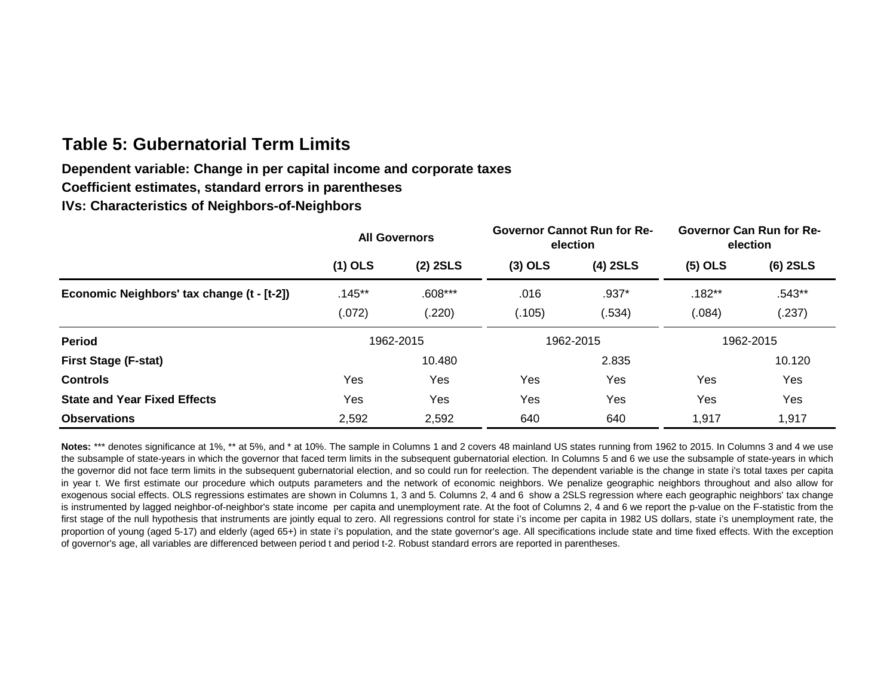# **Table 5: Gubernatorial Term Limits**

# **Dependent variable: Change in per capital income and corporate taxes**

**Coefficient estimates, standard errors in parentheses**

**IVs: Characteristics of Neighbors-of-Neighbors**

|                                            | <b>All Governors</b> |            |           | <b>Governor Cannot Run for Re-</b><br>election | <b>Governor Can Run for Re-</b><br>election |            |  |
|--------------------------------------------|----------------------|------------|-----------|------------------------------------------------|---------------------------------------------|------------|--|
|                                            | $(1)$ OLS            | $(2)$ 2SLS | $(3)$ OLS | $(4)$ 2SLS                                     | $(5)$ OLS                                   | $(6)$ 2SLS |  |
| Economic Neighbors' tax change (t - [t-2]) | $.145***$            | $.608***$  | .016      | $.937*$                                        | $.182**$                                    | $.543**$   |  |
|                                            | (.072)               | (.220)     | (.105)    | (.534)                                         | (.084)                                      | (.237)     |  |
| <b>Period</b>                              |                      | 1962-2015  |           | 1962-2015                                      | 1962-2015                                   |            |  |
| <b>First Stage (F-stat)</b>                |                      | 10.480     |           | 2.835                                          |                                             | 10.120     |  |
| <b>Controls</b>                            | Yes                  | Yes        | Yes       | Yes                                            | Yes                                         | Yes        |  |
| <b>State and Year Fixed Effects</b>        | Yes                  | Yes        | Yes       | Yes                                            | Yes                                         | Yes        |  |
| <b>Observations</b>                        | 2,592                | 2,592      | 640       | 640                                            | 1,917                                       | 1,917      |  |

Notes: \*\*\* denotes significance at 1%, \*\* at 5%, and \* at 10%. The sample in Columns 1 and 2 covers 48 mainland US states running from 1962 to 2015. In Columns 3 and 4 we use the subsample of state-years in which the governor that faced term limits in the subsequent gubernatorial election. In Columns 5 and 6 we use the subsample of state-years in which the governor did not face term limits in the subsequent gubernatorial election, and so could run for reelection. The dependent variable is the change in state i's total taxes per capita in year t. We first estimate our procedure which outputs parameters and the network of economic neighbors. We penalize geographic neighbors throughout and also allow for exogenous social effects. OLS regressions estimates are shown in Columns 1, 3 and 5. Columns 2, 4 and 6 show a 2SLS regression where each geographic neighbors' tax change is instrumented by lagged neighbor-of-neighbor's state income per capita and unemployment rate. At the foot of Columns 2, 4 and 6 we report the p-value on the F-statistic from the first stage of the null hypothesis that instruments are jointly equal to zero. All regressions control for state i's income per capita in 1982 US dollars, state i's unemployment rate, the proportion of young (aged 5-17) and elderly (aged 65+) in state i's population, and the state governor's age. All specifications include state and time fixed effects. With the exception of governor's age, all variables are differenced between period t and period t-2. Robust standard errors are reported in parentheses.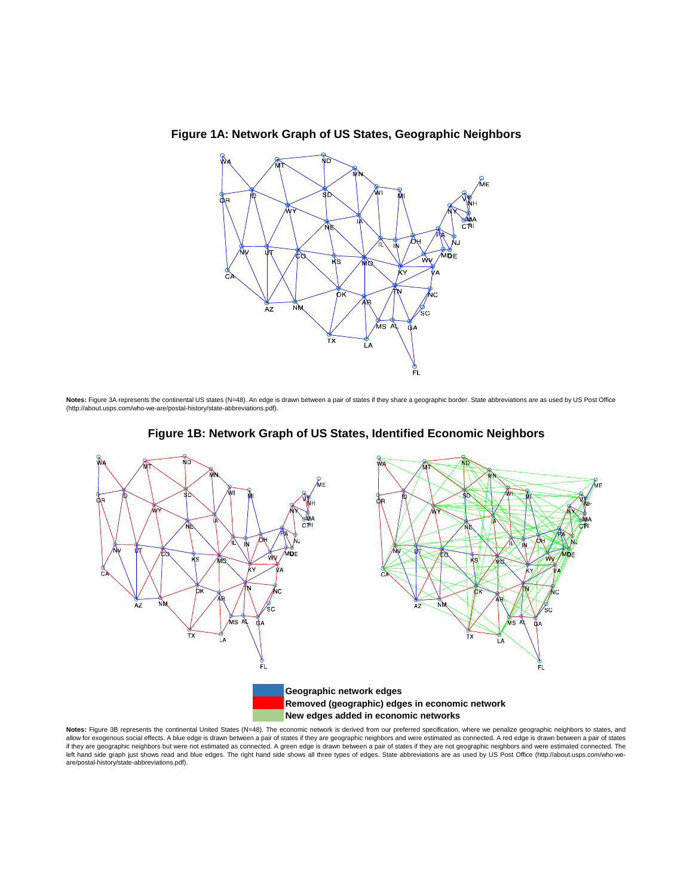

**Figure 1A: Network Graph of US States, Geographic Neighbors**

Notes: Figure 3A represents the continental US states (N=48). An edge is drawn between a pair of states if they share a geographic border. State abbreviations are as used by US Post Office (http://about.usps.com/who-we-are/postal-history/state-abbreviations.pdf).





**Notes:** Figure 3B represents the continental United States (N=48). The economic network is derived from our preferred specification, where we penalize geographic neighbors to states, and<br>allow for exogenous social effects if they are geographic neighbors but were not estimated as connected. A green edge is drawn between a pair of states if they are not geographic neighbors and were estimated connected. The left hand side graph just shows read and blue edges. The right hand side shows all three types of edges. State abbreviations are as used by US Post Office (http://about.usps.com/who-weare/postal-history/state-abbreviations.pdf).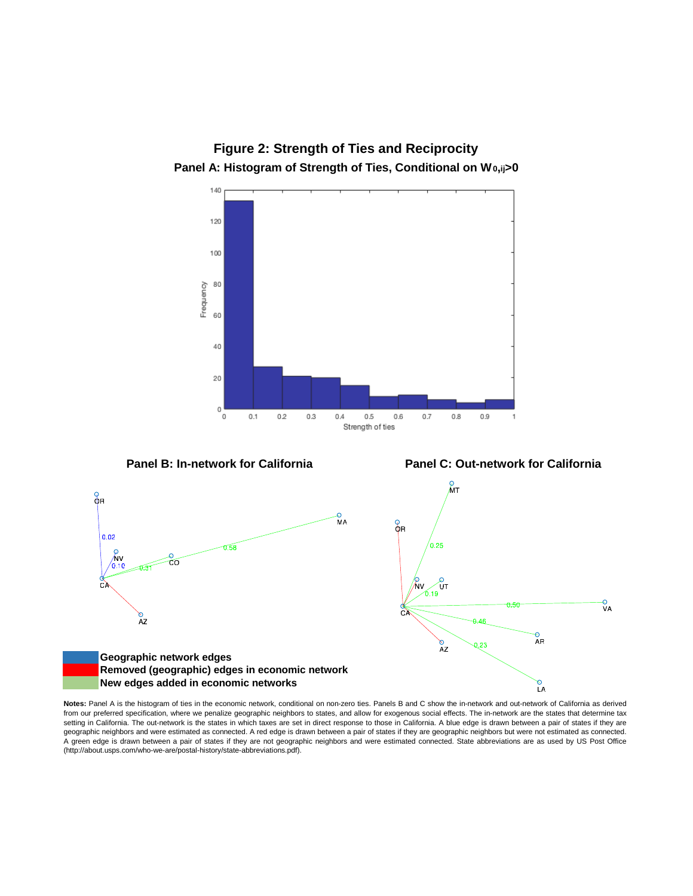

**Figure 2: Strength of Ties and Reciprocity**

**Notes:** Panel A is the histogram of ties in the economic network, conditional on non-zero ties. Panels B and C show the in-network and out-network of California as derived from our preferred specification, where we penalize geographic neighbors to states, and allow for exogenous social effects. The in-network are the states that determine tax setting in California. The out-network is the states in which taxes are set in direct response to those in California. A blue edge is drawn between a pair of states if they are geographic neighbors and were estimated as connected. A red edge is drawn between a pair of states if they are geographic neighbors but were not estimated as connected. A green edge is drawn between a pair of states if they are not geographic neighbors and were estimated connected. State abbreviations are as used by US Post Office (http://about.usps.com/who-we-are/postal-history/state-abbreviations.pdf).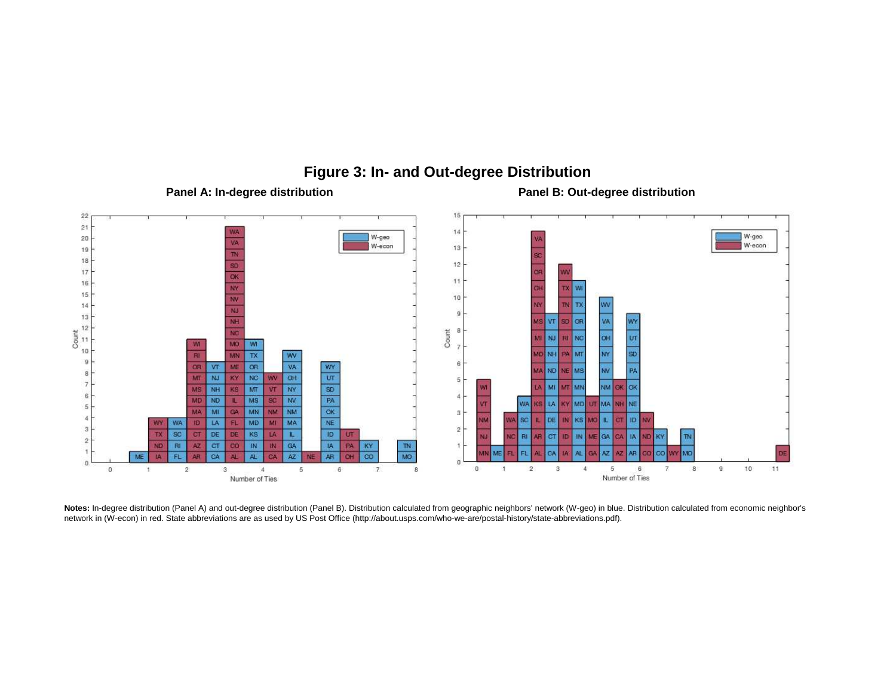

# **Figure 3: In- and Out-degree Distribution**

Panel A: In-degree distribution **Panel B: Out-degree distribution** 

**Notes:** In-degree distribution (Panel A) and out-degree distribution (Panel B). Distribution calculated from geographic neighbors' network (W-geo) in blue. Distribution calculated from economic neighbor's network in (W-econ) in red. State abbreviations are as used by US Post Office (http://about.usps.com/who-we-are/postal-history/state-abbreviations.pdf).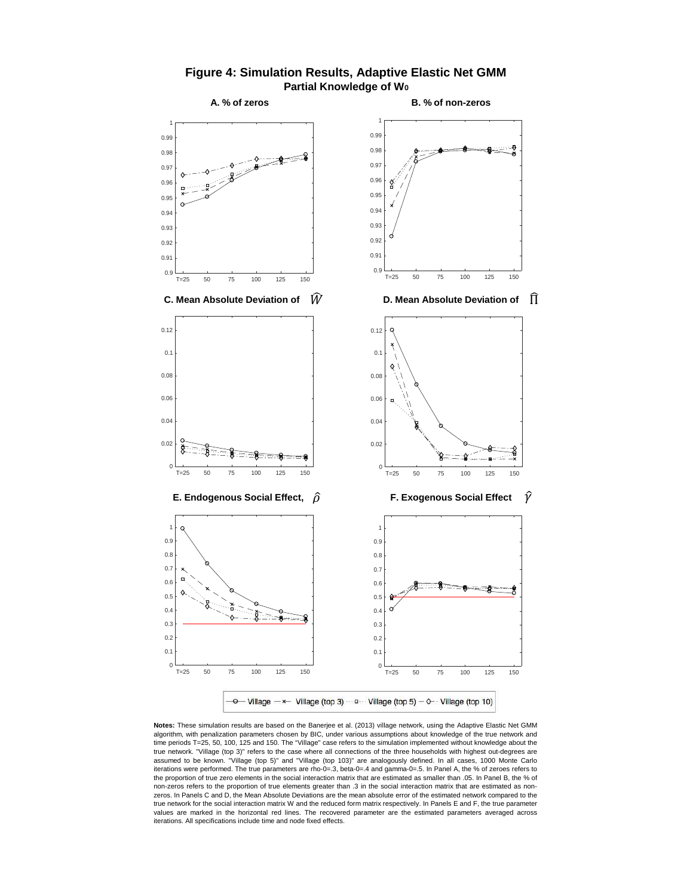

**Figure 4: Simulation Results, Adaptive Elastic Net GMM Partial Knowledge of W<sup>0</sup>**

**Notes:** These simulation results are based on the Banerjee et al. (2013) village network, using the Adaptive Elastic Net GMM algorithm, with penalization parameters chosen by BIC, under various assumptions about knowledge of the true network and time periods T=25, 50, 100, 125 and 150. The "Village" case refers to the simulation implemented without knowledge about the true network. "Village (top 3)" refers to the case where all connections of the three households with highest out-degrees are assumed to be known. "Village (top 5)" and "Village (top 103)" are analogously defined. In all cases, 1000 Monte Carlo iterations were performed. The true parameters are rho-0=.3, beta-0=.4 and gamma-0=.5. In Panel A, the % of zeroes refers to the proportion of true zero elements in the social interaction matrix that are estimated as smaller than .05. In Panel B, the % of non-zeros refers to the proportion of true elements greater than .3 in the social interaction matrix that are estimated as nonzeros. In Panels C and D, the Mean Absolute Deviations are the mean absolute error of the estimated network compared to the true network for the social interaction matrix W and the reduced form matrix respectively. In Panels E and F, the true parameter values are marked in the horizontal red lines. The recovered parameter are the estimated parameters averaged across iterations. All specifications include time and node fixed effects.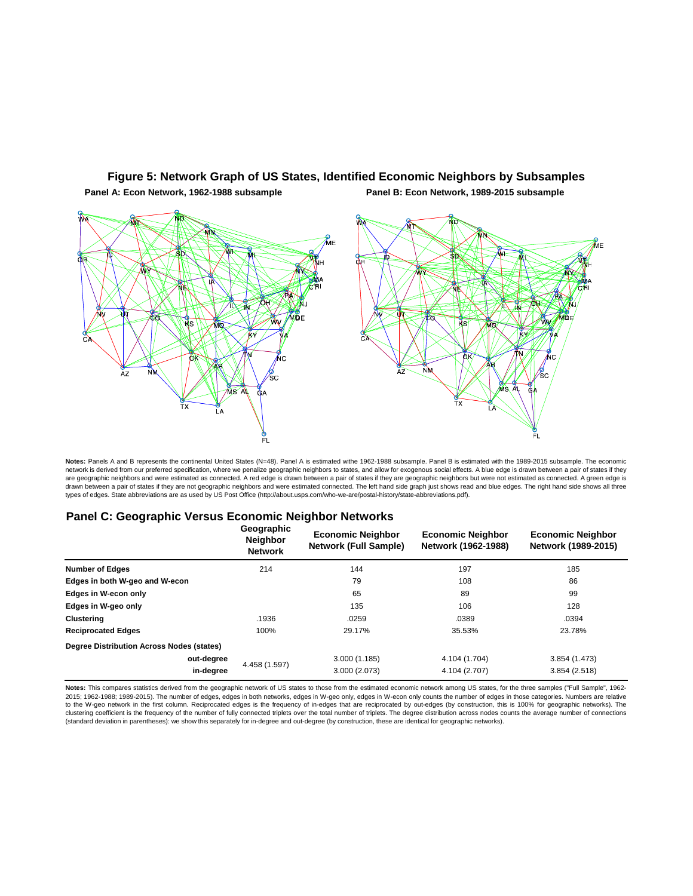

### **Figure 5: Network Graph of US States, Identified Economic Neighbors by Subsamples**

**Panel A: Econ Network, 1962-1988 subsample**

**Panel B: Econ Network, 1989-2015 subsample**

Notes: Panels A and B represents the continental United States (N=48). Panel A is estimated withe 1962-1988 subsample. Panel B is estimated with the 1989-2015 subsample. The economic<br>network is derived from our preferred s are geographic neighbors and were estimated as connected. A red edge is drawn between a pair of states if they are geographic neighbors but were not estimated as connected. A green edge is drawn between a pair of states if they are not geographic neighbors and were estimated connected. The left hand side graph just shows read and blue edges. The right hand side shows all three types of edges. State abbreviations are as used by US Post Office (http://about.usps.com/who-we-are/postal-history/state-abbreviations.pdf).

#### **Panel C: Geographic Versus Economic Neighbor Networks**

|                                           | Geographic<br><b>Neighbor</b><br><b>Network</b> | <b>Economic Neighbor</b><br><b>Network (Full Sample)</b> | <b>Economic Neighbor</b><br>Network (1962-1988) | <b>Economic Neighbor</b><br>Network (1989-2015) |  |
|-------------------------------------------|-------------------------------------------------|----------------------------------------------------------|-------------------------------------------------|-------------------------------------------------|--|
| <b>Number of Edges</b>                    | 214                                             | 144                                                      | 197                                             | 185                                             |  |
| Edges in both W-geo and W-econ            |                                                 | 79                                                       | 108                                             | 86                                              |  |
| Edges in W-econ only                      |                                                 | 65                                                       | 89                                              | 99                                              |  |
| Edges in W-geo only                       |                                                 | 135                                                      | 106                                             | 128                                             |  |
| Clustering                                | .1936                                           | .0259                                                    | .0389                                           | .0394                                           |  |
| <b>Reciprocated Edges</b>                 | 100%                                            | 29.17%                                                   | 35.53%                                          | 23.78%                                          |  |
| Degree Distribution Across Nodes (states) |                                                 |                                                          |                                                 |                                                 |  |
| out-degree                                |                                                 | 3.000(1.185)                                             | 4.104 (1.704)                                   | 3.854 (1.473)                                   |  |
| in-degree                                 | 4.458 (1.597)                                   | 3.000 (2.073)                                            | 4.104 (2.707)                                   | 3.854(2.518)                                    |  |

**Notes:** This compares statistics derived from the geographic network of US states to those from the estimated economic network among US states, for the three samples ("Full Sample", 1962- 2015; 1962-1988; 1989-2015). The number of edges, edges in both networks, edges in W-geo only, edges in W-econ only counts the number of edges in those categories. Numbers are relative to the W-geo network in the first column. Reciprocated edges is the frequency of in-edges that are reciprocated by out-edges (by construction, this is 100% for geographic networks). The clustering coefficient is the frequency of the number of fully connected triplets over the total number of triplets. The degree distribution across nodes counts the average number of connections (standard deviation in parentheses): we show this separately for in-degree and out-degree (by construction, these are identical for geographic networks).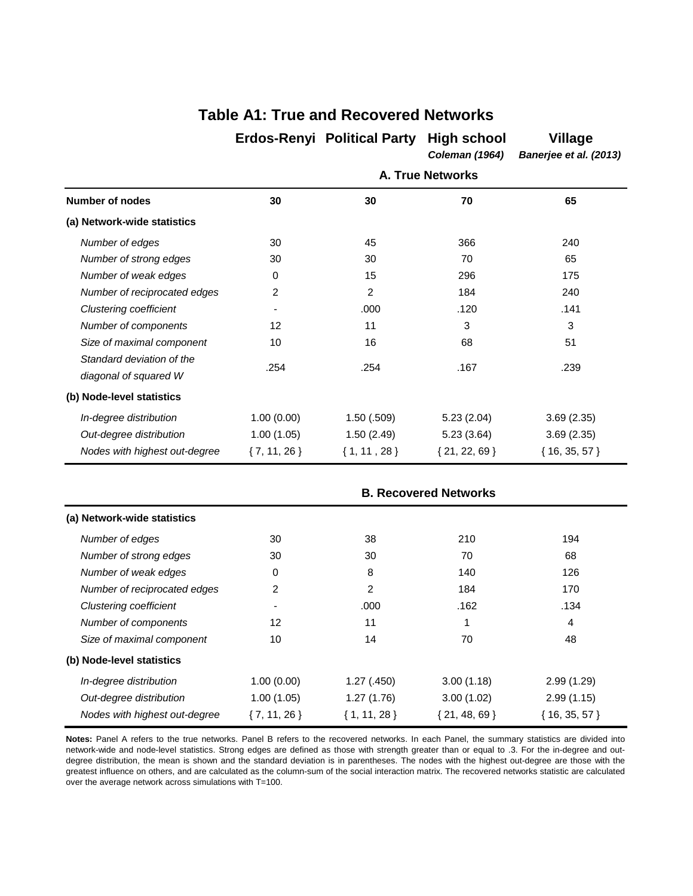|                                                    |                 | <b>Erdos-Renyi</b> Political Party | <b>High school</b><br><b>Coleman (1964)</b> | <b>Village</b><br>Banerjee et al. (2013) |
|----------------------------------------------------|-----------------|------------------------------------|---------------------------------------------|------------------------------------------|
|                                                    |                 |                                    | <b>A. True Networks</b>                     |                                          |
| <b>Number of nodes</b>                             | 30              | 30                                 | 70                                          | 65                                       |
| (a) Network-wide statistics                        |                 |                                    |                                             |                                          |
| Number of edges                                    | 30              | 45                                 | 366                                         | 240                                      |
| Number of strong edges                             | 30              | 30                                 | 70                                          | 65                                       |
| Number of weak edges                               | 0               | 15                                 | 296                                         | 175                                      |
| Number of reciprocated edges                       | 2               | 2                                  | 184                                         | 240                                      |
| <b>Clustering coefficient</b>                      | ٠               | .000                               | .120                                        | .141                                     |
| Number of components                               | 12              | 11                                 | 3                                           | 3                                        |
| Size of maximal component                          | 10              | 16                                 | 68                                          | 51                                       |
| Standard deviation of the<br>diagonal of squared W | .254            | .254                               | .167                                        | .239                                     |
| (b) Node-level statistics                          |                 |                                    |                                             |                                          |
| In-degree distribution                             | 1.00(0.00)      | 1.50(.509)                         | 5.23(2.04)                                  | 3.69(2.35)                               |
| Out-degree distribution                            | 1.00(1.05)      | 1.50(2.49)                         | 5.23(3.64)                                  | 3.69(2.35)                               |
| Nodes with highest out-degree                      | $\{7, 11, 26\}$ | $\{1, 11, 28\}$                    | $\{21, 22, 69\}$                            | ${16, 35, 57}$                           |

# **Table A1: True and Recovered Networks**

|                               |                 |                 | <b>B. Recovered Networks</b> |                |
|-------------------------------|-----------------|-----------------|------------------------------|----------------|
| (a) Network-wide statistics   |                 |                 |                              |                |
| Number of edges               | 30              | 38              | 210                          | 194            |
| Number of strong edges        | 30              | 30              | 70                           | 68             |
| Number of weak edges          | 0               | 8               | 140                          | 126            |
| Number of reciprocated edges  | 2               | 2               | 184                          | 170            |
| <b>Clustering coefficient</b> |                 | .000            | .162                         | .134           |
| Number of components          | 12              | 11              |                              | 4              |
| Size of maximal component     | 10              | 14              | 70                           | 48             |
| (b) Node-level statistics     |                 |                 |                              |                |
| In-degree distribution        | 1.00(0.00)      | 1.27(.450)      | 3.00(1.18)                   | 2.99(1.29)     |
| Out-degree distribution       | 1.00(1.05)      | 1.27(1.76)      | 3.00(1.02)                   | 2.99(1.15)     |
| Nodes with highest out-degree | $\{7, 11, 26\}$ | $\{1, 11, 28\}$ | ${21, 48, 69}$               | ${16, 35, 57}$ |

**Notes:** Panel A refers to the true networks. Panel B refers to the recovered networks. In each Panel, the summary statistics are divided into network-wide and node-level statistics. Strong edges are defined as those with strength greater than or equal to .3. For the in-degree and outdegree distribution, the mean is shown and the standard deviation is in parentheses. The nodes with the highest out-degree are those with the greatest influence on others, and are calculated as the column-sum of the social interaction matrix. The recovered networks statistic are calculated over the average network across simulations with T=100.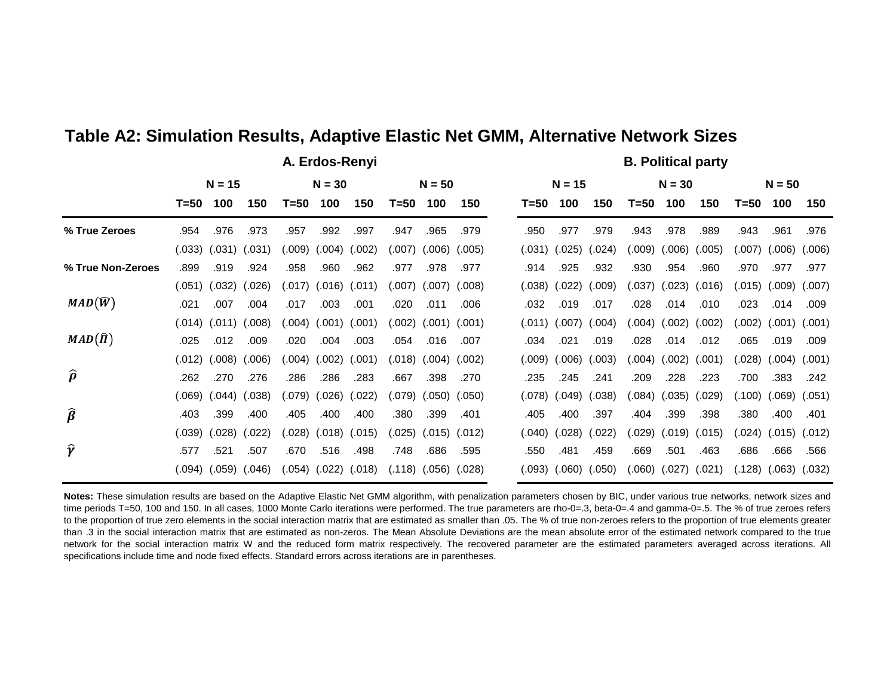|                                |        |                            |        |        |                   |                      |        |                   |        |         |                   |        |         | <u>sunsur barit</u>        |        |                            |          |                   |
|--------------------------------|--------|----------------------------|--------|--------|-------------------|----------------------|--------|-------------------|--------|---------|-------------------|--------|---------|----------------------------|--------|----------------------------|----------|-------------------|
|                                |        | $N = 15$                   |        |        | $N = 30$          |                      |        | $N = 50$          |        |         | $N = 15$          |        |         | $N = 30$                   |        |                            | $N = 50$ |                   |
|                                | T=50   | 100                        | 150    | T=50   | 100               | 150                  | T=50   | 100               | 150    | T=50    | 100               | 150    | T=50    | 100                        | 150    | T=50                       | 100      | 150               |
| % True Zeroes                  | .954   | .976                       | .973   | .957   | .992              | .997                 | .947   | .965              | .979   | .950    | .977              | .979   | .943    | .978                       | .989   | .943                       | .961     | .976              |
|                                |        | $(.033)$ $(.031)$ $(.031)$ |        | (.009) | $(.004)$ $(.002)$ |                      | (.007) | (.006)            | (.005) | (.031)  | $(.025)$ $(.024)$ |        | (0.009) | (.006)                     | (.005) | (.007)                     | (0.006)  | (.006)            |
| % True Non-Zeroes              | .899   | .919                       | .924   | .958   | .960              | .962                 | .977   | .978              | .977   | .914    | .925              | .932   | .930    | .954                       | .960   | .970                       | .977     | .977              |
|                                | (.051) | (.032)                     | (.026) |        | $(017)$ $(016)$   | (.011)               | (.007) | (.007)            | (.008) | (.038)  | (.022)            | (.009) |         | $(.037)$ $(.023)$          | (.016) | (.015)                     |          | $(.009)$ $(.007)$ |
| $MAD(\widehat{W})$             | .021   | .007                       | .004   | .017   | .003              | .001                 | .020   | .011              | .006   | .032    | .019              | .017   | .028    | .014                       | .010   | .023                       | .014     | .009              |
|                                | (.014) | (.011)                     | (.008) | (.004) |                   | $(.001)$ $(.001)$    | (.002) | (.001)            | (.001) |         | $(.011)$ $(.007)$ | (.004) | (.004)  | (.002)                     | (.002) | (.002)                     |          | $(.001)$ $(.001)$ |
| $MAD(\widehat{\Pi})$           | .025   | .012                       | .009   | .020   | .004              | .003                 | .054   | .016              | .007   | .034    | .021              | .019   | .028    | .014                       | .012   | .065                       | .019     | .009              |
|                                | (.012) | (.008)                     | (.006) | 004)   | (.002)            | (.001)               |        | (.018) (.004)     | (.002) | (0.009) | (.006)            | (.003) | (.004)  | (.002)                     | (.001) | (.028)                     |          | $(.004)$ $(.001)$ |
| $\widehat{\boldsymbol{\rho}}$  | .262   | .270                       | .276   | .286   | .286              | .283                 | .667   | .398              | .270   | .235    | .245              | .241   | .209    | .228                       | .223   | .700                       | .383     | .242              |
|                                | (.069) | (.044)                     | (.038) | (.079) | (.026)            | (.022)               | (.079) | (.050)            | (.050) | (.078)  | (.049)            | (.038) | (.084)  | (.035)                     | (.029) | (.100)                     |          | $(.069)$ $(.051)$ |
| $\widehat{\boldsymbol{\beta}}$ | .403   | .399                       | .400   | .405   | .400              | .400                 | .380   | .399              | .401   | .405    | .400              | .397   | .404    | .399                       | .398   | .380                       | .400     | .401              |
|                                | (.039) | (.028)                     | (.022) | (.028) | $(.018)$ $(.015)$ |                      | (.025) | (.015)            | (.012) | (.040)  | (.028)            | (.022) | (.029)  | $(.019)$ $(.015)$          |        | $(.024)$ $(.015)$ $(.012)$ |          |                   |
| Ŷ                              | .577   | .521                       | .507   | .670   | .516              | .498                 | .748   | .686              | .595   | .550    | .481              | .459   | .669    | .501                       | .463   | .686                       | .666     | .566              |
|                                | (.094) | $(.059)$ $(.046)$          |        |        |                   | (.054) (.022) (.018) |        | $(.118)$ $(.056)$ | (.028) | (.093)  | (.060)            | (.050) |         | $(.060)$ $(.027)$ $(.021)$ |        | (.128)                     |          | $(.063)$ $(.032)$ |

**A. Erdos-Renyi B. Political party**

# **Table A2: Simulation Results, Adaptive Elastic Net GMM, Alternative Network Sizes**

**Notes:** These simulation results are based on the Adaptive Elastic Net GMM algorithm, with penalization parameters chosen by BIC, under various true networks, network sizes and time periods T=50, 100 and 150. In all cases, 1000 Monte Carlo iterations were performed. The true parameters are rho-0=.3, beta-0=.4 and gamma-0=.5. The % of true zeroes refers to the proportion of true zero elements in the social interaction matrix that are estimated as smaller than .05. The % of true non-zeroes refers to the proportion of true elements greater than .3 in the social interaction matrix that are estimated as non-zeros. The Mean Absolute Deviations are the mean absolute error of the estimated network compared to the true network for the social interaction matrix W and the reduced form matrix respectively. The recovered parameter are the estimated parameters averaged across iterations. All specifications include time and node fixed effects. Standard errors across iterations are in parentheses.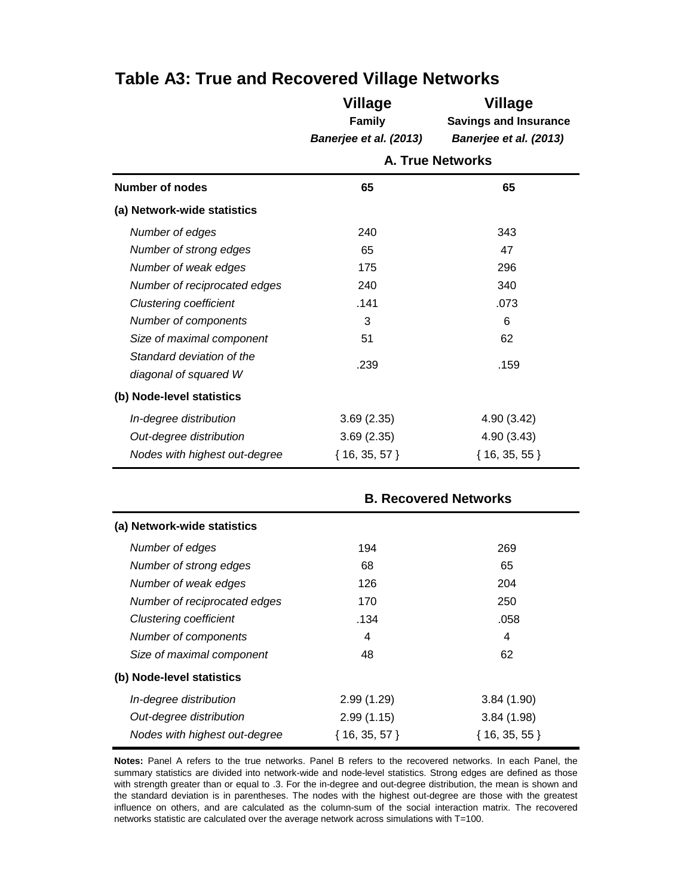|                                                    | <b>Village</b><br><b>Family</b><br>Banerjee et al. (2013) | <b>Village</b><br><b>Savings and Insurance</b><br>Banerjee et al. (2013) |  |  |  |  |
|----------------------------------------------------|-----------------------------------------------------------|--------------------------------------------------------------------------|--|--|--|--|
|                                                    | <b>A. True Networks</b>                                   |                                                                          |  |  |  |  |
| <b>Number of nodes</b>                             | 65                                                        | 65                                                                       |  |  |  |  |
| (a) Network-wide statistics                        |                                                           |                                                                          |  |  |  |  |
| Number of edges                                    | 240                                                       | 343                                                                      |  |  |  |  |
| Number of strong edges                             | 65                                                        | 47                                                                       |  |  |  |  |
| Number of weak edges                               | 175                                                       | 296                                                                      |  |  |  |  |
| Number of reciprocated edges                       | 240                                                       | 340                                                                      |  |  |  |  |
| <b>Clustering coefficient</b>                      | .141                                                      | .073                                                                     |  |  |  |  |
| Number of components                               | 3                                                         | 6                                                                        |  |  |  |  |
| Size of maximal component                          | 51                                                        | 62                                                                       |  |  |  |  |
| Standard deviation of the<br>diagonal of squared W | .239                                                      | .159                                                                     |  |  |  |  |
| (b) Node-level statistics                          |                                                           |                                                                          |  |  |  |  |
| In-degree distribution                             | 3.69(2.35)                                                | 4.90 (3.42)                                                              |  |  |  |  |
| Out-degree distribution                            | 3.69(2.35)                                                | 4.90(3.43)                                                               |  |  |  |  |
| Nodes with highest out-degree                      | $16, 35, 57$ }                                            | ${16, 35, 55}$                                                           |  |  |  |  |

# **Table A3: True and Recovered Village Networks**

|                               | <b>B. Recovered Networks</b> |                |  |  |  |  |  |  |
|-------------------------------|------------------------------|----------------|--|--|--|--|--|--|
| (a) Network-wide statistics   |                              |                |  |  |  |  |  |  |
| Number of edges               | 194                          | 269            |  |  |  |  |  |  |
| Number of strong edges        | 68                           | 65             |  |  |  |  |  |  |
| Number of weak edges          | 126                          | 204            |  |  |  |  |  |  |
| Number of reciprocated edges  | 170                          | 250            |  |  |  |  |  |  |
| Clustering coefficient        | .134                         | .058           |  |  |  |  |  |  |
| Number of components          | 4                            | 4              |  |  |  |  |  |  |
| Size of maximal component     | 48                           | 62             |  |  |  |  |  |  |
| (b) Node-level statistics     |                              |                |  |  |  |  |  |  |
| In-degree distribution        | 2.99(1.29)                   | 3.84(1.90)     |  |  |  |  |  |  |
| Out-degree distribution       | 2.99(1.15)                   | 3.84(1.98)     |  |  |  |  |  |  |
| Nodes with highest out-degree | ${16, 35, 57}$               | ${16, 35, 55}$ |  |  |  |  |  |  |

**Notes:** Panel A refers to the true networks. Panel B refers to the recovered networks. In each Panel, the summary statistics are divided into network-wide and node-level statistics. Strong edges are defined as those with strength greater than or equal to .3. For the in-degree and out-degree distribution, the mean is shown and the standard deviation is in parentheses. The nodes with the highest out-degree are those with the greatest influence on others, and are calculated as the column-sum of the social interaction matrix. The recovered networks statistic are calculated over the average network across simulations with T=100.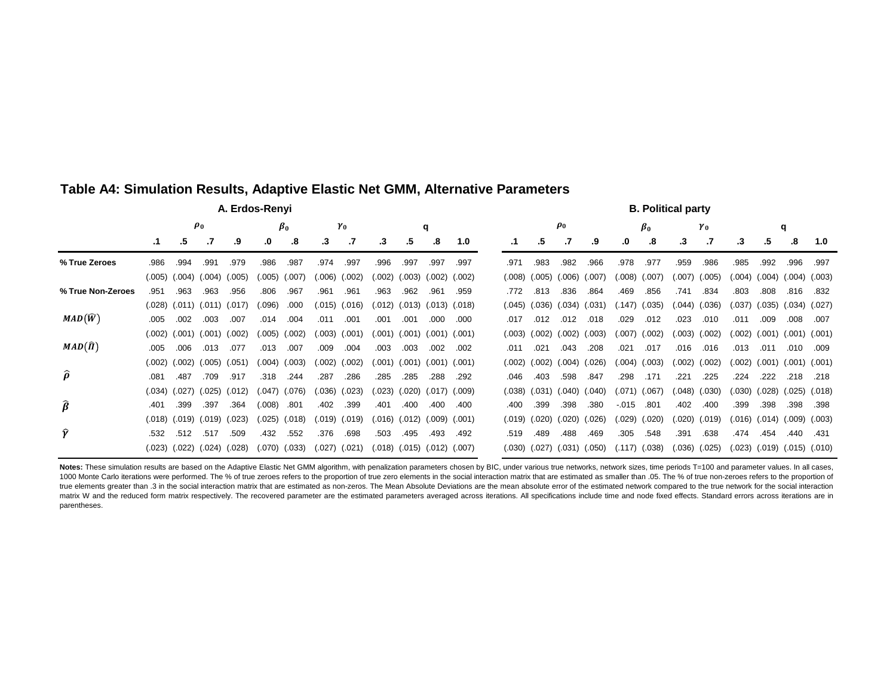|                                | A. Erdos-Renyi |        |        |                   |           |        |         |            |        |        |                            |        |  | <b>B. Political party</b> |          |                   |        |           |                   |            |        |        |        |                            |                                     |
|--------------------------------|----------------|--------|--------|-------------------|-----------|--------|---------|------------|--------|--------|----------------------------|--------|--|---------------------------|----------|-------------------|--------|-----------|-------------------|------------|--------|--------|--------|----------------------------|-------------------------------------|
|                                | $\rho_0$       |        |        |                   | $\beta_0$ |        |         | $\gamma_0$ |        |        | q                          |        |  |                           | $\rho_0$ |                   |        | $\beta_0$ |                   | $\gamma_0$ |        |        | q      |                            |                                     |
|                                | $\cdot$ 1      | .5     |        | .9                | .0        | .8     | .3      | .7         | .3     | .5     | .8                         | 1.0    |  | $\cdot$ 1                 | .5       |                   | .9     | .0        | .8                | .3         | .7     | .3     | .5     | .8                         | 1.0                                 |
| % True Zeroes                  | .986           | .994   | .991   | .979              | .986      | .987   | .974    | .997       | .996   | .997   | .997                       | .997   |  | .971                      | .983     | .982              | .966   | .978      | .977              | .959       | .986   | .985   | .992   | .996                       | .997                                |
|                                | (.005)         | (.004) | (.004) | (.005)            | (.005)    | (.007) | (0.006) | (.002)     | (.002) | (.003) | (.002)                     | (.002) |  | (.008)                    | (.005)   | (.006)            | (.007) | (0.008)   | (.007)            | (.007)     | (.005) | (.004) | (.004) | (.004)                     | (.003)                              |
| % True Non-Zeroes              | .951           | .963   | .963   | .956              | .806      | .967   | .961    | .961       | .963   | .962   | .961                       | .959   |  | .772                      | .813     | .836              | .864   | .469      | .856              | .741       | .834   | .803   | .808   | .816                       | .832                                |
|                                | (.028)         | (.011) |        | $(.011)$ $(.017)$ | (.096)    | .000   | (.015)  | (.016)     | (.012) | (.013) | $(.013)$ $(.018)$          |        |  | (.045)                    | (.036)   | $(.034)$ $(.031)$ |        |           | $(.147)$ $(.035)$ | (.044)     | (.036) | (.037) | (.035) | (.034)                     | (.027)                              |
| $MAD(\widehat{W})$             | .005           | .002   | .003   | .007              | .014      | .004   | .011    | .001       | .001   | .001   | .000                       | .000   |  | .017                      | .012     | .012              | .018   | .029      | .012              | .023       | .010   | .011   | .009   | .008                       | .007                                |
|                                | (.002)         | (.001) | (.001) | (.002)            | (.005)    | (.002) | (.003)  | (.001)     | (.001) | (.001) | $(.001)$ $(.001)$          |        |  | (.003)                    | (.002)   | (.002)            | (.003) |           | $(.007)$ $(.002)$ | (.003)     | (.002) | (.002) | (.001) | (.001)                     | (.001)                              |
| $MAD(\hat{\Pi})$               | .005           | .006   | .013   | .077              | .013      | .007   | .009    | .004       | .003   | .003   | .002                       | .002   |  | .011                      | .021     | .043              | .208   | .021      | .017              | .016       | .016   | .013   | .011   | .010                       | .009                                |
|                                | (.002)         | (.002) | (.005) | (.051)            | (.004)    | (.003) | (.002)  | (.002)     | (.001) | (.001) | $(.001)$ $(.001)$          |        |  | (.002)                    | (.002)   | (.004)            | (.026) | (.004)    | (.003)            | (.002)     | (.002) | (.002) | (.001) | (.001)                     | (.001)                              |
| $\widehat{\boldsymbol{\rho}}$  | .081           | .487   | .709   | .917              | .318      | .244   | .287    | .286       | .285   | .285   | .288                       | .292   |  | .046                      | .403     | .598              | .847   | .298      | .171              | .221       | .225   | .224   | .222   | .218                       | .218                                |
|                                | (.034)         | (.027) | (.025) | (.012)            | (.047)    | (.076) | (.036)  | (.023)     | (.023) | (.020) | $(.017)$ $(.009)$          |        |  | (.038)                    | (.031)   | (.040)            | (.040) | (.071)    | (.067)            | (.048)     | (.030) | (.030) | (.028) | (.025)                     | (.018)                              |
| $\widehat{\boldsymbol{\beta}}$ | .401           | .399   | .397   | .364              | (.008)    | .801   | .402    | .399       | .401   | .400   | .400                       | .400   |  | .400                      | .399     | .398              | .380   | $-0.015$  | .801              | .402       | .400   | .399   | .398   | .398                       | .398                                |
|                                | (.018)         | (.019) | (.019) | (.023)            | (.025)    | (.018) | (.019)  | (.019)     | (.016) |        | $(.012)$ $(.009)$ $(.001)$ |        |  | (.019)                    | (.020)   | (.020)            | (.026) | (.029)    | (.020)            | (.020)     | (.019) |        |        | $(.016)$ $(.014)$ $(.009)$ | (.003)                              |
| Ŷ                              | .532           | .512   | .517   | .509              | .432      | .552   | .376    | .698       | .503   | .495   | .493                       | .492   |  | .519                      | .489     | .488              | .469   | .305      | .548              | .391       | .638   | .474   | .454   | .440                       | .431                                |
|                                | (.023)         | (.022) | (.024) | (.028)            | (.070)    | (.033) | (.027)  | (.021)     | (.018) |        | $(.015)$ $(.012)$ $(.007)$ |        |  | (.030)                    |          | $(.027)$ $(.031)$ | (.050) |           | $(.117)$ $(.038)$ | (.036)     | (.025) |        |        |                            | $(.023)$ $(.019)$ $(.015)$ $(.010)$ |

### **Table A4: Simulation Results, Adaptive Elastic Net GMM, Alternative Parameters**

Notes: These simulation results are based on the Adaptive Elastic Net GMM algorithm, with penalization parameters chosen by BIC, under various true networks, network sizes, time periods T=100 and parameter values. In all c 1000 Monte Carlo iterations were performed. The % of true zeroes refers to the proportion of true zero elements in the social interaction matrix that are estimated as smaller than .05. The % of true non-zeroes refers to th true elements greater than .3 in the social interaction matrix that are estimated as non-zeros. The Mean Absolute Deviations are the mean absolute error of the estimated network compared to the true network for the social matrix W and the reduced form matrix respectively. The recovered parameter are the estimated parameters averaged across iterations. All specifications include time and node fixed effects. Standard errors across iterations parentheses.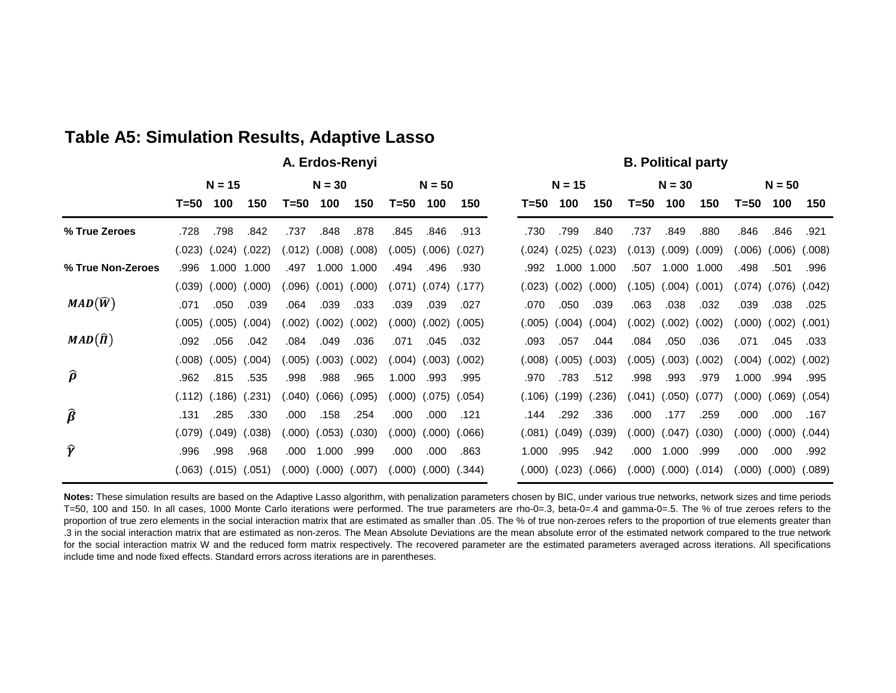# **Table A5: Simulation Results, Adaptive Lasso**

**A. Erdos-Renyi** B. Political party

|                                |          | $N = 15$ |        | $N = 30$ |                   |        | $N = 50$ |                   |        |  |        | $N = 15$ |        |        | $N = 30$                   |        | $N = 50$ |                   |        |  |
|--------------------------------|----------|----------|--------|----------|-------------------|--------|----------|-------------------|--------|--|--------|----------|--------|--------|----------------------------|--------|----------|-------------------|--------|--|
|                                | $T = 50$ | 100      | 150    | T=50     | 100               | 150    | T=50     | 100               | 150    |  | T=50   | 100      | 150    | T=50   | 100                        | 150    | T=50     | 100               | 150    |  |
| % True Zeroes                  | .728     | .798     | .842   | .737     | .848              | .878   | .845     | .846              | .913   |  | .730   | .799     | .840   | .737   | .849                       | .880   | .846     | .846              | .921   |  |
|                                | (.023)   | (.024)   | (.022) | (.012)   | $(.008)$ $(.008)$ |        | (.005)   | (0.006)           | (.027) |  | (.024) | (.025)   | (.023) | (.013) | (.009)                     | (.009) | (.006)   | (.006)            | (.008) |  |
| % True Non-Zeroes              | .996     | 1.000    | 1.000  | .497     | 1.000             | 1.000  | .494     | .496              | .930   |  | .992   | 1.000    | 1.000  | .507   | 1.000                      | 1.000  | .498     | .501              | .996   |  |
|                                | (.039)   | (.000)   | (.000) | (.096)   | (.001)            | (.000) |          | $(.071)$ $(.074)$ | (.177) |  | (.023) | (.002)   | (.000) | (.105) | (.004)                     | (.001) | (.074)   | (.076)            | (.042) |  |
| $MAD(\widehat{W})$             | .071     | .050     | .039   | .064     | .039              | .033   | .039     | .039              | .027   |  | .070   | .050     | .039   | .063   | .038                       | .032   | .039     | .038              | .025   |  |
|                                | (.005)   | (.005)   | (.004) | (.002)   | (.002)            | (.002) |          | (.000) (.002)     | (.005) |  | (.005) | (.004)   | (.004) | (.002) | (.002)                     | (.002) | (.000)   | $(.002)$ $(.001)$ |        |  |
| $MAD(\hat{\Pi})$               | .092     | .056     | .042   | .084     | .049              | .036   | .071     | .045              | .032   |  | .093   | .057     | .044   | .084   | .050                       | .036   | .071     | .045              | .033   |  |
|                                | (.008)   | (.005)   | (.004) | (0.005)  | (.003)            | (.002) | (.004)   | (.003)            | (.002) |  | (.008) | (.005)   | (.003) | (.005) | (.003)                     | (.002) | (.004)   | (.002)            | (.002) |  |
| $\widehat{\boldsymbol{\rho}}$  | .962     | .815     | .535   | .998     | .988              | .965   | 1.000    | .993              | .995   |  | .970   | .783     | .512   | .998   | .993                       | .979   | 1.000    | .994              | .995   |  |
|                                | (.112)   | (.186)   | (.231) | (.040)   | (.066)            | (.095) |          | (.000) (.075)     | (.054) |  | (.106) | (.199)   | (.236) |        | $(.041)$ $(.050)$          | (.077) | (000)    | $(.069)$ $(.054)$ |        |  |
| $\widehat{\boldsymbol{\beta}}$ | .131     | .285     | .330   | .000     | .158              | .254   | .000     | .000              | .121   |  | .144   | .292     | .336   | .000   | .177                       | .259   | .000     | .000              | .167   |  |
|                                | (.079)   | (.049)   | (.038) | (000)    | (.053)            | (.030) | (000)    | (.000)            | (.066) |  | (.081) | (.049)   | (.039) |        | $(.000)$ $(.047)$          | (030)  | (000)    | (.000)            | (.044) |  |
| Ŷ                              | .996     | .998     | .968   | .000     | 1.000             | .999   | .000     | .000              | .863   |  | 1.000  | .995     | .942   | .000   | 1.000                      | .999   | .000     | .000              | .992   |  |
|                                | (.063)   | (.015)   | (.051) | (000)    | $(.000)$ $(.007)$ |        |          | $(.000)$ $(.000)$ | (.344) |  | (.000) | (.023)   | (.066) |        | $(.000)$ $(.000)$ $(.014)$ |        | (.000)   | $(.000)$ $(.089)$ |        |  |

**Notes:** These simulation results are based on the Adaptive Lasso algorithm, with penalization parameters chosen by BIC, under various true networks, network sizes and time periods T=50, 100 and 150. In all cases, 1000 Monte Carlo iterations were performed. The true parameters are rho-0=.3, beta-0=.4 and gamma-0=.5. The % of true zeroes refers to the proportion of true zero elements in the social interaction matrix that are estimated as smaller than .05. The % of true non-zeroes refers to the proportion of true elements greater than .3 in the social interaction matrix that are estimated as non-zeros. The Mean Absolute Deviations are the mean absolute error of the estimated network compared to the true network for the social interaction matrix W and the reduced form matrix respectively. The recovered parameter are the estimated parameters averaged across iterations. All specifications include time and node fixed effects. Standard errors across iterations are in parentheses.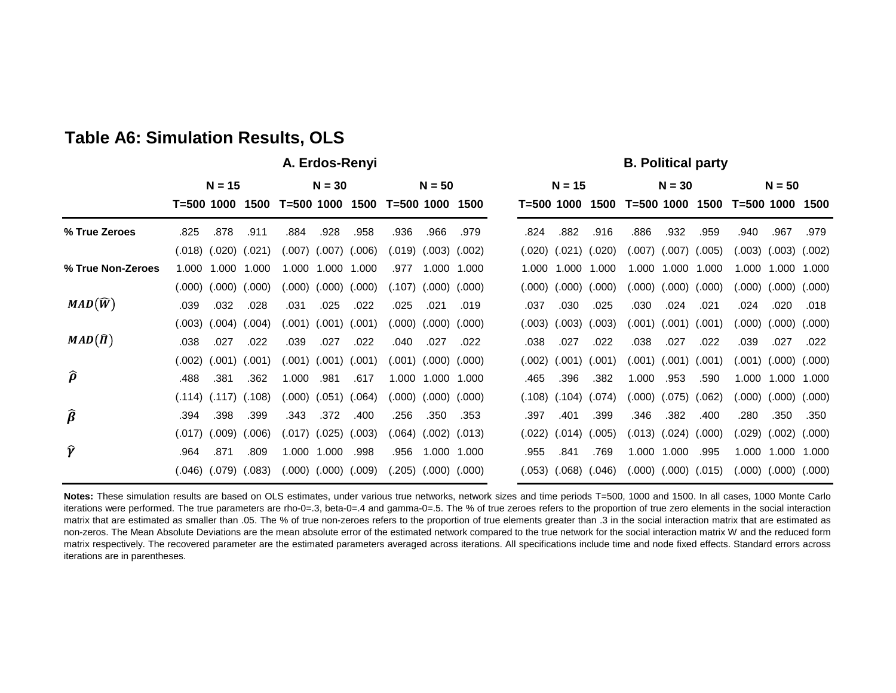# **Table A6: Simulation Results, OLS**

### **A. Erdos-Renyi** B. Political party

|                                 | $N = 15$   |         |                            | $N = 30$   |                      |                      | $N = 50$       |                            |             | $N = 15$   |                   |        |                            | $N = 30$ |        | $N = 50$   |                   |        |
|---------------------------------|------------|---------|----------------------------|------------|----------------------|----------------------|----------------|----------------------------|-------------|------------|-------------------|--------|----------------------------|----------|--------|------------|-------------------|--------|
|                                 | T=500 1000 |         | 1500                       | T=500 1000 |                      | 1500                 | $T = 500$ 1000 |                            | 1500        | T=500 1000 |                   | 1500   | T=500 1000                 |          | 1500   | T=500 1000 |                   | 1500   |
| % True Zeroes                   | .825       | .878    | .911                       | .884       | .928                 | .958                 | .936           | .966                       | .979        | .824       | .882              | .916   | .886                       | .932     | .959   | .940       | .967              | .979   |
|                                 | (.018)     |         | $(.020)$ $(.021)$          |            | $(.007)$ $(.007)$    | (.006)               |                | $(.019)$ $(.003)$          | (.002)      | (.020)     | $(.021)$ $(.020)$ |        | $(.007)$ $(.007)$          |          | (.005) | 003)       | (.003)            | (.002) |
| % True Non-Zeroes               | 1.000      | .000    | 1.000                      | 1.000      | 1.000                | 1.000                | .977           | 1.000                      | 1.000       | 1.000      | 1.000             | 1.000  | 1.000                      | 1.000    | 1.000  | 000.1      | 1.000             | 1.000  |
|                                 | (.000)     | $000$ . | (.000)                     | (.000)     | (.000)               | (.000)               | (.107)         | (.000)                     | (.000)      | (.000)     | (.000)            | (.000) | (000)                      | (.000)   | (.000) | .000)      | (.000)            | (.000) |
| $MAD(\widehat{W})$              | .039       | .032    | .028                       | .031       | .025                 | .022                 | .025           | .021                       | .019        | .037       | .030              | .025   | .030                       | .024     | .021   | .024       | .020              | .018   |
|                                 | (.003)     | 0.004)  | (.004)                     |            | $(.001)$ $(.001)$    | (.001)               | (.000)         | (.000)                     | (.000)      | (.003)     | (.003)            | (.003) | $(.001)$ $(.001)$ $(.001)$ |          |        | .000)      | (.000)            | (.000) |
| $MAD(\widehat{\Pi})$            | .038       | .027    | .022                       | .039       | .027                 | .022                 | .040           | .027                       | .022        | .038       | .027              | .022   | .038                       | .027     | .022   | .039       | .027              | .022   |
|                                 | (.002)     | 0.001   | (.001)                     |            | $(.001)$ $(.001)$    | (.001)               | (.001)         | (.000)                     | (.000)      | (.002)     | (.001)            | (.001) | (.001)                     | (.001)   | (.001) | 0.001)     | (.000)            | (.000) |
| $\widehat{\boldsymbol{\rho}}$   | .488       | .381    | .362                       | 1.000      | .981                 | .617                 | 1.000          | 1.000                      | 1.000       | .465       | .396              | .382   | 1.000                      | .953     | .590   |            | 1.000 1.000 1.000 |        |
|                                 |            |         | $(.114)$ $(.117)$ $(.108)$ |            |                      | (.000) (.051) (.064) |                | $(.000)$ $(.000)$ $(.000)$ |             | (.108)     | (.104)            | (.074) | $(.000)$ $(.075)$          |          | (.062) | 000)       | $(.000)$ $(.000)$ |        |
| $\widehat{\boldsymbol{\beta}}$  | .394       | .398    | .399                       | .343       | .372                 | .400                 | .256           | .350                       | .353        | .397       | .401              | .399   | .346                       | .382     | .400   | .280       | .350              | .350   |
|                                 | (.017)     | .009)   | (.006)                     | (.017)     | (.025)               | (.003)               | (.064)         | (.002)                     | (.013)      | (.022)     | (.014)            | (.005) | (.013)                     | (.024)   | (.000) | 029)       | (.002)            | (.000) |
| $\widehat{\boldsymbol{\gamma}}$ | .964       | .871    | .809                       |            | 1.000 1.000          | .998                 | .956           |                            | 1.000 1.000 | .955       | .841              | .769   | 1.000                      | 1.000    | .995   | 1.000      | 1.000             | 1.000  |
|                                 | (.046)     | (.079)  | (.083)                     |            | (.000) (.000) (.009) |                      | (205).         | (.000)                     | (.000)      | (.053)     | (.068)            | (.046) | $(.000)$ $(.000)$ $(.015)$ |          |        | 000)       | $(.000)$ $(.000)$ |        |

**Notes:** These simulation results are based on OLS estimates, under various true networks, network sizes and time periods T=500, 1000 and 1500. In all cases, 1000 Monte Carlo iterations were performed. The true parameters are rho-0=.3, beta-0=.4 and gamma-0=.5. The % of true zeroes refers to the proportion of true zero elements in the social interaction matrix that are estimated as smaller than .05. The % of true non-zeroes refers to the proportion of true elements greater than .3 in the social interaction matrix that are estimated as non-zeros. The Mean Absolute Deviations are the mean absolute error of the estimated network compared to the true network for the social interaction matrix W and the reduced form matrix respectively. The recovered parameter are the estimated parameters averaged across iterations. All specifications include time and node fixed effects. Standard errors across iterations are in parentheses.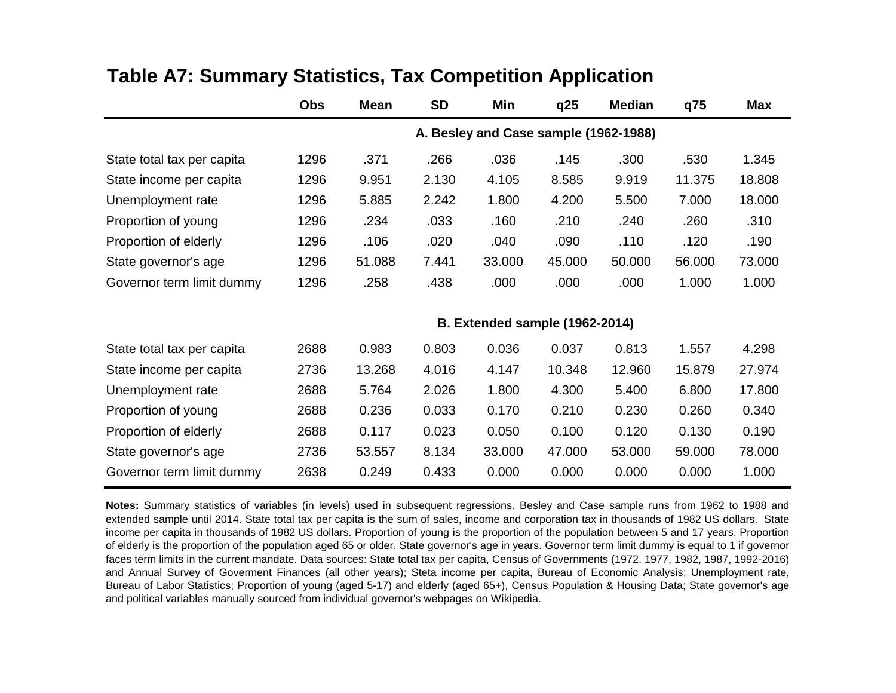|                            | <b>Obs</b>                            | <b>Mean</b> | <b>SD</b> | Min                                   | q25    | <b>Median</b> | q75    | <b>Max</b> |  |  |
|----------------------------|---------------------------------------|-------------|-----------|---------------------------------------|--------|---------------|--------|------------|--|--|
|                            | A. Besley and Case sample (1962-1988) |             |           |                                       |        |               |        |            |  |  |
| State total tax per capita | 1296                                  | .371        | .266      | .036                                  | .145   | .300          | .530   | 1.345      |  |  |
| State income per capita    | 1296                                  | 9.951       | 2.130     | 4.105                                 | 8.585  | 9.919         | 11.375 | 18.808     |  |  |
| Unemployment rate          | 1296                                  | 5.885       | 2.242     | 1.800                                 | 4.200  | 5.500         | 7.000  | 18.000     |  |  |
| Proportion of young        | 1296                                  | .234        | .033      | .160                                  | .210   | .240          | .260   | .310       |  |  |
| Proportion of elderly      | 1296                                  | .106        | .020      | .040                                  | .090   | .110          | .120   | .190       |  |  |
| State governor's age       | 1296                                  | 51.088      | 7.441     | 33.000                                | 45.000 | 50.000        | 56.000 | 73.000     |  |  |
| Governor term limit dummy  | 1296                                  | .258        | .438      | .000                                  | .000   | .000          | 1.000  | 1.000      |  |  |
|                            |                                       |             |           | <b>B. Extended sample (1962-2014)</b> |        |               |        |            |  |  |
| State total tax per capita | 2688                                  | 0.983       | 0.803     | 0.036                                 | 0.037  | 0.813         | 1.557  | 4.298      |  |  |
| State income per capita    | 2736                                  | 13.268      | 4.016     | 4.147                                 | 10.348 | 12.960        | 15.879 | 27.974     |  |  |
| Unemployment rate          | 2688                                  | 5.764       | 2.026     | 1.800                                 | 4.300  | 5.400         | 6.800  | 17.800     |  |  |
| Proportion of young        | 2688                                  | 0.236       | 0.033     | 0.170                                 | 0.210  | 0.230         | 0.260  | 0.340      |  |  |
| Proportion of elderly      | 2688                                  | 0.117       | 0.023     | 0.050                                 | 0.100  | 0.120         | 0.130  | 0.190      |  |  |
| State governor's age       | 2736                                  | 53.557      | 8.134     | 33.000                                | 47.000 | 53.000        | 59.000 | 78.000     |  |  |
| Governor term limit dummy  | 2638                                  | 0.249       | 0.433     | 0.000                                 | 0.000  | 0.000         | 0.000  | 1.000      |  |  |

## **Table A7: Summary Statistics, Tax Competition Application**

**Notes:** Summary statistics of variables (in levels) used in subsequent regressions. Besley and Case sample runs from 1962 to 1988 and extended sample until 2014. State total tax per capita is the sum of sales, income and corporation tax in thousands of 1982 US dollars. State income per capita in thousands of 1982 US dollars. Proportion of young is the proportion of the population between 5 and 17 years. Proportion of elderly is the proportion of the population aged 65 or older. State governor's age in years. Governor term limit dummy is equal to 1 if governor faces term limits in the current mandate. Data sources: State total tax per capita, Census of Governments (1972, 1977, 1982, 1987, 1992-2016) and Annual Survey of Goverment Finances (all other years); Steta income per capita, Bureau of Economic Analysis; Unemployment rate, Bureau of Labor Statistics; Proportion of young (aged 5-17) and elderly (aged 65+), Census Population & Housing Data; State governor's age and political variables manually sourced from individual governor's webpages on Wikipedia.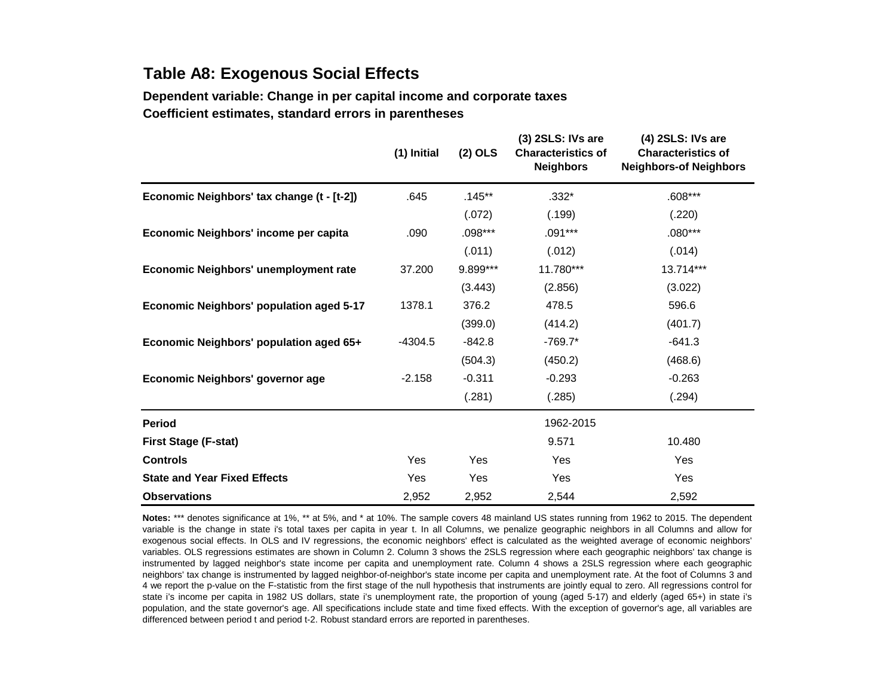## **Table A8: Exogenous Social Effects**

**Dependent variable: Change in per capital income and corporate taxes Coefficient estimates, standard errors in parentheses**

|                                                 | (1) Initial | $(2)$ OLS  | (3) 2SLS: IVs are<br><b>Characteristics of</b><br><b>Neighbors</b> | (4) 2SLS: IVs are<br><b>Characteristics of</b><br><b>Neighbors-of Neighbors</b> |
|-------------------------------------------------|-------------|------------|--------------------------------------------------------------------|---------------------------------------------------------------------------------|
| Economic Neighbors' tax change (t - [t-2])      | .645        | $.145***$  | $.332*$                                                            | $.608***$                                                                       |
|                                                 |             | (.072)     | (.199)                                                             | (.220)                                                                          |
| Economic Neighbors' income per capita           | .090        | $.098***$  | $.091***$                                                          | $.080***$                                                                       |
|                                                 |             | (.011)     | (.012)                                                             | (.014)                                                                          |
| Economic Neighbors' unemployment rate           | 37,200      | 9.899***   | 11.780***                                                          | 13.714***                                                                       |
|                                                 |             | (3.443)    | (2.856)                                                            | (3.022)                                                                         |
| <b>Economic Neighbors' population aged 5-17</b> | 1378.1      | 376.2      | 478.5                                                              | 596.6                                                                           |
|                                                 |             | (399.0)    | (414.2)                                                            | (401.7)                                                                         |
| Economic Neighbors' population aged 65+         | $-4304.5$   | $-842.8$   | $-769.7*$                                                          | $-641.3$                                                                        |
|                                                 |             | (504.3)    | (450.2)                                                            | (468.6)                                                                         |
| Economic Neighbors' governor age                | $-2.158$    | $-0.311$   | $-0.293$                                                           | $-0.263$                                                                        |
|                                                 |             | (.281)     | (.285)                                                             | (.294)                                                                          |
| <b>Period</b>                                   |             |            | 1962-2015                                                          |                                                                                 |
| <b>First Stage (F-stat)</b>                     |             |            | 9.571                                                              | 10.480                                                                          |
| <b>Controls</b>                                 | <b>Yes</b>  | <b>Yes</b> | Yes                                                                | Yes                                                                             |
| <b>State and Year Fixed Effects</b>             | Yes         | <b>Yes</b> | Yes                                                                | Yes                                                                             |
| <b>Observations</b>                             | 2,952       | 2,952      | 2,544                                                              | 2,592                                                                           |

**Notes:** \*\*\* denotes significance at 1%, \*\* at 5%, and \* at 10%. The sample covers 48 mainland US states running from 1962 to 2015. The dependent variable is the change in state i's total taxes per capita in year t. In all Columns, we penalize geographic neighbors in all Columns and allow for exogenous social effects. In OLS and IV regressions, the economic neighbors' effect is calculated as the weighted average of economic neighbors' variables. OLS regressions estimates are shown in Column 2. Column 3 shows the 2SLS regression where each geographic neighbors' tax change is instrumented by lagged neighbor's state income per capita and unemployment rate. Column 4 shows a 2SLS regression where each geographic neighbors' tax change is instrumented by lagged neighbor-of-neighbor's state income per capita and unemployment rate. At the foot of Columns 3 and 4 we report the p-value on the F-statistic from the first stage of the null hypothesis that instruments are jointly equal to zero. All regressions control for state i's income per capita in 1982 US dollars, state i's unemployment rate, the proportion of young (aged 5-17) and elderly (aged 65+) in state i's population, and the state governor's age. All specifications include state and time fixed effects. With the exception of governor's age, all variables are differenced between period t and period t-2. Robust standard errors are reported in parentheses.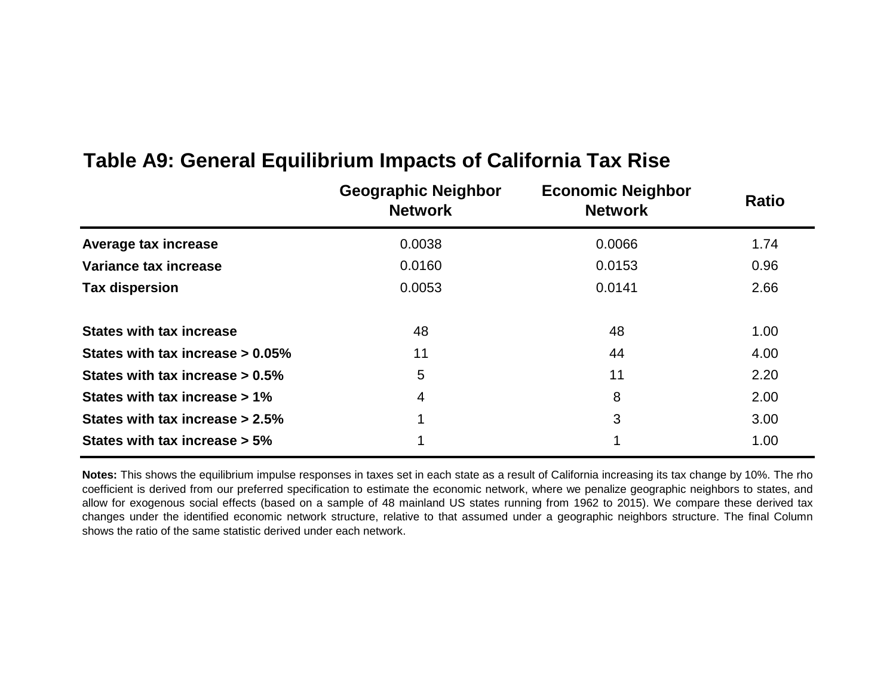|                                     | <b>Geographic Neighbor</b><br><b>Network</b> | <b>Economic Neighbor</b><br><b>Network</b> | <b>Ratio</b> |
|-------------------------------------|----------------------------------------------|--------------------------------------------|--------------|
| Average tax increase                | 0.0038                                       | 0.0066                                     | 1.74         |
| Variance tax increase               | 0.0160                                       | 0.0153                                     | 0.96         |
| <b>Tax dispersion</b>               | 0.0053                                       | 0.0141                                     | 2.66         |
| <b>States with tax increase</b>     | 48                                           | 48                                         | 1.00         |
| States with tax increase $> 0.05\%$ | 11                                           | 44                                         | 4.00         |
| States with tax increase $> 0.5\%$  | 5                                            | 11                                         | 2.20         |
| States with tax increase > 1%       | $\overline{4}$                               | 8                                          | 2.00         |
| States with tax increase $> 2.5\%$  | 1                                            | 3                                          | 3.00         |
| States with tax increase > 5%       |                                              |                                            | 1.00         |

## **Table A9: General Equilibrium Impacts of California Tax Rise**

**Notes:** This shows the equilibrium impulse responses in taxes set in each state as a result of California increasing its tax change by 10%. The rho coefficient is derived from our preferred specification to estimate the economic network, where we penalize geographic neighbors to states, and allow for exogenous social effects (based on a sample of 48 mainland US states running from 1962 to 2015). We compare these derived tax changes under the identified economic network structure, relative to that assumed under a geographic neighbors structure. The final Column shows the ratio of the same statistic derived under each network.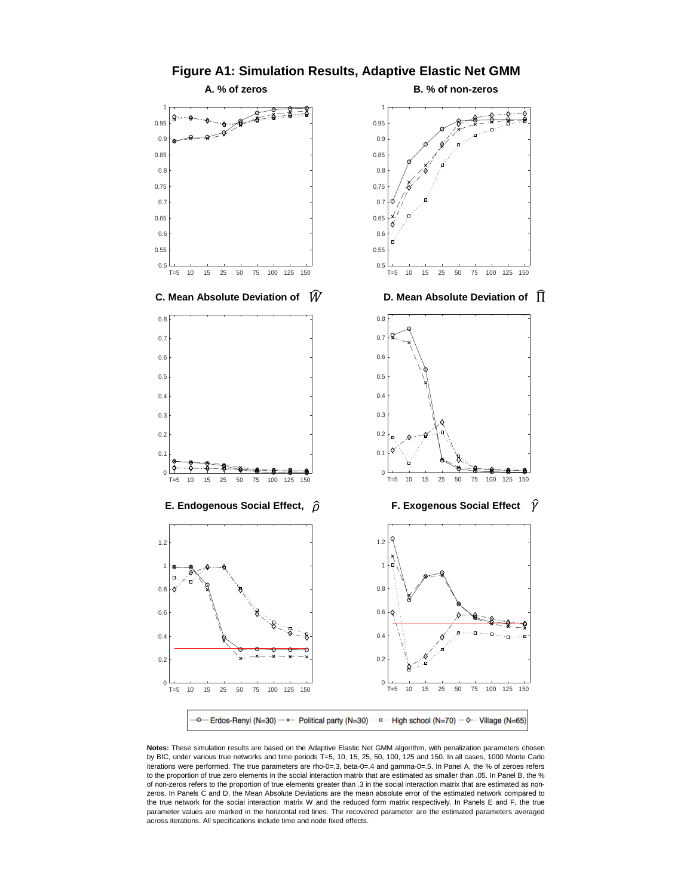

**Figure A1: Simulation Results, Adaptive Elastic Net GMM**

**Notes:** These simulation results are based on the Adaptive Elastic Net GMM algorithm, with penalization parameters chosen by BIC, under various true networks and time periods T=5, 10, 15, 25, 50, 100, 125 and 150. In all cases, 1000 Monte Carlo iterations were performed. The true parameters are rho-0=.3, beta-0=.4 and gamma-0=.5. In Panel A, the % of zeroes refers to the proportion of true zero elements in the social interaction matrix that are estimated as smaller than .05. In Panel B, the % of non-zeros refers to the proportion of true elements greater than .3 in the social interaction matrix that are estimated as nonzeros. In Panels C and D, the Mean Absolute Deviations are the mean absolute error of the estimated network compared to the true network for the social interaction matrix W and the reduced form matrix respectively. In Panels E and F, the true parameter values are marked in the horizontal red lines. The recovered parameter are the estimated parameters averaged across iterations. All specifications include time and node fixed effects.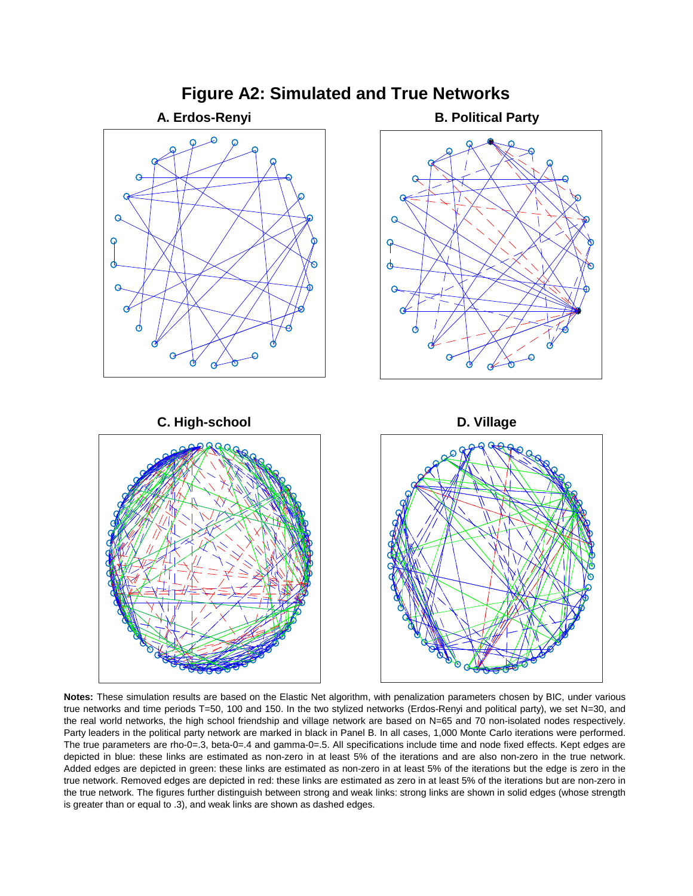

**Notes:** These simulation results are based on the Elastic Net algorithm, with penalization parameters chosen by BIC, under various true networks and time periods T=50, 100 and 150. In the two stylized networks (Erdos-Renyi and political party), we set N=30, and the real world networks, the high school friendship and village network are based on N=65 and 70 non-isolated nodes respectively. Party leaders in the political party network are marked in black in Panel B. In all cases, 1,000 Monte Carlo iterations were performed. The true parameters are rho-0=.3, beta-0=.4 and gamma-0=.5. All specifications include time and node fixed effects. Kept edges are depicted in blue: these links are estimated as non-zero in at least 5% of the iterations and are also non-zero in the true network. Added edges are depicted in green: these links are estimated as non-zero in at least 5% of the iterations but the edge is zero in the true network. Removed edges are depicted in red: these links are estimated as zero in at least 5% of the iterations but are non-zero in the true network. The figures further distinguish between strong and weak links: strong links are shown in solid edges (whose strength is greater than or equal to .3), and weak links are shown as dashed edges.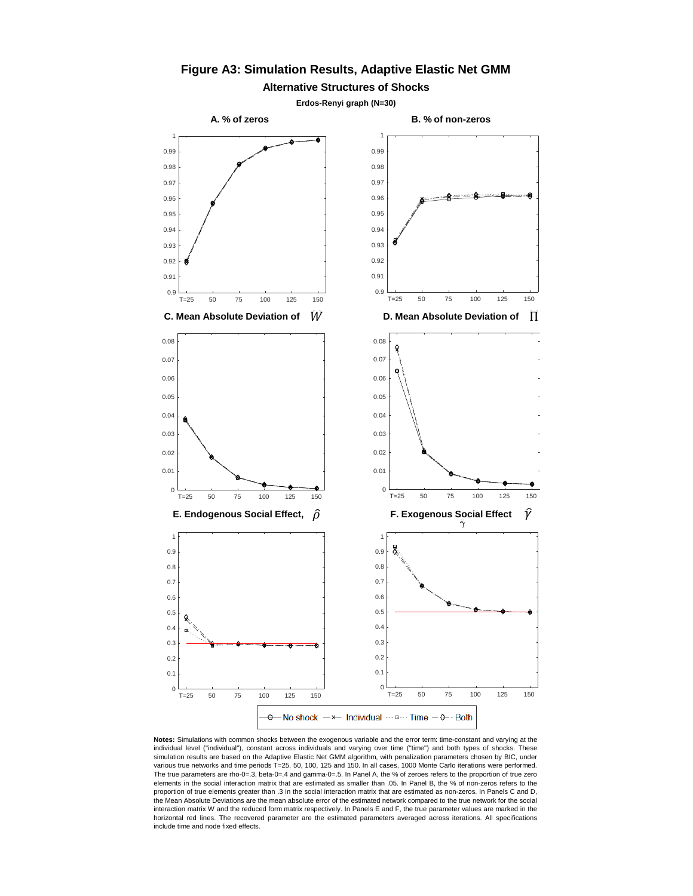

## **Figure A3: Simulation Results, Adaptive Elastic Net GMM**

**Notes:** Simulations with common shocks between the exogenous variable and the error term: time-constant and varying at the individual level ("individual"), constant across individuals and varying over time ("time") and both types of shocks. These simulation results are based on the Adaptive Elastic Net GMM algorithm, with penalization parameters chosen by BIC, under various true networks and time periods T=25, 50, 100, 125 and 150. In all cases, 1000 Monte Carlo iterations were performed. The true parameters are rho-0=.3, beta-0=.4 and gamma-0=.5. In Panel A, the % of zeroes refers to the proportion of true zero elements in the social interaction matrix that are estimated as smaller than .05. In Panel B, the % of non-zeros refers to the proportion of true elements greater than .3 in the social interaction matrix that are estimated as non-zeros. In Panels C and D, the Mean Absolute Deviations are the mean absolute error of the estimated network compared to the true network for the social interaction matrix W and the reduced form matrix respectively. In Panels E and F, the true parameter values are marked in the horizontal red lines. The recovered parameter are the estimated parameters averaged across iterations. All specifications include time and node fixed effects.